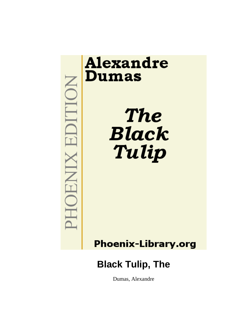

## **Phoenix-Library.org**

# **Black Tulip, The**

Dumas, Alexandre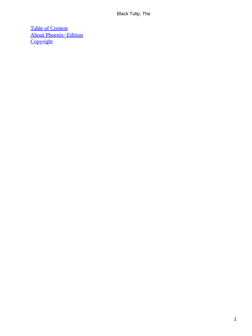[Table of Content](#page-226-0) [About Phoenix−Edition](#page-228-0) **[Copyright](#page-229-0)**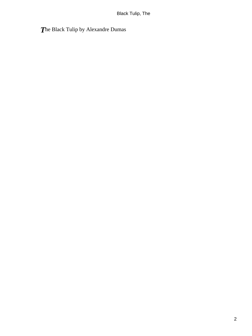## *T*he Black Tulip by Alexandre Dumas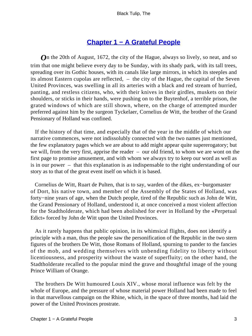## **[Chapter 1 − A Grateful People](#page-226-0)**

**O**n the 20th of August, 1672, the city of the Hague, always so lively, so neat, and so trim that one might believe every day to be Sunday, with its shady park, with its tall trees, spreading over its Gothic houses, with its canals like large mirrors, in which its steeples and its almost Eastern cupolas are reflected, – the city of the Hague, the capital of the Seven United Provinces, was swelling in all its arteries with a black and red stream of hurried, panting, and restless citizens, who, with their knives in their girdles, muskets on their shoulders, or sticks in their hands, were pushing on to the Buytenhof, a terrible prison, the grated windows of which are still shown, where, on the charge of attempted murder preferred against him by the surgeon Tyckelaer, Cornelius de Witt, the brother of the Grand Pensionary of Holland was confined.

 If the history of that time, and especially that of the year in the middle of which our narrative commences, were not indissolubly connected with the two names just mentioned, the few explanatory pages which we are about to add might appear quite supererogatory; but we will, from the very first, apprise the reader – our old friend, to whom we are wont on the first page to promise amusement, and with whom we always try to keep our word as well as is in our power – that this explanation is as indispensable to the right understanding of our story as to that of the great event itself on which it is based.

 Cornelius de Witt, Ruart de Pulten, that is to say, warden of the dikes, ex−burgomaster of Dort, his native town, and member of the Assembly of the States of Holland, was forty−nine years of age, when the Dutch people, tired of the Republic such as John de Witt, the Grand Pensionary of Holland, understood it, at once conceived a most violent affection for the Stadtholderate, which had been abolished for ever in Holland by the «Perpetual Edict» forced by John de Witt upon the United Provinces.

 As it rarely happens that public opinion, in its whimsical flights, does not identify a principle with a man, thus the people saw the personification of the Republic in the two stern figures of the brothers De Witt, those Romans of Holland, spurning to pander to the fancies of the mob, and wedding themselves with unbending fidelity to liberty without licentiousness, and prosperity without the waste of superfluity; on the other hand, the Stadtholderate recalled to the popular mind the grave and thoughtful image of the young Prince William of Orange.

 The brothers De Witt humoured Louis XIV., whose moral influence was felt by the whole of Europe, and the pressure of whose material power Holland had been made to feel in that marvellous campaign on the Rhine, which, in the space of three months, had laid the power of the United Provinces prostrate.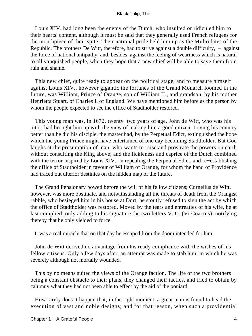Louis XIV. had long been the enemy of the Dutch, who insulted or ridiculed him to their hearts' content, although it must be said that they generally used French refugees for the mouthpiece of their spite. Their national pride held him up as the Mithridates of the Republic. The brothers De Witt, therefore, had to strive against a double difficulty, – against the force of national antipathy, and, besides, against the feeling of weariness which is natural to all vanquished people, when they hope that a new chief will be able to save them from ruin and shame.

 This new chief, quite ready to appear on the political stage, and to measure himself against Louis XIV., however gigantic the fortunes of the Grand Monarch loomed in the future, was William, Prince of Orange, son of William II., and grandson, by his mother Henrietta Stuart, of Charles I. of England. We have mentioned him before as the person by whom the people expected to see the office of Stadtholder restored.

 This young man was, in 1672, twenty−two years of age. John de Witt, who was his tutor, had brought him up with the view of making him a good citizen. Loving his country better than he did his disciple, the master had, by the Perpetual Edict, extinguished the hope which the young Prince might have entertained of one day becoming Stadtholder. But God laughs at the presumption of man, who wants to raise and prostrate the powers on earth without consulting the King above; and the fickleness and caprice of the Dutch combined with the terror inspired by Louis XIV., in repealing the Perpetual Edict, and re−establishing the office of Stadtholder in favour of William of Orange, for whom the hand of Providence had traced out ulterior destinies on the hidden map of the future.

 The Grand Pensionary bowed before the will of his fellow citizens; Cornelius de Witt, however, was more obstinate, and notwithstanding all the threats of death from the Orangist rabble, who besieged him in his house at Dort, he stoutly refused to sign the act by which the office of Stadtholder was restored. Moved by the tears and entreaties of his wife, he at last complied, only adding to his signature the two letters V. C. (Vi Coactus), notifying thereby that he only yielded to force.

It was a real miracle that on that day he escaped from the doom intended for him.

 John de Witt derived no advantage from his ready compliance with the wishes of his fellow citizens. Only a few days after, an attempt was made to stab him, in which he was severely although not mortally wounded.

 This by no means suited the views of the Orange faction. The life of the two brothers being a constant obstacle to their plans, they changed their tactics, and tried to obtain by calumny what they had not been able to effect by the aid of the poniard.

 How rarely does it happen that, in the right moment, a great man is found to head the execution of vast and noble designs; and for that reason, when such a providential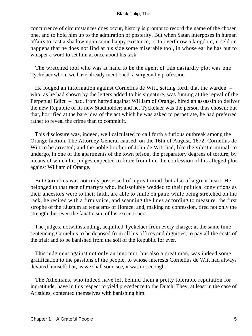concurrence of circumstances does occur, history is prompt to record the name of the chosen one, and to hold him up to the admiration of posterity. But when Satan interposes in human affairs to cast a shadow upon some happy existence, or to overthrow a kingdom, it seldom happens that he does not find at his side some miserable tool, in whose ear he has but to whisper a word to set him at once about his task.

 The wretched tool who was at hand to be the agent of this dastardly plot was one Tyckelaer whom we have already mentioned, a surgeon by profession.

 He lodged an information against Cornelius de Witt, setting forth that the warden – who, as he had shown by the letters added to his signature, was fuming at the repeal of the Perpetual Edict – had, from hatred against William of Orange, hired an assassin to deliver the new Republic of its new Stadtholder; and he, Tyckelaer was the person thus chosen; but that, horrified at the bare idea of the act which he was asked to perpetrate, he had preferred rather to reveal the crime than to commit it.

 This disclosure was, indeed, well calculated to call forth a furious outbreak among the Orange faction. The Attorney General caused, on the 16th of August, 1672, Cornelius de Witt to be arrested; and the noble brother of John de Witt had, like the vilest criminal, to undergo, in one of the apartments of the town prison, the preparatory degrees of torture, by means of which his judges expected to force from him the confession of his alleged plot against William of Orange.

 But Cornelius was not only possessed of a great mind, but also of a great heart. He belonged to that race of martyrs who, indissolubly wedded to their political convictions as their ancestors were to their faith, are able to smile on pain: while being stretched on the rack, he recited with a firm voice, and scanning the lines according to measure, the first strophe of the «Justum ac tenacem» of Horace, and, making no confession, tired not only the strength, but even the fanaticism, of his executioners.

 The judges, notwithstanding, acquitted Tyckelaer from every charge; at the same time sentencing Cornelius to be deposed from all his offices and dignities; to pay all the costs of the trial; and to be banished from the soil of the Republic for ever.

 This judgment against not only an innocent, but also a great man, was indeed some gratification to the passions of the people, to whose interests Cornelius de Witt had always devoted himself: but, as we shall soon see, it was not enough.

 The Athenians, who indeed have left behind them a pretty tolerable reputation for ingratitude, have in this respect to yield precedence to the Dutch. They, at least in the case of Aristides, contented themselves with banishing him.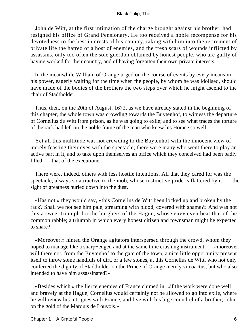John de Witt, at the first intimation of the charge brought against his brother, had resigned his office of Grand Pensionary. He too received a noble recompense for his devotedness to the best interests of his country, taking with him into the retirement of private life the hatred of a host of enemies, and the fresh scars of wounds inflicted by assassins, only too often the sole guerdon obtained by honest people, who are guilty of having worked for their country, and of having forgotten their own private interests.

 In the meanwhile William of Orange urged on the course of events by every means in his power, eagerly waiting for the time when the people, by whom he was idolised, should have made of the bodies of the brothers the two steps over which he might ascend to the chair of Stadtholder.

 Thus, then, on the 20th of August, 1672, as we have already stated in the beginning of this chapter, the whole town was crowding towards the Buytenhof, to witness the departure of Cornelius de Witt from prison, as he was going to exile; and to see what traces the torture of the rack had left on the noble frame of the man who knew his Horace so well.

 Yet all this multitude was not crowding to the Buytenhof with the innocent view of merely feasting their eyes with the spectacle; there were many who went there to play an active part in it, and to take upon themselves an office which they conceived had been badly filled, – that of the executioner.

 There were, indeed, others with less hostile intentions. All that they cared for was the spectacle, always so attractive to the mob, whose instinctive pride is flattered by it,  $-$  the sight of greatness hurled down into the dust.

 «Has not,» they would say, «this Cornelius de Witt been locked up and broken by the rack? Shall we not see him pale, streaming with blood, covered with shame?» And was not this a sweet triumph for the burghers of the Hague, whose envy even beat that of the common rabble; a triumph in which every honest citizen and townsman might be expected to share?

 «Moreover,» hinted the Orange agitators interspersed through the crowd, whom they hoped to manage like a sharp−edged and at the same time crushing instrument, – «moreover, will there not, from the Buytenhof to the gate of the town, a nice little opportunity present itself to throw some handfuls of dirt, or a few stones, at this Cornelius de Witt, who not only conferred the dignity of Stadtholder on the Prince of Orange merely vi coactus, but who also intended to have him assassinated?»

 «Besides which,» the fierce enemies of France chimed in, «if the work were done well and bravely at the Hague, Cornelius would certainly not be allowed to go into exile, where he will renew his intrigues with France, and live with his big scoundrel of a brother, John, on the gold of the Marquis de Louvois.»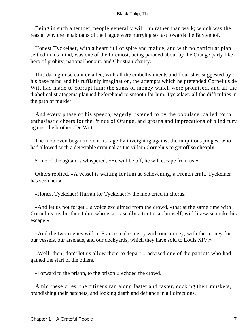Being in such a temper, people generally will run rather than walk; which was the reason why the inhabitants of the Hague were hurrying so fast towards the Buytenhof.

 Honest Tyckelaer, with a heart full of spite and malice, and with no particular plan settled in his mind, was one of the foremost, being paraded about by the Orange party like a hero of probity, national honour, and Christian charity.

 This daring miscreant detailed, with all the embellishments and flourishes suggested by his base mind and his ruffianly imagination, the attempts which he pretended Cornelius de Witt had made to corrupt him; the sums of money which were promised, and all the diabolical stratagems planned beforehand to smooth for him, Tyckelaer, all the difficulties in the path of murder.

 And every phase of his speech, eagerly listened to by the populace, called forth enthusiastic cheers for the Prince of Orange, and groans and imprecations of blind fury against the brothers De Witt.

 The mob even began to vent its rage by inveighing against the iniquitous judges, who had allowed such a detestable criminal as the villain Cornelius to get off so cheaply.

Some of the agitators whispered, «He will be off, he will escape from us!»

 Others replied, «A vessel is waiting for him at Schevening, a French craft. Tyckelaer has seen her.»

«Honest Tyckelaer! Hurrah for Tyckelaer!» the mob cried in chorus.

 «And let us not forget,» a voice exclaimed from the crowd, «that at the same time with Cornelius his brother John, who is as rascally a traitor as himself, will likewise make his escape.»

 «And the two rogues will in France make merry with our money, with the money for our vessels, our arsenals, and our dockyards, which they have sold to Louis XIV.»

 «Well, then, don't let us allow them to depart!» advised one of the patriots who had gained the start of the others.

«Forward to the prison, to the prison!» echoed the crowd.

 Amid these cries, the citizens ran along faster and faster, cocking their muskets, brandishing their hatchets, and looking death and defiance in all directions.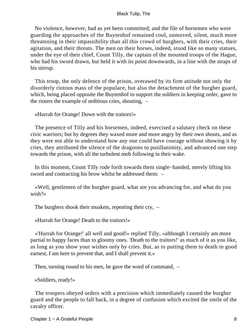No violence, however, had as yet been committed; and the file of horsemen who were guarding the approaches of the Buytenhof remained cool, unmoved, silent, much more threatening in their impassibility than all this crowd of burghers, with their cries, their agitation, and their threats. The men on their horses, indeed, stood like so many statues, under the eye of their chief, Count Tilly, the captain of the mounted troops of the Hague, who had his sword drawn, but held it with its point downwards, in a line with the straps of his stirrup.

 This troop, the only defence of the prison, overawed by its firm attitude not only the disorderly riotous mass of the populace, but also the detachment of the burgher guard, which, being placed opposite the Buytenhof to support the soldiers in keeping order, gave to the rioters the example of seditious cries, shouting, –

«Hurrah for Orange! Down with the traitors!»

 The presence of Tilly and his horsemen, indeed, exercised a salutary check on these civic warriors; but by degrees they waxed more and more angry by their own shouts, and as they were not able to understand how any one could have courage without showing it by cries, they attributed the silence of the dragoons to pusillanimity, and advanced one step towards the prison, with all the turbulent mob following in their wake.

 In this moment, Count Tilly rode forth towards them single−handed, merely lifting his sword and contracting his brow whilst he addressed them: –

 «Well, gentlemen of the burgher guard, what are you advancing for, and what do you wish?»

The burghers shook their muskets, repeating their cry, –

«Hurrah for Orange! Death to the traitors!»

 «'Hurrah for Orange!' all well and good!» replied Tilly, «although I certainly am more partial to happy faces than to gloomy ones. 'Death to the traitors!' as much of it as you like, as long as you show your wishes only by cries. But, as to putting them to death in good earnest, I am here to prevent that, and I shall prevent it.»

Then, turning round to his men, he gave the word of command, –

«Soldiers, ready!»

 The troopers obeyed orders with a precision which immediately caused the burgher guard and the people to fall back, in a degree of confusion which excited the smile of the cavalry officer.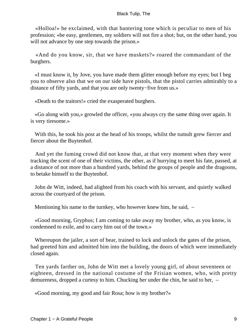«Holloa!» he exclaimed, with that bantering tone which is peculiar to men of his profession; «be easy, gentlemen, my soldiers will not fire a shot; but, on the other hand, you will not advance by one step towards the prison.»

 «And do you know, sir, that we have muskets?» roared the commandant of the burghers.

 «I must know it, by Jove, you have made them glitter enough before my eyes; but I beg you to observe also that we on our side have pistols, that the pistol carries admirably to a distance of fifty yards, and that you are only twenty−five from us.»

«Death to the traitors!» cried the exasperated burghers.

 «Go along with you,» growled the officer, «you always cry the same thing over again. It is very tiresome.»

With this, he took his post at the head of his troops, whilst the tumult grew fiercer and fiercer about the Buytenhof.

 And yet the fuming crowd did not know that, at that very moment when they were tracking the scent of one of their victims, the other, as if hurrying to meet his fate, passed, at a distance of not more than a hundred yards, behind the groups of people and the dragoons, to betake himself to the Buytenhof.

 John de Witt, indeed, had alighted from his coach with his servant, and quietly walked across the courtyard of the prison.

Mentioning his name to the turnkey, who however knew him, he said, –

 «Good morning, Gryphus; I am coming to take away my brother, who, as you know, is condemned to exile, and to carry him out of the town.»

 Whereupon the jailer, a sort of bear, trained to lock and unlock the gates of the prison, had greeted him and admitted him into the building, the doors of which were immediately closed again.

 Ten yards farther on, John de Witt met a lovely young girl, of about seventeen or eighteen, dressed in the national costume of the Frisian women, who, with pretty demureness, dropped a curtesy to him. Chucking her under the chin, he said to her, –

«Good morning, my good and fair Rosa; how is my brother?»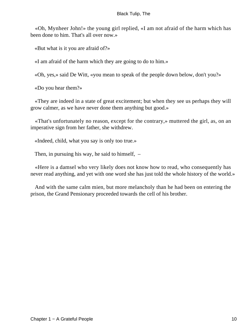«Oh, Mynheer John!» the young girl replied, «I am not afraid of the harm which has been done to him. That's all over now.»

«But what is it you are afraid of?»

«I am afraid of the harm which they are going to do to him.»

«Oh, yes,» said De Witt, «you mean to speak of the people down below, don't you?»

«Do you hear them?»

 «They are indeed in a state of great excitement; but when they see us perhaps they will grow calmer, as we have never done them anything but good.»

 «That's unfortunately no reason, except for the contrary,» muttered the girl, as, on an imperative sign from her father, she withdrew.

«Indeed, child, what you say is only too true.»

Then, in pursuing his way, he said to himself, –

 «Here is a damsel who very likely does not know how to read, who consequently has never read anything, and yet with one word she has just told the whole history of the world.»

 And with the same calm mien, but more melancholy than he had been on entering the prison, the Grand Pensionary proceeded towards the cell of his brother.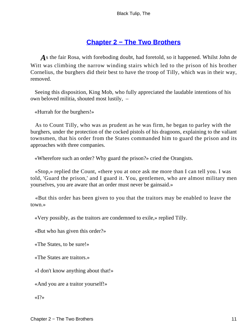## **[Chapter 2 − The Two Brothers](#page-226-0)**

*A*s the fair Rosa, with foreboding doubt, had foretold, so it happened. Whilst John de Witt was climbing the narrow winding stairs which led to the prison of his brother Cornelius, the burghers did their best to have the troop of Tilly, which was in their way, removed.

 Seeing this disposition, King Mob, who fully appreciated the laudable intentions of his own beloved militia, shouted most lustily, –

«Hurrah for the burghers!»

 As to Count Tilly, who was as prudent as he was firm, he began to parley with the burghers, under the protection of the cocked pistols of his dragoons, explaining to the valiant townsmen, that his order from the States commanded him to guard the prison and its approaches with three companies.

«Wherefore such an order? Why guard the prison?» cried the Orangists.

 «Stop,» replied the Count, «there you at once ask me more than I can tell you. I was told, 'Guard the prison,' and I guard it. You, gentlemen, who are almost military men yourselves, you are aware that an order must never be gainsaid.»

 «But this order has been given to you that the traitors may be enabled to leave the town.»

«Very possibly, as the traitors are condemned to exile,» replied Tilly.

«But who has given this order?»

«The States, to be sure!»

«The States are traitors.»

«I don't know anything about that!»

«And you are a traitor yourself!»

«I?»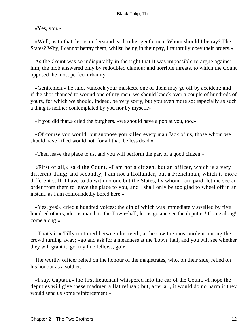«Yes, you.»

 «Well, as to that, let us understand each other gentlemen. Whom should I betray? The States? Why, I cannot betray them, whilst, being in their pay, I faithfully obey their orders.»

 As the Count was so indisputably in the right that it was impossible to argue against him, the mob answered only by redoubled clamour and horrible threats, to which the Count opposed the most perfect urbanity.

 «Gentlemen,» he said, «uncock your muskets, one of them may go off by accident; and if the shot chanced to wound one of my men, we should knock over a couple of hundreds of yours, for which we should, indeed, be very sorry, but you even more so; especially as such a thing is neither contemplated by you nor by myself.»

«If you did that,» cried the burghers, «we should have a pop at you, too.»

 «Of course you would; but suppose you killed every man Jack of us, those whom we should have killed would not, for all that, be less dead.»

«Then leave the place to us, and you will perform the part of a good citizen.»

 «First of all,» said the Count, «I am not a citizen, but an officer, which is a very different thing; and secondly, I am not a Hollander, but a Frenchman, which is more different still. I have to do with no one but the States, by whom I am paid; let me see an order from them to leave the place to you, and I shall only be too glad to wheel off in an instant, as I am confoundedly bored here.»

 «Yes, yes!» cried a hundred voices; the din of which was immediately swelled by five hundred others; «let us march to the Town−hall; let us go and see the deputies! Come along! come along!»

 «That's it,» Tilly muttered between his teeth, as he saw the most violent among the crowd turning away; «go and ask for a meanness at the Town−hall, and you will see whether they will grant it; go, my fine fellows, go!»

 The worthy officer relied on the honour of the magistrates, who, on their side, relied on his honour as a soldier.

 «I say, Captain,» the first lieutenant whispered into the ear of the Count, «I hope the deputies will give these madmen a flat refusal; but, after all, it would do no harm if they would send us some reinforcement.»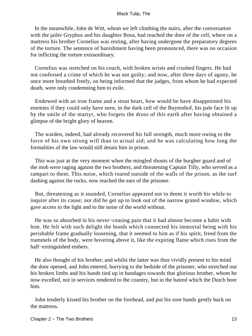In the meanwhile, John de Witt, whom we left climbing the stairs, after the conversation with the jailer Gryphus and his daughter Rosa, had reached the door of the cell, where on a mattress his brother Cornelius was resting, after having undergone the preparatory degrees of the torture. The sentence of banishment having been pronounced, there was no occasion for inflicting the torture extraordinary.

 Cornelius was stretched on his couch, with broken wrists and crushed fingers. He had not confessed a crime of which he was not guilty; and now, after three days of agony, he once more breathed freely, on being informed that the judges, from whom he had expected death, were only condemning him to exile.

 Endowed with an iron frame and a stout heart, how would he have disappointed his enemies if they could only have seen, in the dark cell of the Buytenhof, his pale face lit up by the smile of the martyr, who forgets the dross of this earth after having obtained a glimpse of the bright glory of heaven.

 The warden, indeed, had already recovered his full strength, much more owing to the force of his own strong will than to actual aid; and he was calculating how long the formalities of the law would still detain him in prison.

 This was just at the very moment when the mingled shouts of the burgher guard and of the mob were raging against the two brothers, and threatening Captain Tilly, who served as a rampart to them. This noise, which roared outside of the walls of the prison, as the surf dashing against the rocks, now reached the ears of the prisoner.

 But, threatening as it sounded, Cornelius appeared not to deem it worth his while to inquire after its cause; nor did he get up to look out of the narrow grated window, which gave access to the light and to the noise of the world without.

 He was so absorbed in his never−ceasing pain that it had almost become a habit with him. He felt with such delight the bonds which connected his immortal being with his perishable frame gradually loosening, that it seemed to him as if his spirit, freed from the trammels of the body, were hovering above it, like the expiring flame which rises from the half−extinguished embers.

 He also thought of his brother; and whilst the latter was thus vividly present to his mind the door opened, and John entered, hurrying to the bedside of the prisoner, who stretched out his broken limbs and his hands tied up in bandages towards that glorious brother, whom he now excelled, not in services rendered to the country, but in the hatred which the Dutch bore him.

 John tenderly kissed his brother on the forehead, and put his sore hands gently back on the mattress.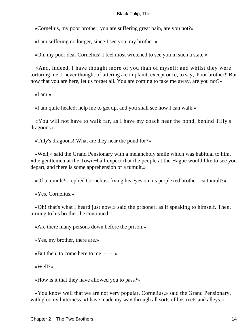«Cornelius, my poor brother, you are suffering great pain, are you not?»

«I am suffering no longer, since I see you, my brother.»

«Oh, my poor dear Cornelius! I feel most wretched to see you in such a state.»

 «And, indeed, I have thought more of you than of myself; and whilst they were torturing me, I never thought of uttering a complaint, except once, to say, 'Poor brother!' But now that you are here, let us forget all. You are coming to take me away, are you not?»

«I am.»

«I am quite healed; help me to get up, and you shall see how I can walk.»

 «You will not have to walk far, as I have my coach near the pond, behind Tilly's dragoons.»

«Tilly's dragoons! What are they near the pond for?»

 «Well,» said the Grand Pensionary with a melancholy smile which was habitual to him, «the gentlemen at the Town−hall expect that the people at the Hague would like to see you depart, and there is some apprehension of a tumult.»

«Of a tumult?» replied Cornelius, fixing his eyes on his perplexed brother; «a tumult?»

«Yes, Cornelius.»

 «Oh! that's what I heard just now,» said the prisoner, as if speaking to himself. Then, turning to his brother, he continued, –

«Are there many persons down before the prison.»

«Yes, my brother, there are.»

«But then, to come here to me  $- - \infty$ 

«Well?»

«How is it that they have allowed you to pass?»

 «You know well that we are not very popular, Cornelius,» said the Grand Pensionary, with gloomy bitterness. «I have made my way through all sorts of bystreets and alleys.»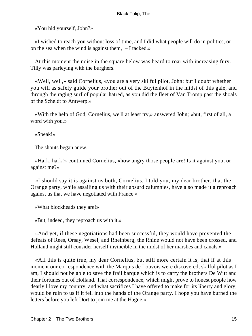«You hid yourself, John?»

 «I wished to reach you without loss of time, and I did what people will do in politics, or on the sea when the wind is against them, – I tacked.»

 At this moment the noise in the square below was heard to roar with increasing fury. Tilly was parleying with the burghers.

 «Well, well,» said Cornelius, «you are a very skilful pilot, John; but I doubt whether you will as safely guide your brother out of the Buytenhof in the midst of this gale, and through the raging surf of popular hatred, as you did the fleet of Van Tromp past the shoals of the Scheldt to Antwerp.»

 «With the help of God, Cornelius, we'll at least try,» answered John; «but, first of all, a word with you.»

«Speak!»

The shouts began anew.

 «Hark, hark!» continued Cornelius, «how angry those people are! Is it against you, or against me?»

 «I should say it is against us both, Cornelius. I told you, my dear brother, that the Orange party, while assailing us with their absurd calumnies, have also made it a reproach against us that we have negotiated with France.»

«What blockheads they are!»

«But, indeed, they reproach us with it.»

 «And yet, if these negotiations had been successful, they would have prevented the defeats of Rees, Orsay, Wesel, and Rheinberg; the Rhine would not have been crossed, and Holland might still consider herself invincible in the midst of her marshes and canals.»

 «All this is quite true, my dear Cornelius, but still more certain it is, that if at this moment our correspondence with the Marquis de Louvois were discovered, skilful pilot as I am, I should not be able to save the frail barque which is to carry the brothers De Witt and their fortunes out of Holland. That correspondence, which might prove to honest people how dearly I love my country, and what sacrifices I have offered to make for its liberty and glory, would be ruin to us if it fell into the hands of the Orange party. I hope you have burned the letters before you left Dort to join me at the Hague.»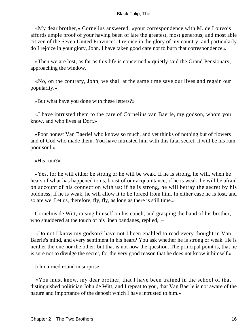«My dear brother,» Cornelius answered, «your correspondence with M. de Louvois affords ample proof of your having been of late the greatest, most generous, and most able citizen of the Seven United Provinces. I rejoice in the glory of my country; and particularly do I rejoice in your glory, John. I have taken good care not to burn that correspondence.»

 «Then we are lost, as far as this life is concerned,» quietly said the Grand Pensionary, approaching the window.

 «No, on the contrary, John, we shall at the same time save our lives and regain our popularity.»

«But what have you done with these letters?»

 «I have intrusted them to the care of Cornelius van Baerle, my godson, whom you know, and who lives at Dort.»

 «Poor honest Van Baerle! who knows so much, and yet thinks of nothing but of flowers and of God who made them. You have intrusted him with this fatal secret; it will be his ruin, poor soul!»

«His ruin?»

 «Yes, for he will either be strong or he will be weak. If he is strong, he will, when he hears of what has happened to us, boast of our acquaintance; if he is weak, he will be afraid on account of his connection with us: if he is strong, he will betray the secret by his boldness; if he is weak, he will allow it to be forced from him. In either case he is lost, and so are we. Let us, therefore, fly, fly, as long as there is still time.»

 Cornelius de Witt, raising himself on his couch, and grasping the hand of his brother, who shuddered at the touch of his linen bandages, replied,  $-$ 

 «Do not I know my godson? have not I been enabled to read every thought in Van Baerle's mind, and every sentiment in his heart? You ask whether he is strong or weak. He is neither the one nor the other; but that is not now the question. The principal point is, that he is sure not to divulge the secret, for the very good reason that he does not know it himself.»

John turned round in surprise.

 «You must know, my dear brother, that I have been trained in the school of that distinguished politician John de Witt; and I repeat to you, that Van Baerle is not aware of the nature and importance of the deposit which I have intrusted to him.»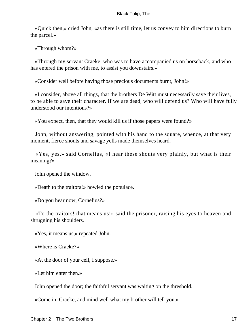«Quick then,» cried John, «as there is still time, let us convey to him directions to burn the parcel.»

«Through whom?»

 «Through my servant Craeke, who was to have accompanied us on horseback, and who has entered the prison with me, to assist you downstairs.»

«Consider well before having those precious documents burnt, John!»

 «I consider, above all things, that the brothers De Witt must necessarily save their lives, to be able to save their character. If we are dead, who will defend us? Who will have fully understood our intentions?»

«You expect, then, that they would kill us if those papers were found?»

 John, without answering, pointed with his hand to the square, whence, at that very moment, fierce shouts and savage yells made themselves heard.

 «Yes, yes,» said Cornelius, «I hear these shouts very plainly, but what is their meaning?»

John opened the window.

«Death to the traitors!» howled the populace.

«Do you hear now, Cornelius?»

 «To the traitors! that means us!» said the prisoner, raising his eyes to heaven and shrugging his shoulders.

«Yes, it means us,» repeated John.

«Where is Craeke?»

«At the door of your cell, I suppose.»

«Let him enter then.»

John opened the door; the faithful servant was waiting on the threshold.

«Come in, Craeke, and mind well what my brother will tell you.»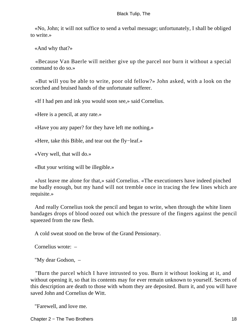«No, John; it will not suffice to send a verbal message; unfortunately, I shall be obliged to write.»

«And why that?»

 «Because Van Baerle will neither give up the parcel nor burn it without a special command to do so.»

 «But will you be able to write, poor old fellow?» John asked, with a look on the scorched and bruised hands of the unfortunate sufferer.

«If I had pen and ink you would soon see,» said Cornelius.

«Here is a pencil, at any rate.»

«Have you any paper? for they have left me nothing.»

«Here, take this Bible, and tear out the fly−leaf.»

«Very well, that will do.»

«But your writing will be illegible.»

 «Just leave me alone for that,» said Cornelius. «The executioners have indeed pinched me badly enough, but my hand will not tremble once in tracing the few lines which are requisite.»

 And really Cornelius took the pencil and began to write, when through the white linen bandages drops of blood oozed out which the pressure of the fingers against the pencil squeezed from the raw flesh.

A cold sweat stood on the brow of the Grand Pensionary.

Cornelius wrote: –

"My dear Godson, –

 "Burn the parcel which I have intrusted to you. Burn it without looking at it, and without opening it, so that its contents may for ever remain unknown to yourself. Secrets of this description are death to those with whom they are deposited. Burn it, and you will have saved John and Cornelius de Witt.

"Farewell, and love me.

Chapter 2 − The Two Brothers 18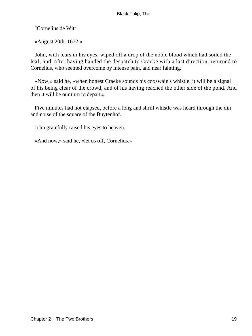"Cornelius de Witt

«August 20th, 1672.»

 John, with tears in his eyes, wiped off a drop of the noble blood which had soiled the leaf, and, after having handed the despatch to Craeke with a last direction, returned to Cornelius, who seemed overcome by intense pain, and near fainting.

 «Now,» said he, «when honest Craeke sounds his coxswain's whistle, it will be a signal of his being clear of the crowd, and of his having reached the other side of the pond. And then it will be our turn to depart.»

 Five minutes had not elapsed, before a long and shrill whistle was heard through the din and noise of the square of the Buytenhof.

John gratefully raised his eyes to heaven.

«And now,» said he, «let us off, Cornelius.»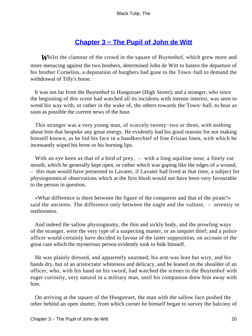## **[Chapter 3 − The Pupil of John de Witt](#page-226-0)**

**Whilst the clamour of the crowd in the square of Buytenhof, which grew more and** more menacing against the two brothers, determined John de Witt to hasten the departure of his brother Cornelius, a deputation of burghers had gone to the Town−hall to demand the withdrawal of Tilly's horse.

 It was not far from the Buytenhof to Hoogstraet (High Street); and a stranger, who since the beginning of this scene had watched all its incidents with intense interest, was seen to wend his way with, or rather in the wake of, the others towards the Town−hall, to hear as soon as possible the current news of the hour.

 This stranger was a very young man, of scarcely twenty−two or three, with nothing about him that bespoke any great energy. He evidently had his good reasons for not making himself known, as he hid his face in a handkerchief of fine Frisian linen, with which he incessantly wiped his brow or his burning lips.

With an eye keen as that of a bird of prey, – with a long aquiline nose, a finely cut mouth, which he generally kept open, or rather which was gaping like the edges of a wound, – this man would have presented to Lavater, if Lavater had lived at that time, a subject for physiognomical observations which at the first blush would not have been very favourable to the person in question.

 «What difference is there between the figure of the conqueror and that of the pirate?» said the ancients. The difference only between the eagle and the vulture, – serenity or restlessness.

 And indeed the sallow physiognomy, the thin and sickly body, and the prowling ways of the stranger, were the very type of a suspecting master, or an unquiet thief; and a police officer would certainly have decided in favour of the latter supposition, on account of the great care which the mysterious person evidently took to hide himself.

 He was plainly dressed, and apparently unarmed; his arm was lean but wiry, and his hands dry, but of an aristocratic whiteness and delicacy, and he leaned on the shoulder of an officer, who, with his hand on his sword, had watched the scenes in the Buytenhof with eager curiosity, very natural in a military man, until his companion drew him away with him.

 On arriving at the square of the Hoogstraet, the man with the sallow face pushed the other behind an open shutter, from which corner he himself began to survey the balcony of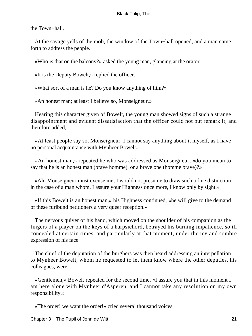the Town−hall.

 At the savage yells of the mob, the window of the Town−hall opened, and a man came forth to address the people.

«Who is that on the balcony?» asked the young man, glancing at the orator.

«It is the Deputy Bowelt,» replied the officer.

«What sort of a man is he? Do you know anything of him?»

«An honest man; at least I believe so, Monseigneur.»

 Hearing this character given of Bowelt, the young man showed signs of such a strange disappointment and evident dissatisfaction that the officer could not but remark it, and therefore added, –

 «At least people say so, Monseigneur. I cannot say anything about it myself, as I have no personal acquaintance with Mynheer Bowelt.»

 «An honest man,» repeated he who was addressed as Monseigneur; «do you mean to say that he is an honest man (brave homme), or a brave one (homme brave)?»

 «Ah, Monseigneur must excuse me; I would not presume to draw such a fine distinction in the case of a man whom, I assure your Highness once more, I know only by sight.»

 «If this Bowelt is an honest man,» his Highness continued, «he will give to the demand of these furibund petitioners a very queer reception.»

 The nervous quiver of his hand, which moved on the shoulder of his companion as the fingers of a player on the keys of a harpsichord, betrayed his burning impatience, so ill concealed at certain times, and particularly at that moment, under the icy and sombre expression of his face.

 The chief of the deputation of the burghers was then heard addressing an interpellation to Mynheer Bowelt, whom he requested to let them know where the other deputies, his colleagues, were.

 «Gentlemen,» Bowelt repeated for the second time, «I assure you that in this moment I am here alone with Mynheer d'Asperen, and I cannot take any resolution on my own responsibility.»

«The order! we want the order!» cried several thousand voices.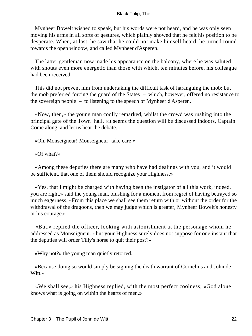Mynheer Bowelt wished to speak, but his words were not heard, and he was only seen moving his arms in all sorts of gestures, which plainly showed that he felt his position to be desperate. When, at last, he saw that he could not make himself heard, he turned round towards the open window, and called Mynheer d'Asperen.

 The latter gentleman now made his appearance on the balcony, where he was saluted with shouts even more energetic than those with which, ten minutes before, his colleague had been received.

 This did not prevent him from undertaking the difficult task of haranguing the mob; but the mob preferred forcing the guard of the States – which, however, offered no resistance to the sovereign people – to listening to the speech of Mynheer d'Asperen.

 «Now, then,» the young man coolly remarked, whilst the crowd was rushing into the principal gate of the Town−hall, «it seems the question will be discussed indoors, Captain. Come along, and let us hear the debate.»

«Oh, Monseigneur! Monseigneur! take care!»

«Of what?»

 «Among these deputies there are many who have had dealings with you, and it would be sufficient, that one of them should recognize your Highness.»

 «Yes, that I might be charged with having been the instigator of all this work, indeed, you are right,» said the young man, blushing for a moment from regret of having betrayed so much eagerness. «From this place we shall see them return with or without the order for the withdrawal of the dragoons, then we may judge which is greater, Mynheer Bowelt's honesty or his courage.»

 «But,» replied the officer, looking with astonishment at the personage whom he addressed as Monseigneur, «but your Highness surely does not suppose for one instant that the deputies will order Tilly's horse to quit their post?»

«Why not?» the young man quietly retorted.

 «Because doing so would simply be signing the death warrant of Cornelius and John de Witt.»

 «We shall see,» his Highness replied, with the most perfect coolness; «God alone knows what is going on within the hearts of men.»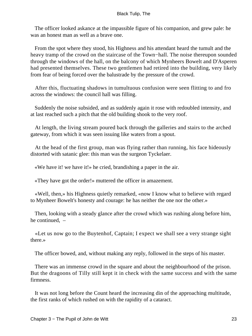The officer looked askance at the impassible figure of his companion, and grew pale: he was an honest man as well as a brave one.

 From the spot where they stood, his Highness and his attendant heard the tumult and the heavy tramp of the crowd on the staircase of the Town−hall. The noise thereupon sounded through the windows of the hall, on the balcony of which Mynheers Bowelt and D'Asperen had presented themselves. These two gentlemen had retired into the building, very likely from fear of being forced over the balustrade by the pressure of the crowd.

 After this, fluctuating shadows in tumultuous confusion were seen flitting to and fro across the windows: the council hall was filling.

 Suddenly the noise subsided, and as suddenly again it rose with redoubled intensity, and at last reached such a pitch that the old building shook to the very roof.

 At length, the living stream poured back through the galleries and stairs to the arched gateway, from which it was seen issuing like waters from a spout.

 At the head of the first group, man was flying rather than running, his face hideously distorted with satanic glee: this man was the surgeon Tyckelaer.

«We have it! we have it!» he cried, brandishing a paper in the air.

«They have got the order!» muttered the officer in amazement.

 «Well, then,» his Highness quietly remarked, «now I know what to believe with regard to Mynheer Bowelt's honesty and courage: he has neither the one nor the other.»

 Then, looking with a steady glance after the crowd which was rushing along before him, he continued, –

 «Let us now go to the Buytenhof, Captain; I expect we shall see a very strange sight there.»

The officer bowed, and, without making any reply, followed in the steps of his master.

 There was an immense crowd in the square and about the neighbourhood of the prison. But the dragoons of Tilly still kept it in check with the same success and with the same firmness.

 It was not long before the Count heard the increasing din of the approaching multitude, the first ranks of which rushed on with the rapidity of a cataract.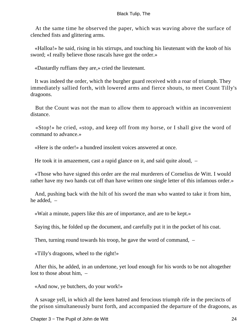At the same time he observed the paper, which was waving above the surface of clenched fists and glittering arms.

 «Halloa!» he said, rising in his stirrups, and touching his lieutenant with the knob of his sword; «I really believe those rascals have got the order.»

«Dastardly ruffians they are,» cried the lieutenant.

 It was indeed the order, which the burgher guard received with a roar of triumph. They immediately sallied forth, with lowered arms and fierce shouts, to meet Count Tilly's dragoons.

 But the Count was not the man to allow them to approach within an inconvenient distance.

 «Stop!» he cried, «stop, and keep off from my horse, or I shall give the word of command to advance.»

«Here is the order!» a hundred insolent voices answered at once.

He took it in amazement, cast a rapid glance on it, and said quite aloud, –

 «Those who have signed this order are the real murderers of Cornelius de Witt. I would rather have my two hands cut off than have written one single letter of this infamous order.»

 And, pushing back with the hilt of his sword the man who wanted to take it from him, he added, –

«Wait a minute, papers like this are of importance, and are to be kept.»

Saying this, he folded up the document, and carefully put it in the pocket of his coat.

Then, turning round towards his troop, he gave the word of command, –

«Tilly's dragoons, wheel to the right!»

 After this, he added, in an undertone, yet loud enough for his words to be not altogether lost to those about him, –

«And now, ye butchers, do your work!»

 A savage yell, in which all the keen hatred and ferocious triumph rife in the precincts of the prison simultaneously burst forth, and accompanied the departure of the dragoons, as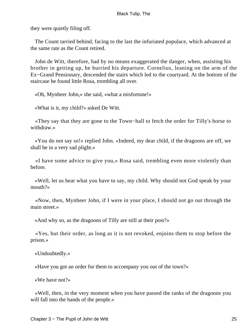they were quietly filing off.

 The Count tarried behind, facing to the last the infuriated populace, which advanced at the same rate as the Count retired.

 John de Witt, therefore, had by no means exaggerated the danger, when, assisting his brother in getting up, he hurried his departure. Cornelius, leaning on the arm of the Ex−Grand Pensionary, descended the stairs which led to the courtyard. At the bottom of the staircase he found little Rosa, trembling all over.

«Oh, Mynheer John,» she said, «what a misfortune!»

«What is it, my child?» asked De Witt.

 «They say that they are gone to the Town−hall to fetch the order for Tilly's horse to withdraw.»

 «You do not say so!» replied John. «Indeed, my dear child, if the dragoons are off, we shall be in a very sad plight.»

 «I have some advice to give you,» Rosa said, trembling even more violently than before.

 «Well, let us hear what you have to say, my child. Why should not God speak by your mouth?»

 «Now, then, Mynheer John, if I were in your place, I should not go out through the main street.»

«And why so, as the dragoons of Tilly are still at their post?»

 «Yes, but their order, as long as it is not revoked, enjoins them to stop before the prison.»

«Undoubtedly.»

«Have you got an order for them to accompany you out of the town?»

«We have not?»

 «Well, then, in the very moment when you have passed the ranks of the dragoons you will fall into the hands of the people.»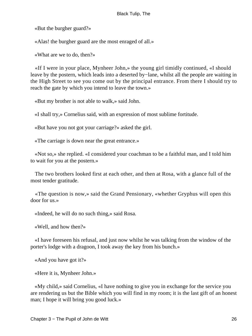«But the burgher guard?»

«Alas! the burgher guard are the most enraged of all.»

«What are we to do, then?»

 «If I were in your place, Mynheer John,» the young girl timidly continued, «I should leave by the postern, which leads into a deserted by−lane, whilst all the people are waiting in the High Street to see you come out by the principal entrance. From there I should try to reach the gate by which you intend to leave the town.»

«But my brother is not able to walk,» said John.

«I shall try,» Cornelius said, with an expression of most sublime fortitude.

«But have you not got your carriage?» asked the girl.

«The carriage is down near the great entrance.»

 «Not so,» she replied. «I considered your coachman to be a faithful man, and I told him to wait for you at the postern.»

 The two brothers looked first at each other, and then at Rosa, with a glance full of the most tender gratitude.

 «The question is now,» said the Grand Pensionary, «whether Gryphus will open this door for us.»

«Indeed, he will do no such thing,» said Rosa.

«Well, and how then?»

 «I have foreseen his refusal, and just now whilst he was talking from the window of the porter's lodge with a dragoon, I took away the key from his bunch.»

«And you have got it?»

«Here it is, Mynheer John.»

 «My child,» said Cornelius, «I have nothing to give you in exchange for the service you are rendering us but the Bible which you will find in my room; it is the last gift of an honest man; I hope it will bring you good luck.»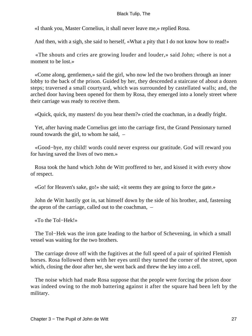«I thank you, Master Cornelius, it shall never leave me,» replied Rosa.

And then, with a sigh, she said to herself, «What a pity that I do not know how to read!»

 «The shouts and cries are growing louder and louder,» said John; «there is not a moment to be lost.»

 «Come along, gentlemen,» said the girl, who now led the two brothers through an inner lobby to the back of the prison. Guided by her, they descended a staircase of about a dozen steps; traversed a small courtyard, which was surrounded by castellated walls; and, the arched door having been opened for them by Rosa, they emerged into a lonely street where their carriage was ready to receive them.

«Quick, quick, my masters! do you hear them?» cried the coachman, in a deadly fright.

 Yet, after having made Cornelius get into the carriage first, the Grand Pensionary turned round towards the girl, to whom he said, –

 «Good−bye, my child! words could never express our gratitude. God will reward you for having saved the lives of two men.»

 Rosa took the hand which John de Witt proffered to her, and kissed it with every show of respect.

«Go! for Heaven's sake, go!» she said; «it seems they are going to force the gate.»

 John de Witt hastily got in, sat himself down by the side of his brother, and, fastening the apron of the carriage, called out to the coachman, –

«To the Tol−Hek!»

 The Tol−Hek was the iron gate leading to the harbor of Schevening, in which a small vessel was waiting for the two brothers.

 The carriage drove off with the fugitives at the full speed of a pair of spirited Flemish horses. Rosa followed them with her eyes until they turned the corner of the street, upon which, closing the door after her, she went back and threw the key into a cell.

 The noise which had made Rosa suppose that the people were forcing the prison door was indeed owing to the mob battering against it after the square had been left by the military.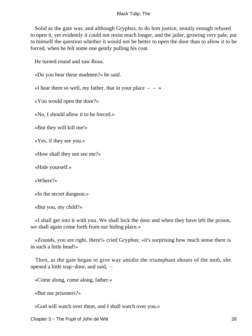Solid as the gate was, and although Gryphus, to do him justice, stoutly enough refused to open it, yet evidently it could not resist much longer, and the jailer, growing very pale, put to himself the question whether it would not be better to open the door than to allow it to be forced, when he felt some one gently pulling his coat.

He turned round and saw Rosa.

«Do you hear these madmen?» he said.

«I hear them so well, my father, that in your place  $-$  – »

«You would open the door?»

«No, I should allow it to be forced.»

«But they will kill me!»

«Yes, if they see you.»

«How shall they not see me?»

«Hide yourself.»

«Where?»

«In the secret dungeon.»

«But you, my child?»

 «I shall get into it with you. We shall lock the door and when they have left the prison, we shall again come forth from our hiding place.»

 «Zounds, you are right, there!» cried Gryphus; «it's surprising how much sense there is in such a little head!»

 Then, as the gate began to give way amidst the triumphant shouts of the mob, she opened a little trap−door, and said, –

«Come along, come along, father.»

«But our prisoners?»

«God will watch over them, and I shall watch over you.»

Chapter 3 − The Pupil of John de Witt 28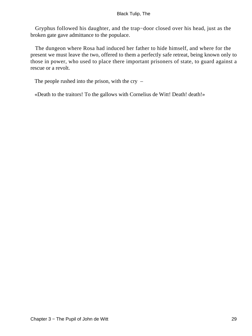Gryphus followed his daughter, and the trap−door closed over his head, just as the broken gate gave admittance to the populace.

 The dungeon where Rosa had induced her father to hide himself, and where for the present we must leave the two, offered to them a perfectly safe retreat, being known only to those in power, who used to place there important prisoners of state, to guard against a rescue or a revolt.

The people rushed into the prison, with the cry –

«Death to the traitors! To the gallows with Cornelius de Witt! Death! death!»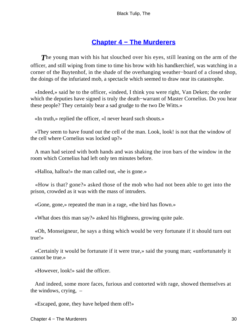### **[Chapter 4 − The Murderers](#page-226-0)**

**The young man with his hat slouched over his eyes, still leaning on the arm of the** officer, and still wiping from time to time his brow with his handkerchief, was watching in a corner of the Buytenhof, in the shade of the overhanging weather−board of a closed shop, the doings of the infuriated mob, a spectacle which seemed to draw near its catastrophe.

 «Indeed,» said he to the officer, «indeed, I think you were right, Van Deken; the order which the deputies have signed is truly the death−warrant of Master Cornelius. Do you hear these people? They certainly bear a sad grudge to the two De Witts.»

«In truth,» replied the officer, «I never heard such shouts.»

 «They seem to have found out the cell of the man. Look, look! is not that the window of the cell where Cornelius was locked up?»

 A man had seized with both hands and was shaking the iron bars of the window in the room which Cornelius had left only ten minutes before.

«Halloa, halloa!» the man called out, «he is gone.»

 «How is that? gone?» asked those of the mob who had not been able to get into the prison, crowded as it was with the mass of intruders.

«Gone, gone,» repeated the man in a rage, «the bird has flown.»

«What does this man say?» asked his Highness, growing quite pale.

 «Oh, Monseigneur, he says a thing which would be very fortunate if it should turn out true!»

 «Certainly it would be fortunate if it were true,» said the young man; «unfortunately it cannot be true.»

«However, look!» said the officer.

 And indeed, some more faces, furious and contorted with rage, showed themselves at the windows, crying, –

«Escaped, gone, they have helped them off!»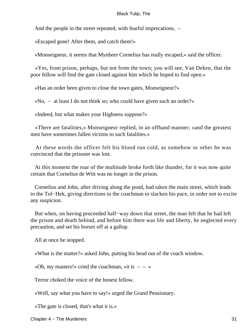And the people in the street repeated, with fearful imprecations, –

«Escaped gone! After them, and catch them!»

«Monseigneur, it seems that Mynheer Cornelius has really escaped,» said the officer.

 «Yes, from prison, perhaps, but not from the town; you will see, Van Deken, that the poor fellow will find the gate closed against him which he hoped to find open.»

«Has an order been given to close the town gates, Monseigneur?»

«No, – at least I do not think so; who could have given such an order?»

«Indeed, but what makes your Highness suppose?»

 «There are fatalities,» Monseigneur replied, in an offhand manner; «and the greatest men have sometimes fallen victims to such fatalities.»

 At these words the officer felt his blood run cold, as somehow or other he was convinced that the prisoner was lost.

 At this moment the roar of the multitude broke forth like thunder, for it was now quite certain that Cornelius de Witt was no longer in the prison.

 Cornelius and John, after driving along the pond, had taken the main street, which leads to the Tol−Hek, giving directions to the coachman to slacken his pace, in order not to excite any suspicion.

 But when, on having proceeded half−way down that street, the man felt that he had left the prison and death behind, and before him there was life and liberty, he neglected every precaution, and set his horses off at a gallop.

All at once he stopped.

«What is the matter?» asked John, putting his head out of the coach window.

«Oh, my masters!» cried the coachman, «it is  $-$  – »

Terror choked the voice of the honest fellow.

«Well, say what you have to say!» urged the Grand Pensionary.

«The gate is closed, that's what it is.»

Chapter 4 − The Murderers 31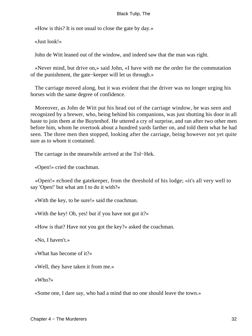«How is this? It is not usual to close the gate by day.»

«Just look!»

John de Witt leaned out of the window, and indeed saw that the man was right.

 «Never mind, but drive on,» said John, «I have with me the order for the commutation of the punishment, the gate−keeper will let us through.»

 The carriage moved along, but it was evident that the driver was no longer urging his horses with the same degree of confidence.

 Moreover, as John de Witt put his head out of the carriage window, he was seen and recognized by a brewer, who, being behind his companions, was just shutting his door in all haste to join them at the Buytenhof. He uttered a cry of surprise, and ran after two other men before him, whom he overtook about a hundred yards farther on, and told them what he had seen. The three men then stopped, looking after the carriage, being however not yet quite sure as to whom it contained.

The carriage in the meanwhile arrived at the Tol−Hek.

«Open!» cried the coachman.

 «Open!» echoed the gatekeeper, from the threshold of his lodge; «it's all very well to say 'Open!' but what am I to do it with?»

«With the key, to be sure!» said the coachman.

«With the key! Oh, yes! but if you have not got it?»

«How is that? Have not you got the key?» asked the coachman.

«No, I haven't.»

«What has become of it?»

«Well, they have taken it from me.»

«Who?»

«Some one, I dare say, who had a mind that no one should leave the town.»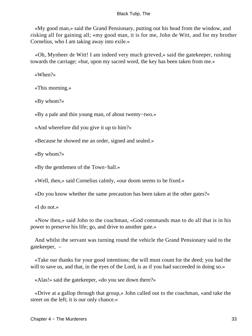«My good man,» said the Grand Pensionary, putting out his head from the window, and risking all for gaining all; «my good man, it is for me, John de Witt, and for my brother Cornelius, who I am taking away into exile.»

 «Oh, Mynheer de Witt! I am indeed very much grieved,» said the gatekeeper, rushing towards the carriage; «but, upon my sacred word, the key has been taken from me.»

«When?»

«This morning.»

«By whom?»

«By a pale and thin young man, of about twenty−two.»

«And wherefore did you give it up to him?»

«Because he showed me an order, signed and sealed.»

«By whom?»

«By the gentlemen of the Town−hall.»

«Well, then,» said Cornelius calmly, «our doom seems to be fixed.»

«Do you know whether the same precaution has been taken at the other gates?»

«I do not.»

 «Now then,» said John to the coachman, «God commands man to do all that is in his power to preserve his life; go, and drive to another gate.»

 And whilst the servant was turning round the vehicle the Grand Pensionary said to the gatekeeper, –

 «Take our thanks for your good intentions; the will must count for the deed; you had the will to save us, and that, in the eyes of the Lord, is as if you had succeeded in doing so.»

«Alas!» said the gatekeeper, «do you see down there?»

 «Drive at a gallop through that group,» John called out to the coachman, «and take the street on the left; it is our only chance.»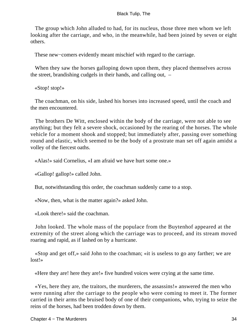The group which John alluded to had, for its nucleus, those three men whom we left looking after the carriage, and who, in the meanwhile, had been joined by seven or eight others.

These new−comers evidently meant mischief with regard to the carriage.

When they saw the horses galloping down upon them, they placed themselves across the street, brandishing cudgels in their hands, and calling out, –

«Stop! stop!»

 The coachman, on his side, lashed his horses into increased speed, until the coach and the men encountered.

 The brothers De Witt, enclosed within the body of the carriage, were not able to see anything; but they felt a severe shock, occasioned by the rearing of the horses. The whole vehicle for a moment shook and stopped; but immediately after, passing over something round and elastic, which seemed to be the body of a prostrate man set off again amidst a volley of the fiercest oaths.

«Alas!» said Cornelius, «I am afraid we have hurt some one.»

«Gallop! gallop!» called John.

But, notwithstanding this order, the coachman suddenly came to a stop.

«Now, then, what is the matter again?» asked John.

«Look there!» said the coachman.

 John looked. The whole mass of the populace from the Buytenhof appeared at the extremity of the street along which the carriage was to proceed, and its stream moved roaring and rapid, as if lashed on by a hurricane.

 «Stop and get off,» said John to the coachman; «it is useless to go any farther; we are lost!»

«Here they are! here they are!» five hundred voices were crying at the same time.

 «Yes, here they are, the traitors, the murderers, the assassins!» answered the men who were running after the carriage to the people who were coming to meet it. The former carried in their arms the bruised body of one of their companions, who, trying to seize the reins of the horses, had been trodden down by them.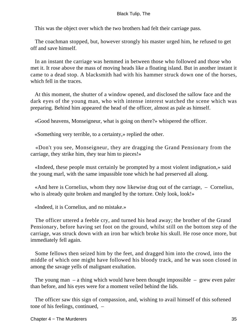This was the object over which the two brothers had felt their carriage pass.

 The coachman stopped, but, however strongly his master urged him, he refused to get off and save himself.

 In an instant the carriage was hemmed in between those who followed and those who met it. It rose above the mass of moving heads like a floating island. But in another instant it came to a dead stop. A blacksmith had with his hammer struck down one of the horses, which fell in the traces.

 At this moment, the shutter of a window opened, and disclosed the sallow face and the dark eyes of the young man, who with intense interest watched the scene which was preparing. Behind him appeared the head of the officer, almost as pale as himself.

«Good heavens, Monseigneur, what is going on there?» whispered the officer.

«Something very terrible, to a certainty,» replied the other.

 «Don't you see, Monseigneur, they are dragging the Grand Pensionary from the carriage, they strike him, they tear him to pieces!»

 «Indeed, these people must certainly be prompted by a most violent indignation,» said the young marl, with the same impassible tone which he had preserved all along.

 «And here is Cornelius, whom they now likewise drag out of the carriage, – Cornelius, who is already quite broken and mangled by the torture. Only look, look!»

«Indeed, it is Cornelius, and no mistake.»

 The officer uttered a feeble cry, and turned his head away; the brother of the Grand Pensionary, before having set foot on the ground, whilst still on the bottom step of the carriage, was struck down with an iron bar which broke his skull. He rose once more, but immediately fell again.

 Some fellows then seized him by the feet, and dragged him into the crowd, into the middle of which one might have followed his bloody track, and he was soon closed in among the savage yells of malignant exultation.

The young man – a thing which would have been thought impossible – grew even paler than before, and his eyes were for a moment veiled behind the lids.

 The officer saw this sign of compassion, and, wishing to avail himself of this softened tone of his feelings, continued, –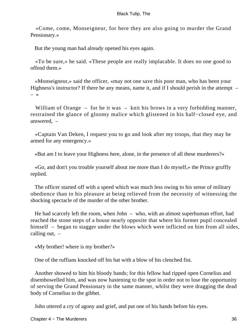«Come, come, Monseigneur, for here they are also going to murder the Grand Pensionary.»

But the young man had already opened his eyes again.

 «To be sure,» he said. «These people are really implacable. It does no one good to offend them.»

 «Monseigneur,» said the officer, «may not one save this poor man, who has been your Highness's instructor? If there be any means, name it, and if I should perish in the attempt  $-$ – »

William of Orange – for he it was – knit his brows in a very forbidding manner, restrained the glance of gloomy malice which glistened in his half−closed eye, and answered, –

 «Captain Van Deken, I request you to go and look after my troops, that they may be armed for any emergency.»

«But am I to leave your Highness here, alone, in the presence of all these murderers?»

 «Go, and don't you trouble yourself about me more than I do myself,» the Prince gruffly replied.

 The officer started off with a speed which was much less owing to his sense of military obedience than to his pleasure at being relieved from the necessity of witnessing the shocking spectacle of the murder of the other brother.

 He had scarcely left the room, when John – who, with an almost superhuman effort, had reached the stone steps of a house nearly opposite that where his former pupil concealed himself – began to stagger under the blows which were inflicted on him from all sides, calling out,  $-$ 

«My brother! where is my brother?»

One of the ruffians knocked off his hat with a blow of his clenched fist.

 Another showed to him his bloody hands; for this fellow had ripped open Cornelius and disembowelled him, and was now hastening to the spot in order not to lose the opportunity of serving the Grand Pensionary in the same manner, whilst they were dragging the dead body of Cornelius to the gibbet.

John uttered a cry of agony and grief, and put one of his hands before his eyes.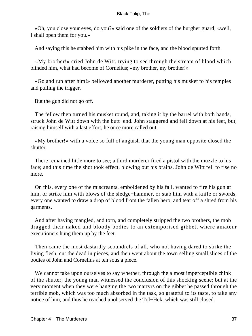«Oh, you close your eyes, do you?» said one of the soldiers of the burgher guard; «well, I shall open them for you.»

And saying this he stabbed him with his pike in the face, and the blood spurted forth.

 «My brother!» cried John de Witt, trying to see through the stream of blood which blinded him, what had become of Cornelius; «my brother, my brother!»

 «Go and run after him!» bellowed another murderer, putting his musket to his temples and pulling the trigger.

But the gun did not go off.

 The fellow then turned his musket round, and, taking it by the barrel with both hands, struck John de Witt down with the butt−end. John staggered and fell down at his feet, but, raising himself with a last effort, he once more called out, –

 «My brother!» with a voice so full of anguish that the young man opposite closed the shutter.

 There remained little more to see; a third murderer fired a pistol with the muzzle to his face; and this time the shot took effect, blowing out his brains. John de Witt fell to rise no more.

 On this, every one of the miscreants, emboldened by his fall, wanted to fire his gun at him, or strike him with blows of the sledge−hammer, or stab him with a knife or swords, every one wanted to draw a drop of blood from the fallen hero, and tear off a shred from his garments.

 And after having mangled, and torn, and completely stripped the two brothers, the mob dragged their naked and bloody bodies to an extemporised gibbet, where amateur executioners hung them up by the feet.

 Then came the most dastardly scoundrels of all, who not having dared to strike the living flesh, cut the dead in pieces, and then went about the town selling small slices of the bodies of John and Cornelius at ten sous a piece.

We cannot take upon ourselves to say whether, through the almost imperceptible chink of the shutter, the young man witnessed the conclusion of this shocking scene; but at the very moment when they were hanging the two martyrs on the gibbet he passed through the terrible mob, which was too much absorbed in the task, so grateful to its taste, to take any notice of him, and thus he reached unobserved the Tol−Hek, which was still closed.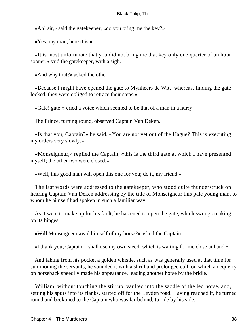«Ah! sir,» said the gatekeeper, «do you bring me the key?»

«Yes, my man, here it is.»

 «It is most unfortunate that you did not bring me that key only one quarter of an hour sooner,» said the gatekeeper, with a sigh.

«And why that?» asked the other.

 «Because I might have opened the gate to Mynheers de Witt; whereas, finding the gate locked, they were obliged to retrace their steps.»

«Gate! gate!» cried a voice which seemed to be that of a man in a hurry.

The Prince, turning round, observed Captain Van Deken.

 «Is that you, Captain?» he said. «You are not yet out of the Hague? This is executing my orders very slowly.»

 «Monseigneur,» replied the Captain, «this is the third gate at which I have presented myself; the other two were closed.»

«Well, this good man will open this one for you; do it, my friend.»

 The last words were addressed to the gatekeeper, who stood quite thunderstruck on hearing Captain Van Deken addressing by the title of Monseigneur this pale young man, to whom he himself had spoken in such a familiar way.

 As it were to make up for his fault, he hastened to open the gate, which swung creaking on its hinges.

«Will Monseigneur avail himself of my horse?» asked the Captain.

«I thank you, Captain, I shall use my own steed, which is waiting for me close at hand.»

 And taking from his pocket a golden whistle, such as was generally used at that time for summoning the servants, he sounded it with a shrill and prolonged call, on which an equerry on horseback speedily made his appearance, leading another horse by the bridle.

 William, without touching the stirrup, vaulted into the saddle of the led horse, and, setting his spurs into its flanks, started off for the Leyden road. Having reached it, he turned round and beckoned to the Captain who was far behind, to ride by his side.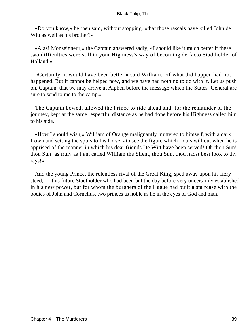«Do you know,» he then said, without stopping, «that those rascals have killed John de Witt as well as his brother?»

 «Alas! Monseigneur,» the Captain answered sadly, «I should like it much better if these two difficulties were still in your Highness's way of becoming de facto Stadtholder of Holland.»

 «Certainly, it would have been better,» said William, «if what did happen had not happened. But it cannot be helped now, and we have had nothing to do with it. Let us push on, Captain, that we may arrive at Alphen before the message which the States−General are sure to send to me to the camp.»

 The Captain bowed, allowed the Prince to ride ahead and, for the remainder of the journey, kept at the same respectful distance as he had done before his Highness called him to his side.

 «How I should wish,» William of Orange malignantly muttered to himself, with a dark frown and setting the spurs to his horse, «to see the figure which Louis will cut when he is apprised of the manner in which his dear friends De Witt have been served! Oh thou Sun! thou Sun! as truly as I am called William the Silent, thou Sun, thou hadst best look to thy rays!»

 And the young Prince, the relentless rival of the Great King, sped away upon his fiery steed, – this future Stadtholder who had been but the day before very uncertainly established in his new power, but for whom the burghers of the Hague had built a staircase with the bodies of John and Cornelius, two princes as noble as he in the eyes of God and man.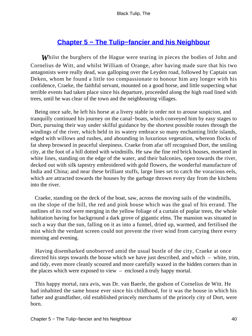# **[Chapter 5 − The Tulip−fancier and his Neighbour](#page-226-0)**

*W*hilst the burghers of the Hague were tearing in pieces the bodies of John and Cornelius de Witt, and whilst William of Orange, after having made sure that his two antagonists were really dead, was galloping over the Leyden road, followed by Captain van Deken, whom he found a little too compassionate to honour him any longer with his confidence, Craeke, the faithful servant, mounted on a good horse, and little suspecting what terrible events had taken place since his departure, proceeded along the high road lined with trees, until he was clear of the town and the neighbouring villages.

 Being once safe, he left his horse at a livery stable in order not to arouse suspicion, and tranquilly continued his journey on the canal−boats, which conveyed him by easy stages to Dort, pursuing their way under skilful guidance by the shortest possible routes through the windings of the river, which held in its watery embrace so many enchanting little islands, edged with willows and rushes, and abounding in luxurious vegetation, whereon flocks of fat sheep browsed in peaceful sleepiness. Craeke from afar off recognised Dort, the smiling city, at the foot of a hill dotted with windmills. He saw the fine red brick houses, mortared in white lines, standing on the edge of the water, and their balconies, open towards the river, decked out with silk tapestry embroidered with gold flowers, the wonderful manufacture of India and China; and near these brilliant stuffs, large lines set to catch the voracious eels, which are attracted towards the houses by the garbage thrown every day from the kitchens into the river.

 Craeke, standing on the deck of the boat, saw, across the moving sails of the windmills, on the slope of the hill, the red and pink house which was the goal of his errand. The outlines of its roof were merging in the yellow foliage of a curtain of poplar trees, the whole habitation having for background a dark grove of gigantic elms. The mansion was situated in such a way that the sun, falling on it as into a funnel, dried up, warmed, and fertilised the mist which the verdant screen could not prevent the river wind from carrying there every morning and evening.

 Having disembarked unobserved amid the usual bustle of the city, Craeke at once directed his steps towards the house which we have just described, and which – white, trim, and tidy, even more cleanly scoured and more carefully waxed in the hidden corners than in the places which were exposed to view – enclosed a truly happy mortal.

 This happy mortal, rara avis, was Dr. van Baerle, the godson of Cornelius de Witt. He had inhabited the same house ever since his childhood, for it was the house in which his father and grandfather, old established princely merchants of the princely city of Dort, were born.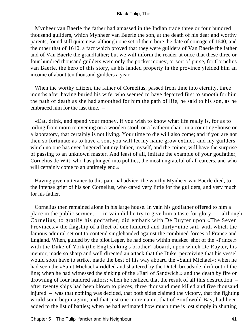Mynheer van Baerle the father had amassed in the Indian trade three or four hundred thousand guilders, which Mynheer van Baerle the son, at the death of his dear and worthy parents, found still quite new, although one set of them bore the date of coinage of 1640, and the other that of 1610, a fact which proved that they were guilders of Van Baerle the father and of Van Baerle the grandfather; but we will inform the reader at once that these three or four hundred thousand guilders were only the pocket money, or sort of purse, for Cornelius van Baerle, the hero of this story, as his landed property in the province yielded him an income of about ten thousand guilders a year.

 When the worthy citizen, the father of Cornelius, passed from time into eternity, three months after having buried his wife, who seemed to have departed first to smooth for him the path of death as she had smoothed for him the path of life, he said to his son, as he embraced him for the last time, –

 «Eat, drink, and spend your money, if you wish to know what life really is, for as to toiling from morn to evening on a wooden stool, or a leathern chair, in a counting−house or a laboratory, that certainly is not living. Your time to die will also come; and if you are not then so fortunate as to have a son, you will let my name grow extinct, and my guilders, which no one has ever fingered but my father, myself, and the coiner, will have the surprise of passing to an unknown master. And least of all, imitate the example of your godfather, Cornelius de Witt, who has plunged into politics, the most ungrateful of all careers, and who will certainly come to an untimely end.»

 Having given utterance to this paternal advice, the worthy Mynheer van Baerle died, to the intense grief of his son Cornelius, who cared very little for the guilders, and very much for his father.

 Cornelius then remained alone in his large house. In vain his godfather offered to him a place in the public service,  $-$  in vain did he try to give him a taste for glory,  $-$  although Cornelius, to gratify his godfather, did embark with De Ruyter upon «The Seven Provinces,» the flagship of a fleet of one hundred and thirty−nine sail, with which the famous admiral set out to contend singlehanded against the combined forces of France and England. When, guided by the pilot Leger, he had come within musket−shot of the «Prince,» with the Duke of York (the English king's brother) aboard, upon which De Ruyter, his mentor, made so sharp and well directed an attack that the Duke, perceiving that his vessel would soon have to strike, made the best of his way aboard the «Saint Michael»; when he had seen the «Saint Michael,» riddled and shattered by the Dutch broadside, drift out of the line; when he had witnessed the sinking of the «Earl of Sandwich,» and the death by fire or drowning of four hundred sailors; when he realized that the result of all this destruction – after twenty ships had been blown to pieces, three thousand men killed and five thousand injured – was that nothing was decided, that both sides claimed the victory, that the fighting would soon begin again, and that just one more name, that of Southwold Bay, had been added to the list of battles; when he had estimated how much time is lost simply in shutting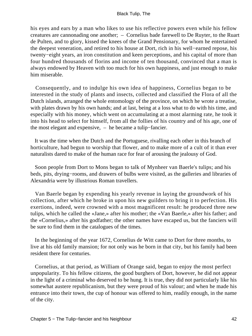his eyes and ears by a man who likes to use his reflective powers even while his fellow creatures are cannonading one another; – Cornelius bade farewell to De Ruyter, to the Ruart de Pulten, and to glory, kissed the knees of the Grand Pensionary, for whom he entertained the deepest veneration, and retired to his house at Dort, rich in his well−earned repose, his twenty−eight years, an iron constitution and keen perceptions, and his capital of more than four hundred thousands of florins and income of ten thousand, convinced that a man is always endowed by Heaven with too much for his own happiness, and just enough to make him miserable.

 Consequently, and to indulge his own idea of happiness, Cornelius began to be interested in the study of plants and insects, collected and classified the Flora of all the Dutch islands, arranged the whole entomology of the province, on which he wrote a treatise, with plates drawn by his own hands; and at last, being at a loss what to do with his time, and especially with his money, which went on accumulating at a most alarming rate, he took it into his head to select for himself, from all the follies of his country and of his age, one of the most elegant and expensive, – he became a tulip−fancier.

 It was the time when the Dutch and the Portuguese, rivalling each other in this branch of horticulture, had begun to worship that flower, and to make more of a cult of it than ever naturalists dared to make of the human race for fear of arousing the jealousy of God.

 Soon people from Dort to Mons began to talk of Mynheer van Baerle's tulips; and his beds, pits, drying−rooms, and drawers of bulbs were visited, as the galleries and libraries of Alexandria were by illustrious Roman travellers.

 Van Baerle began by expending his yearly revenue in laying the groundwork of his collection, after which he broke in upon his new guilders to bring it to perfection. His exertions, indeed, were crowned with a most magnificent result: he produced three new tulips, which he called the «Jane,» after his mother; the «Van Baerle,» after his father; and the «Cornelius,» after his godfather; the other names have escaped us, but the fanciers will be sure to find them in the catalogues of the times.

 In the beginning of the year 1672, Cornelius de Witt came to Dort for three months, to live at his old family mansion; for not only was he born in that city, but his family had been resident there for centuries.

 Cornelius, at that period, as William of Orange said, began to enjoy the most perfect unpopularity. To his fellow citizens, the good burghers of Dort, however, he did not appear in the light of a criminal who deserved to be hung. It is true, they did not particularly like his somewhat austere republicanism, but they were proud of his valour; and when he made his entrance into their town, the cup of honour was offered to him, readily enough, in the name of the city.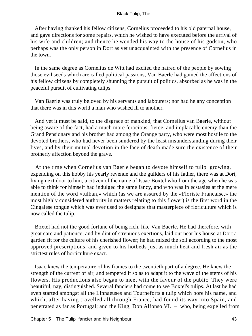After having thanked his fellow citizens, Cornelius proceeded to his old paternal house, and gave directions for some repairs, which he wished to have executed before the arrival of his wife and children; and thence he wended his way to the house of his godson, who perhaps was the only person in Dort as yet unacquainted with the presence of Cornelius in the town.

 In the same degree as Cornelius de Witt had excited the hatred of the people by sowing those evil seeds which are called political passions, Van Baerle had gained the affections of his fellow citizens by completely shunning the pursuit of politics, absorbed as he was in the peaceful pursuit of cultivating tulips.

 Van Baerle was truly beloved by his servants and labourers; nor had he any conception that there was in this world a man who wished ill to another.

 And yet it must be said, to the disgrace of mankind, that Cornelius van Baerle, without being aware of the fact, had a much more ferocious, fierce, and implacable enemy than the Grand Pensionary and his brother had among the Orange party, who were most hostile to the devoted brothers, who had never been sundered by the least misunderstanding during their lives, and by their mutual devotion in the face of death made sure the existence of their brotherly affection beyond the grave.

 At the time when Cornelius van Baerle began to devote himself to tulip−growing, expending on this hobby his yearly revenue and the guilders of his father, there was at Dort, living next door to him, a citizen of the name of Isaac Boxtel who from the age when he was able to think for himself had indulged the same fancy, and who was in ecstasies at the mere mention of the word «tulban,» which (as we are assured by the «Floriste Francaise,» the most highly considered authority in matters relating to this flower) is the first word in the Cingalese tongue which was ever used to designate that masterpiece of floriculture which is now called the tulip.

 Boxtel had not the good fortune of being rich, like Van Baerle. He had therefore, with great care and patience, and by dint of strenuous exertions, laid out near his house at Dort a garden fit for the culture of his cherished flower; he had mixed the soil according to the most approved prescriptions, and given to his hotbeds just as much heat and fresh air as the strictest rules of horticulture exact.

 Isaac knew the temperature of his frames to the twentieth part of a degree. He knew the strength of the current of air, and tempered it so as to adapt it to the wave of the stems of his flowers. His productions also began to meet with the favour of the public. They were beautiful, nay, distinguished. Several fanciers had come to see Boxtel's tulips. At last he had even started amongst all the Linnaeuses and Tourneforts a tulip which bore his name, and which, after having travelled all through France, had found its way into Spain, and penetrated as far as Portugal; and the King, Don Alfonso VI. – who, being expelled from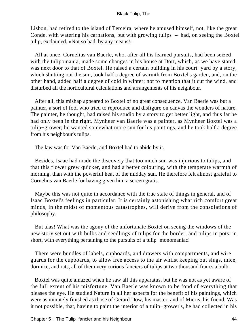Lisbon, had retired to the island of Terceira, where he amused himself, not, like the great Conde, with watering his carnations, but with growing tulips – had, on seeing the Boxtel tulip, exclaimed, «Not so bad, by any means!»

 All at once, Cornelius van Baerle, who, after all his learned pursuits, had been seized with the tulipomania, made some changes in his house at Dort, which, as we have stated, was next door to that of Boxtel. He raised a certain building in his court−yard by a story, which shutting out the sun, took half a degree of warmth from Boxtel's garden, and, on the other hand, added half a degree of cold in winter; not to mention that it cut the wind, and disturbed all the horticultural calculations and arrangements of his neighbour.

 After all, this mishap appeared to Boxtel of no great consequence. Van Baerle was but a painter, a sort of fool who tried to reproduce and disfigure on canvas the wonders of nature. The painter, he thought, had raised his studio by a story to get better light, and thus far he had only been in the right. Mynheer van Baerle was a painter, as Mynheer Boxtel was a tulip−grower; he wanted somewhat more sun for his paintings, and he took half a degree from his neighbour's tulips.

The law was for Van Baerle, and Boxtel had to abide by it.

 Besides, Isaac had made the discovery that too much sun was injurious to tulips, and that this flower grew quicker, and had a better colouring, with the temperate warmth of morning, than with the powerful heat of the midday sun. He therefore felt almost grateful to Cornelius van Baerle for having given him a screen gratis.

 Maybe this was not quite in accordance with the true state of things in general, and of Isaac Boxtel's feelings in particular. It is certainly astonishing what rich comfort great minds, in the midst of momentous catastrophes, will derive from the consolations of philosophy.

 But alas! What was the agony of the unfortunate Boxtel on seeing the windows of the new story set out with bulbs and seedlings of tulips for the border, and tulips in pots; in short, with everything pertaining to the pursuits of a tulip−monomaniac!

 There were bundles of labels, cupboards, and drawers with compartments, and wire guards for the cupboards, to allow free access to the air whilst keeping out slugs, mice, dormice, and rats, all of them very curious fanciers of tulips at two thousand francs a bulb.

 Boxtel was quite amazed when he saw all this apparatus, but he was not as yet aware of the full extent of his misfortune. Van Baerle was known to be fond of everything that pleases the eye. He studied Nature in all her aspects for the benefit of his paintings, which were as minutely finished as those of Gerard Dow, his master, and of Mieris, his friend. Was it not possible, that, having to paint the interior of a tulip−grower's, he had collected in his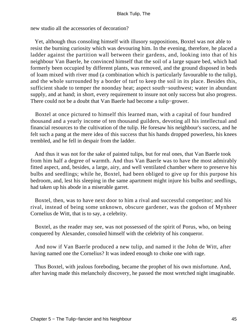new studio all the accessories of decoration?

 Yet, although thus consoling himself with illusory suppositions, Boxtel was not able to resist the burning curiosity which was devouring him. In the evening, therefore, he placed a ladder against the partition wall between their gardens, and, looking into that of his neighbour Van Baerle, he convinced himself that the soil of a large square bed, which had formerly been occupied by different plants, was removed, and the ground disposed in beds of loam mixed with river mud (a combination which is particularly favourable to the tulip), and the whole surrounded by a border of turf to keep the soil in its place. Besides this, sufficient shade to temper the noonday heat; aspect south−southwest; water in abundant supply, and at hand; in short, every requirement to insure not only success but also progress. There could not be a doubt that Van Baerle had become a tulip−grower.

 Boxtel at once pictured to himself this learned man, with a capital of four hundred thousand and a yearly income of ten thousand guilders, devoting all his intellectual and financial resources to the cultivation of the tulip. He foresaw his neighbour's success, and he felt such a pang at the mere idea of this success that his hands dropped powerless, his knees trembled, and he fell in despair from the ladder.

 And thus it was not for the sake of painted tulips, but for real ones, that Van Baerle took from him half a degree of warmth. And thus Van Baerle was to have the most admirably fitted aspect, and, besides, a large, airy, and well ventilated chamber where to preserve his bulbs and seedlings; while he, Boxtel, had been obliged to give up for this purpose his bedroom, and, lest his sleeping in the same apartment might injure his bulbs and seedlings, had taken up his abode in a miserable garret.

 Boxtel, then, was to have next door to him a rival and successful competitor; and his rival, instead of being some unknown, obscure gardener, was the godson of Mynheer Cornelius de Witt, that is to say, a celebrity.

 Boxtel, as the reader may see, was not possessed of the spirit of Porus, who, on being conquered by Alexander, consoled himself with the celebrity of his conqueror.

 And now if Van Baerle produced a new tulip, and named it the John de Witt, after having named one the Cornelius? It was indeed enough to choke one with rage.

 Thus Boxtel, with jealous foreboding, became the prophet of his own misfortune. And, after having made this melancholy discovery, he passed the most wretched night imaginable.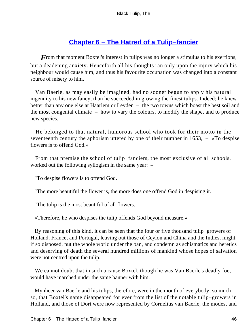# **[Chapter 6 − The Hatred of a Tulip−fancier](#page-226-0)**

*F*rom that moment Boxtel's interest in tulips was no longer a stimulus to his exertions, but a deadening anxiety. Henceforth all his thoughts ran only upon the injury which his neighbour would cause him, and thus his favourite occupation was changed into a constant source of misery to him.

 Van Baerle, as may easily be imagined, had no sooner begun to apply his natural ingenuity to his new fancy, than he succeeded in growing the finest tulips. Indeed; he knew better than any one else at Haarlem or Leyden – the two towns which boast the best soil and the most congenial climate – how to vary the colours, to modify the shape, and to produce new species.

 He belonged to that natural, humorous school who took for their motto in the seventeenth century the aphorism uttered by one of their number in 1653, – «To despise flowers is to offend God.»

 From that premise the school of tulip−fanciers, the most exclusive of all schools, worked out the following syllogism in the same year: –

"To despise flowers is to offend God.

"The more beautiful the flower is, the more does one offend God in despising it.

"The tulip is the most beautiful of all flowers.

«Therefore, he who despises the tulip offends God beyond measure.»

 By reasoning of this kind, it can be seen that the four or five thousand tulip−growers of Holland, France, and Portugal, leaving out those of Ceylon and China and the Indies, might, if so disposed, put the whole world under the ban, and condemn as schismatics and heretics and deserving of death the several hundred millions of mankind whose hopes of salvation were not centred upon the tulip.

 We cannot doubt that in such a cause Boxtel, though he was Van Baerle's deadly foe, would have marched under the same banner with him.

 Mynheer van Baerle and his tulips, therefore, were in the mouth of everybody; so much so, that Boxtel's name disappeared for ever from the list of the notable tulip−growers in Holland, and those of Dort were now represented by Cornelius van Baerle, the modest and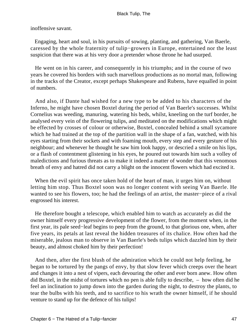inoffensive savant.

 Engaging, heart and soul, in his pursuits of sowing, planting, and gathering, Van Baerle, caressed by the whole fraternity of tulip−growers in Europe, entertained nor the least suspicion that there was at his very door a pretender whose throne he had usurped.

 He went on in his career, and consequently in his triumphs; and in the course of two years he covered his borders with such marvellous productions as no mortal man, following in the tracks of the Creator, except perhaps Shakespeare and Rubens, have equalled in point of numbers.

 And also, if Dante had wished for a new type to be added to his characters of the Inferno, he might have chosen Boxtel during the period of Van Baerle's successes. Whilst Cornelius was weeding, manuring, watering his beds, whilst, kneeling on the turf border, he analysed every vein of the flowering tulips, and meditated on the modifications which might be effected by crosses of colour or otherwise, Boxtel, concealed behind a small sycamore which he had trained at the top of the partition wall in the shape of a fan, watched, with his eyes starting from their sockets and with foaming mouth, every step and every gesture of his neighbour; and whenever he thought he saw him look happy, or descried a smile on his lips, or a flash of contentment glistening in his eyes, he poured out towards him such a volley of maledictions and furious threats as to make it indeed a matter of wonder that this venomous breath of envy and hatred did not carry a blight on the innocent flowers which had excited it.

When the evil spirit has once taken hold of the heart of man, it urges him on, without letting him stop. Thus Boxtel soon was no longer content with seeing Van Baerle. He wanted to see his flowers, too; he had the feelings of an artist, the master−piece of a rival engrossed his interest.

 He therefore bought a telescope, which enabled him to watch as accurately as did the owner himself every progressive development of the flower, from the moment when, in the first year, its pale seed−leaf begins to peep from the ground, to that glorious one, when, after five years, its petals at last reveal the hidden treasures of its chalice. How often had the miserable, jealous man to observe in Van Baerle's beds tulips which dazzled him by their beauty, and almost choked him by their perfection!

 And then, after the first blush of the admiration which he could not help feeling, he began to be tortured by the pangs of envy, by that slow fever which creeps over the heart and changes it into a nest of vipers, each devouring the other and ever born anew. How often did Boxtel, in the midst of tortures which no pen is able fully to describe, – how often did he feel an inclination to jump down into the garden during the night, to destroy the plants, to tear the bulbs with his teeth, and to sacrifice to his wrath the owner himself, if he should venture to stand up for the defence of his tulips!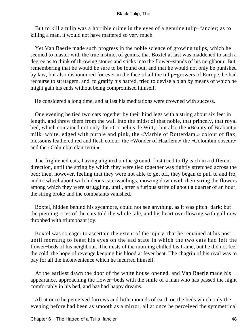But to kill a tulip was a horrible crime in the eyes of a genuine tulip−fancier; as to killing a man, it would not have mattered so very much.

 Yet Van Baerle made such progress in the noble science of growing tulips, which he seemed to master with the true instinct of genius, that Boxtel at last was maddened to such a degree as to think of throwing stones and sticks into the flower−stands of his neighbour. But, remembering that he would be sure to be found out, and that he would not only be punished by law, but also dishonoured for ever in the face of all the tulip−growers of Europe, he had recourse to stratagem, and, to gratify his hatred, tried to devise a plan by means of which he might gain his ends without being compromised himself.

He considered a long time, and at last his meditations were crowned with success.

 One evening he tied two cats together by their hind legs with a string about six feet in length, and threw them from the wall into the midst of that noble, that princely, that royal bed, which contained not only the «Cornelius de Witt,» but also the «Beauty of Brabant,» milk−white, edged with purple and pink, the «Marble of Rotterdam,» colour of flax, blossoms feathered red and flesh colour, the «Wonder of Haarlem,» the «Colombin obscur,» and the «Columbin clair terni.»

 The frightened cats, having alighted on the ground, first tried to fly each in a different direction, until the string by which they were tied together was tightly stretched across the bed; then, however, feeling that they were not able to get off, they began to pull to and fro, and to wheel about with hideous caterwaulings, mowing down with their string the flowers among which they were struggling, until, after a furious strife of about a quarter of an hour, the string broke and the combatants vanished.

 Boxtel, hidden behind his sycamore, could not see anything, as it was pitch−dark; but the piercing cries of the cats told the whole tale, and his heart overflowing with gall now throbbed with triumphant joy.

 Boxtel was so eager to ascertain the extent of the injury, that he remained at his post until morning to feast his eyes on the sad state in which the two cats had left the flower−beds of his neighbour. The mists of the morning chilled his frame, but he did not feel the cold, the hope of revenge keeping his blood at fever heat. The chagrin of his rival was to pay for all the inconvenience which he incurred himself.

 At the earliest dawn the door of the white house opened, and Van Baerle made his appearance, approaching the flower−beds with the smile of a man who has passed the night comfortably in his bed, and has had happy dreams.

 All at once he perceived furrows and little mounds of earth on the beds which only the evening before had been as smooth as a mirror, all at once he perceived the symmetrical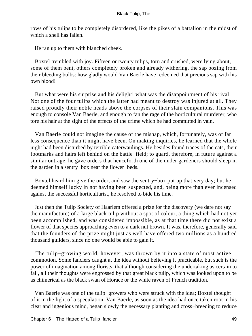rows of his tulips to be completely disordered, like the pikes of a battalion in the midst of which a shell has fallen.

He ran up to them with blanched cheek.

 Boxtel trembled with joy. Fifteen or twenty tulips, torn and crushed, were lying about, some of them bent, others completely broken and already withering, the sap oozing from their bleeding bulbs: how gladly would Van Baerle have redeemed that precious sap with his own blood!

 But what were his surprise and his delight! what was the disappointment of his rival! Not one of the four tulips which the latter had meant to destroy was injured at all. They raised proudly their noble heads above the corpses of their slain companions. This was enough to console Van Baerle, and enough to fan the rage of the horticultural murderer, who tore his hair at the sight of the effects of the crime which he had committed in vain.

 Van Baerle could not imagine the cause of the mishap, which, fortunately, was of far less consequence than it might have been. On making inquiries, he learned that the whole night had been disturbed by terrible caterwaulings. He besides found traces of the cats, their footmarks and hairs left behind on the battle−field; to guard, therefore, in future against a similar outrage, he gave orders that henceforth one of the under gardeners should sleep in the garden in a sentry−box near the flower−beds.

 Boxtel heard him give the order, and saw the sentry−box put up that very day; but he deemed himself lucky in not having been suspected, and, being more than ever incensed against the successful horticulturist, he resolved to bide his time.

 Just then the Tulip Society of Haarlem offered a prize for the discovery (we dare not say the manufacture) of a large black tulip without a spot of colour, a thing which had not yet been accomplished, and was considered impossible, as at that time there did not exist a flower of that species approaching even to a dark nut brown. It was, therefore, generally said that the founders of the prize might just as well have offered two millions as a hundred thousand guilders, since no one would be able to gain it.

 The tulip−growing world, however, was thrown by it into a state of most active commotion. Some fanciers caught at the idea without believing it practicable, but such is the power of imagination among florists, that although considering the undertaking as certain to fail, all their thoughts were engrossed by that great black tulip, which was looked upon to be as chimerical as the black swan of Horace or the white raven of French tradition.

 Van Baerle was one of the tulip−growers who were struck with the idea; Boxtel thought of it in the light of a speculation. Van Baerle, as soon as the idea had once taken root in his clear and ingenious mind, began slowly the necessary planting and cross−breeding to reduce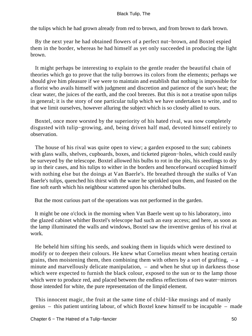the tulips which he had grown already from red to brown, and from brown to dark brown.

 By the next year he had obtained flowers of a perfect nut−brown, and Boxtel espied them in the border, whereas he had himself as yet only succeeded in producing the light brown.

 It might perhaps be interesting to explain to the gentle reader the beautiful chain of theories which go to prove that the tulip borrows its colors from the elements; perhaps we should give him pleasure if we were to maintain and establish that nothing is impossible for a florist who avails himself with judgment and discretion and patience of the sun's heat; the clear water, the juices of the earth, and the cool breezes. But this is not a treatise upon tulips in general; it is the story of one particular tulip which we have undertaken to write, and to that we limit ourselves, however alluring the subject which is so closely allied to ours.

 Boxtel, once more worsted by the superiority of his hated rival, was now completely disgusted with tulip−growing, and, being driven half mad, devoted himself entirely to observation.

 The house of his rival was quite open to view; a garden exposed to the sun; cabinets with glass walls, shelves, cupboards, boxes, and ticketed pigeon−holes, which could easily be surveyed by the telescope. Boxtel allowed his bulbs to rot in the pits, his seedlings to dry up in their cases, and his tulips to wither in the borders and henceforward occupied himself with nothing else but the doings at Van Baerle's. He breathed through the stalks of Van Baerle's tulips, quenched his thirst with the water he sprinkled upon them, and feasted on the fine soft earth which his neighbour scattered upon his cherished bulbs.

But the most curious part of the operations was not performed in the garden.

 It might be one o'clock in the morning when Van Baerle went up to his laboratory, into the glazed cabinet whither Boxtel's telescope had such an easy access; and here, as soon as the lamp illuminated the walls and windows, Boxtel saw the inventive genius of his rival at work.

 He beheld him sifting his seeds, and soaking them in liquids which were destined to modify or to deepen their colours. He knew what Cornelius meant when heating certain grains, then moistening them, then combining them with others by a sort of grafting,  $-$  a minute and marvellously delicate manipulation, – and when he shut up in darkness those which were expected to furnish the black colour, exposed to the sun or to the lamp those which were to produce red, and placed between the endless reflections of two water−mirrors those intended for white, the pure representation of the limpid element.

 This innocent magic, the fruit at the same time of child−like musings and of manly genius – this patient untiring labour, of which Boxtel knew himself to be incapable – made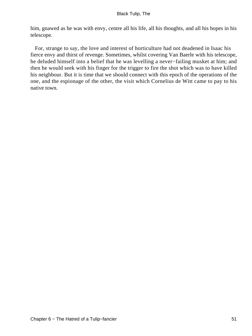him, gnawed as he was with envy, centre all his life, all his thoughts, and all his hopes in his telescope.

 For, strange to say, the love and interest of horticulture had not deadened in Isaac his fierce envy and thirst of revenge. Sometimes, whilst covering Van Baerle with his telescope, he deluded himself into a belief that he was levelling a never−failing musket at him; and then he would seek with his finger for the trigger to fire the shot which was to have killed his neighbour. But it is time that we should connect with this epoch of the operations of the one, and the espionage of the other, the visit which Cornelius de Witt came to pay to his native town.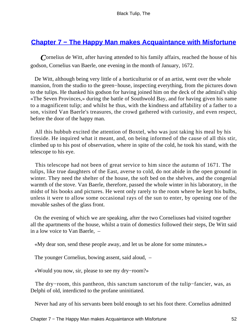# **[Chapter 7 − The Happy Man makes Acquaintance with Misfortune](#page-226-0)**

*C*ornelius de Witt, after having attended to his family affairs, reached the house of his godson, Cornelius van Baerle, one evening in the month of January, 1672.

 De Witt, although being very little of a horticulturist or of an artist, went over the whole mansion, from the studio to the green−house, inspecting everything, from the pictures down to the tulips. He thanked his godson for having joined him on the deck of the admiral's ship «The Seven Provinces,» during the battle of Southwold Bay, and for having given his name to a magnificent tulip; and whilst he thus, with the kindness and affability of a father to a son, visited Van Baerle's treasures, the crowd gathered with curiosity, and even respect, before the door of the happy man.

 All this hubbub excited the attention of Boxtel, who was just taking his meal by his fireside. He inquired what it meant, and, on being informed of the cause of all this stir, climbed up to his post of observation, where in spite of the cold, he took his stand, with the telescope to his eye.

 This telescope had not been of great service to him since the autumn of 1671. The tulips, like true daughters of the East, averse to cold, do not abide in the open ground in winter. They need the shelter of the house, the soft bed on the shelves, and the congenial warmth of the stove. Van Baerle, therefore, passed the whole winter in his laboratory, in the midst of his books and pictures. He went only rarely to the room where he kept his bulbs, unless it were to allow some occasional rays of the sun to enter, by opening one of the movable sashes of the glass front.

 On the evening of which we are speaking, after the two Corneliuses had visited together all the apartments of the house, whilst a train of domestics followed their steps, De Witt said in a low voice to Van Baerle, –

«My dear son, send these people away, and let us be alone for some minutes.»

The younger Cornelius, bowing assent, said aloud, –

«Would you now, sir, please to see my dry−room?»

 The dry−room, this pantheon, this sanctum sanctorum of the tulip−fancier, was, as Delphi of old, interdicted to the profane uninitiated.

Never had any of his servants been bold enough to set his foot there. Cornelius admitted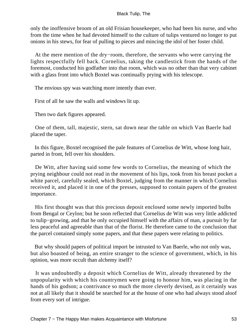only the inoffensive broom of an old Frisian housekeeper, who had been his nurse, and who from the time when he had devoted himself to the culture of tulips ventured no longer to put onions in his stews, for fear of pulling to pieces and mincing the idol of her foster child.

 At the mere mention of the dry−room, therefore, the servants who were carrying the lights respectfully fell back. Cornelius, taking the candlestick from the hands of the foremost, conducted his godfather into that room, which was no other than that very cabinet with a glass front into which Boxtel was continually prying with his telescope.

The envious spy was watching more intently than ever.

First of all he saw the walls and windows lit up.

Then two dark figures appeared.

 One of them, tall, majestic, stern, sat down near the table on which Van Baerle had placed the taper.

 In this figure, Boxtel recognised the pale features of Cornelius de Witt, whose long hair, parted in front, fell over his shoulders.

 De Witt, after having said some few words to Cornelius, the meaning of which the prying neighbour could not read in the movement of his lips, took from his breast pocket a white parcel, carefully sealed, which Boxtel, judging from the manner in which Cornelius received it, and placed it in one of the presses, supposed to contain papers of the greatest importance.

 His first thought was that this precious deposit enclosed some newly imported bulbs from Bengal or Ceylon; but he soon reflected that Cornelius de Witt was very little addicted to tulip−growing, and that he only occupied himself with the affairs of man, a pursuit by far less peaceful and agreeable than that of the florist. He therefore came to the conclusion that the parcel contained simply some papers, and that these papers were relating to politics.

 But why should papers of political import be intrusted to Van Baerle, who not only was, but also boasted of being, an entire stranger to the science of government, which, in his opinion, was more occult than alchemy itself?

 It was undoubtedly a deposit which Cornelius de Witt, already threatened by the unpopularity with which his countrymen were going to honour him, was placing in the hands of his godson; a contrivance so much the more cleverly devised, as it certainly was not at all likely that it should be searched for at the house of one who had always stood aloof from every sort of intrigue.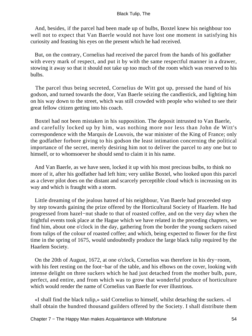And, besides, if the parcel had been made up of bulbs, Boxtel knew his neighbour too well not to expect that Van Baerle would not have lost one moment in satisfying his curiosity and feasting his eyes on the present which he had received.

 But, on the contrary, Cornelius had received the parcel from the hands of his godfather with every mark of respect, and put it by with the same respectful manner in a drawer, stowing it away so that it should not take up too much of the room which was reserved to his bulbs.

 The parcel thus being secreted, Cornelius de Witt got up, pressed the hand of his godson, and turned towards the door, Van Baerle seizing the candlestick, and lighting him on his way down to the street, which was still crowded with people who wished to see their great fellow citizen getting into his coach.

 Boxtel had not been mistaken in his supposition. The deposit intrusted to Van Baerle, and carefully locked up by him, was nothing more nor less than John de Witt's correspondence with the Marquis de Louvois, the war minister of the King of France; only the godfather forbore giving to his godson the least intimation concerning the political importance of the secret, merely desiring him not to deliver the parcel to any one but to himself, or to whomsoever he should send to claim it in his name.

 And Van Baerle, as we have seen, locked it up with his most precious bulbs, to think no more of it, after his godfather had left him; very unlike Boxtel, who looked upon this parcel as a clever pilot does on the distant and scarcely perceptible cloud which is increasing on its way and which is fraught with a storm.

 Little dreaming of the jealous hatred of his neighbour, Van Baerle had proceeded step by step towards gaining the prize offered by the Horticultural Society of Haarlem. He had progressed from hazel−nut shade to that of roasted coffee, and on the very day when the frightful events took place at the Hague which we have related in the preceding chapters, we find him, about one o'clock in the day, gathering from the border the young suckers raised from tulips of the colour of roasted coffee; and which, being expected to flower for the first time in the spring of 1675, would undoubtedly produce the large black tulip required by the Haarlem Society.

 On the 20th of August, 1672, at one o'clock, Cornelius was therefore in his dry−room, with his feet resting on the foot−bar of the table, and his elbows on the cover, looking with intense delight on three suckers which he had just detached from the mother bulb, pure, perfect, and entire, and from which was to grow that wonderful produce of horticulture which would render the name of Cornelius van Baerle for ever illustrious.

 «I shall find the black tulip,» said Cornelius to himself, whilst detaching the suckers. «I shall obtain the hundred thousand guilders offered by the Society. I shall distribute them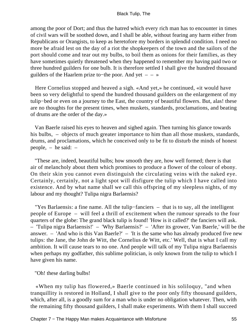among the poor of Dort; and thus the hatred which every rich man has to encounter in times of civil wars will be soothed down, and I shall be able, without fearing any harm either from Republicans or Orangists, to keep as heretofore my borders in splendid condition. I need no more be afraid lest on the day of a riot the shopkeepers of the town and the sailors of the port should come and tear out my bulbs, to boil them as onions for their families, as they have sometimes quietly threatened when they happened to remember my having paid two or three hundred guilders for one bulb. It is therefore settled I shall give the hundred thousand guilders of the Haarlem prize to−the poor. And yet – – »

 Here Cornelius stopped and heaved a sigh. «And yet,» he continued, «it would have been so very delightful to spend the hundred thousand guilders on the enlargement of my tulip−bed or even on a journey to the East, the country of beautiful flowers. But, alas! these are no thoughts for the present times, when muskets, standards, proclamations, and beating of drums are the order of the day.»

 Van Baerle raised his eyes to heaven and sighed again. Then turning his glance towards his bulbs, – objects of much greater importance to him than all those muskets, standards, drums, and proclamations, which he conceived only to be fit to disturb the minds of honest people, – he said: –

 "These are, indeed, beautiful bulbs; how smooth they are, how well formed; there is that air of melancholy about them which promises to produce a flower of the colour of ebony. On their skin you cannot even distinguish the circulating veins with the naked eye. Certainly, certainly, not a light spot will disfigure the tulip which I have called into existence. And by what name shall we call this offspring of my sleepless nights, of my labour and my thought? Tulipa nigra Barlaensis?

 "Yes Barlaensis: a fine name. All the tulip−fanciers – that is to say, all the intelligent people of Europe – will feel a thrill of excitement when the rumour spreads to the four quarters of the globe: The grand black tulip is found! 'How is it called?' the fanciers will ask. – 'Tulipa nigra Barlaensis!' – 'Why Barlaensis?' – 'After its grower, Van Baerle,' will be the answer. – 'And who is this Van Baerle?' – 'It is the same who has already produced five new tulips: the Jane, the John de Witt, the Cornelius de Witt, etc.' Well, that is what I call my ambition. It will cause tears to no one. And people will talk of my Tulipa nigra Barlaensis when perhaps my godfather, this sublime politician, is only known from the tulip to which I have given his name.

"Oh! these darling bulbs!

 «When my tulip has flowered,» Baerle continued in his soliloquy, "and when tranquillity is restored in Holland, I shall give to the poor only fifty thousand guilders, which, after all, is a goodly sum for a man who is under no obligation whatever. Then, with the remaining fifty thousand guilders, I shall make experiments. With them I shall succeed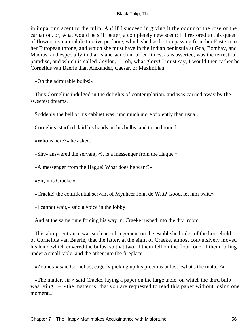in imparting scent to the tulip. Ah! if I succeed in giving it the odour of the rose or the carnation, or, what would be still better, a completely new scent; if I restored to this queen of flowers its natural distinctive perfume, which she has lost in passing from her Eastern to her European throne, and which she must have in the Indian peninsula at Goa, Bombay, and Madras, and especially in that island which in olden times, as is asserted, was the terrestrial paradise, and which is called Ceylon, – oh, what glory! I must say, I would then rather be Cornelius van Baerle than Alexander, Caesar, or Maximilian.

«Oh the admirable bulbs!»

 Thus Cornelius indulged in the delights of contemplation, and was carried away by the sweetest dreams.

Suddenly the bell of his cabinet was rung much more violently than usual.

Cornelius, startled, laid his hands on his bulbs, and turned round.

«Who is here?» he asked.

«Sir,» answered the servant, «it is a messenger from the Hague.»

«A messenger from the Hague! What does he want?»

«Sir, it is Craeke.»

«Craeke! the confidential servant of Mynheer John de Witt? Good, let him wait.»

«I cannot wait,» said a voice in the lobby.

And at the same time forcing his way in, Craeke rushed into the dry−room.

 This abrupt entrance was such an infringement on the established rules of the household of Cornelius van Baerle, that the latter, at the sight of Craeke, almost convulsively moved his hand which covered the bulbs, so that two of them fell on the floor, one of them rolling under a small table, and the other into the fireplace.

«Zounds!» said Cornelius, eagerly picking up his precious bulbs, «what's the matter?»

 «The matter, sir!» said Craeke, laying a paper on the large table, on which the third bulb was lying,  $-$  «the matter is, that you are requested to read this paper without losing one moment.»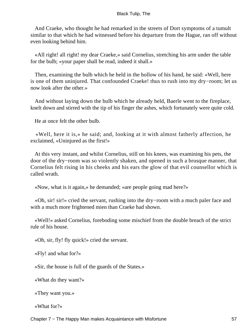And Craeke, who thought he had remarked in the streets of Dort symptoms of a tumult similar to that which he had witnessed before his departure from the Hague, ran off without even looking behind him.

 «All right! all right! my dear Craeke,» said Cornelius, stretching his arm under the table for the bulb; «your paper shall be read, indeed it shall.»

 Then, examining the bulb which he held in the hollow of his hand, he said: «Well, here is one of them uninjured. That confounded Craeke! thus to rush into my dry−room; let us now look after the other.»

 And without laying down the bulb which he already held, Baerle went to the fireplace, knelt down and stirred with the tip of his finger the ashes, which fortunately were quite cold.

He at once felt the other bulb.

 «Well, here it is,» he said; and, looking at it with almost fatherly affection, he exclaimed, «Uninjured as the first!»

 At this very instant, and whilst Cornelius, still on his knees, was examining his pets, the door of the dry−room was so violently shaken, and opened in such a brusque manner, that Cornelius felt rising in his cheeks and his ears the glow of that evil counsellor which is called wrath.

«Now, what is it again,» he demanded; «are people going mad here?»

 «Oh, sir! sir!» cried the servant, rushing into the dry−room with a much paler face and with a much more frightened mien than Craeke had shown.

 «Well!» asked Cornelius, foreboding some mischief from the double breach of the strict rule of his house.

«Oh, sir, fly! fly quick!» cried the servant.

«Fly! and what for?»

«Sir, the house is full of the guards of the States.»

«What do they want?»

«They want you.»

«What for?»

Chapter 7 – The Happy Man makes Acquaintance with Misfortune 57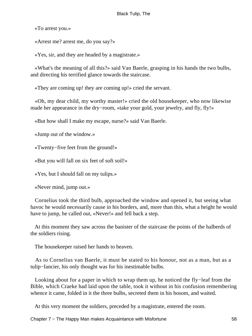«To arrest you.»

«Arrest me? arrest me, do you say?»

«Yes, sir, and they are headed by a magistrate.»

 «What's the meaning of all this?» said Van Baerle, grasping in his hands the two bulbs, and directing his terrified glance towards the staircase.

«They are coming up! they are coming up!» cried the servant.

 «Oh, my dear child, my worthy master!» cried the old housekeeper, who now likewise made her appearance in the dry−room, «take your gold, your jewelry, and fly, fly!»

«But how shall I make my escape, nurse?» said Van Baerle.

«Jump out of the window.»

«Twenty−five feet from the ground!»

«But you will fall on six feet of soft soil!»

«Yes, but I should fall on my tulips.»

«Never mind, jump out.»

 Cornelius took the third bulb, approached the window and opened it, but seeing what havoc he would necessarily cause in his borders, and, more than this, what a height he would have to jump, he called out, «Never!» and fell back a step.

 At this moment they saw across the banister of the staircase the points of the halberds of the soldiers rising.

The housekeeper raised her hands to heaven.

 As to Cornelius van Baerle, it must be stated to his honour, not as a man, but as a tulip−fancier, his only thought was for his inestimable bulbs.

 Looking about for a paper in which to wrap them up, he noticed the fly−leaf from the Bible, which Craeke had laid upon the table, took it without in his confusion remembering whence it came, folded in it the three bulbs, secreted them in his bosom, and waited.

At this very moment the soldiers, preceded by a magistrate, entered the room.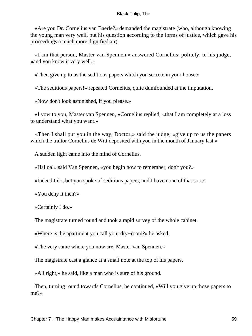«Are you Dr. Cornelius van Baerle?» demanded the magistrate (who, although knowing the young man very well, put his question according to the forms of justice, which gave his proceedings a much more dignified air).

 «I am that person, Master van Spennen,» answered Cornelius, politely, to his judge, «and you know it very well.»

«Then give up to us the seditious papers which you secrete in your house.»

«The seditious papers!» repeated Cornelius, quite dumfounded at the imputation.

«Now don't look astonished, if you please.»

 «I vow to you, Master van Spennen, »Cornelius replied, «that I am completely at a loss to understand what you want.»

 «Then I shall put you in the way, Doctor,» said the judge; «give up to us the papers which the traitor Cornelius de Witt deposited with you in the month of January last.»

A sudden light came into the mind of Cornelius.

«Halloa!» said Van Spennen, «you begin now to remember, don't you?»

«Indeed I do, but you spoke of seditious papers, and I have none of that sort.»

«You deny it then?»

«Certainly I do.»

The magistrate turned round and took a rapid survey of the whole cabinet.

«Where is the apartment you call your dry−room?» he asked.

«The very same where you now are, Master van Spennen.»

The magistrate cast a glance at a small note at the top of his papers.

«All right,» he said, like a man who is sure of his ground.

 Then, turning round towards Cornelius, he continued, «Will you give up those papers to me?»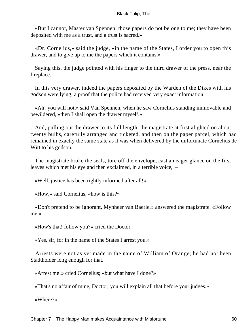«But I cannot, Master van Spennen; those papers do not belong to me; they have been deposited with me as a trust, and a trust is sacred.»

 «Dr. Cornelius,» said the judge, «in the name of the States, I order you to open this drawer, and to give up to me the papers which it contains.»

 Saying this, the judge pointed with his finger to the third drawer of the press, near the fireplace.

 In this very drawer, indeed the papers deposited by the Warden of the Dikes with his godson were lying; a proof that the police had received very exact information.

 «Ah! you will not,» said Van Spennen, when he saw Cornelius standing immovable and bewildered, «then I shall open the drawer myself.»

 And, pulling out the drawer to its full length, the magistrate at first alighted on about twenty bulbs, carefully arranged and ticketed, and then on the paper parcel, which had remained in exactly the same state as it was when delivered by the unfortunate Cornelius de Witt to his godson.

 The magistrate broke the seals, tore off the envelope, cast an eager glance on the first leaves which met his eye and then exclaimed, in a terrible voice, –

«Well, justice has been rightly informed after all!»

«How,» said Cornelius, «how is this?»

 «Don't pretend to be ignorant, Mynheer van Baerle,» answered the magistrate. «Follow me.»

«How's that! follow you?» cried the Doctor.

«Yes, sir, for in the name of the States I arrest you.»

 Arrests were not as yet made in the name of William of Orange; he had not been Stadtholder long enough for that.

«Arrest me!» cried Cornelius; «but what have I done?»

«That's no affair of mine, Doctor; you will explain all that before your judges.»

«Where?»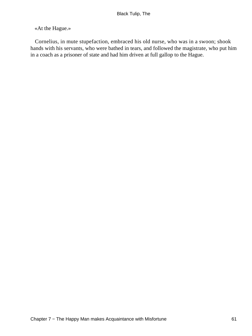# «At the Hague.»

 Cornelius, in mute stupefaction, embraced his old nurse, who was in a swoon; shook hands with his servants, who were bathed in tears, and followed the magistrate, who put him in a coach as a prisoner of state and had him driven at full gallop to the Hague.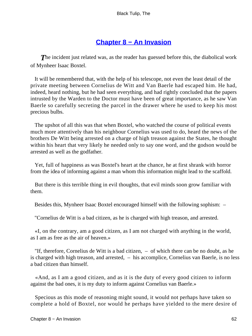# **[Chapter 8 − An Invasion](#page-226-0)**

**The incident just related was, as the reader has guessed before this, the diabolical work** of Mynheer Isaac Boxtel.

 It will be remembered that, with the help of his telescope, not even the least detail of the private meeting between Cornelius de Witt and Van Baerle had escaped him. He had, indeed, heard nothing, but he had seen everything, and had rightly concluded that the papers intrusted by the Warden to the Doctor must have been of great importance, as he saw Van Baerle so carefully secreting the parcel in the drawer where he used to keep his most precious bulbs.

 The upshot of all this was that when Boxtel, who watched the course of political events much more attentively than his neighbour Cornelius was used to do, heard the news of the brothers De Witt being arrested on a charge of high treason against the States, he thought within his heart that very likely he needed only to say one word, and the godson would be arrested as well as the godfather.

 Yet, full of happiness as was Boxtel's heart at the chance, he at first shrank with horror from the idea of informing against a man whom this information might lead to the scaffold.

 But there is this terrible thing in evil thoughts, that evil minds soon grow familiar with them.

Besides this, Mynheer Isaac Boxtel encouraged himself with the following sophism: –

"Cornelius de Witt is a bad citizen, as he is charged with high treason, and arrested.

 «I, on the contrary, am a good citizen, as I am not charged with anything in the world, as I am as free as the air of heaven.»

 "If, therefore, Cornelius de Witt is a bad citizen, – of which there can be no doubt, as he is charged with high treason, and arrested, – his accomplice, Cornelius van Baerle, is no less a bad citizen than himself.

 «And, as I am a good citizen, and as it is the duty of every good citizen to inform against the bad ones, it is my duty to inform against Cornelius van Baerle.»

 Specious as this mode of reasoning might sound, it would not perhaps have taken so complete a hold of Boxtel, nor would he perhaps have yielded to the mere desire of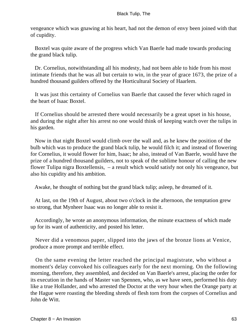vengeance which was gnawing at his heart, had not the demon of envy been joined with that of cupidity.

 Boxtel was quite aware of the progress which Van Baerle had made towards producing the grand black tulip.

 Dr. Cornelius, notwithstanding all his modesty, had not been able to hide from his most intimate friends that he was all but certain to win, in the year of grace 1673, the prize of a hundred thousand guilders offered by the Horticultural Society of Haarlem.

 It was just this certainty of Cornelius van Baerle that caused the fever which raged in the heart of Isaac Boxtel.

 If Cornelius should be arrested there would necessarily be a great upset in his house, and during the night after his arrest no one would think of keeping watch over the tulips in his garden.

 Now in that night Boxtel would climb over the wall and, as he knew the position of the bulb which was to produce the grand black tulip, he would filch it; and instead of flowering for Cornelius, it would flower for him, Isaac; he also, instead of Van Baerle, would have the prize of a hundred thousand guilders, not to speak of the sublime honour of calling the new flower Tulipa nigra Boxtellensis, – a result which would satisfy not only his vengeance, but also his cupidity and his ambition.

Awake, he thought of nothing but the grand black tulip; asleep, he dreamed of it.

 At last, on the 19th of August, about two o'clock in the afternoon, the temptation grew so strong, that Mynheer Isaac was no longer able to resist it.

 Accordingly, he wrote an anonymous information, the minute exactness of which made up for its want of authenticity, and posted his letter.

 Never did a venomous paper, slipped into the jaws of the bronze lions at Venice, produce a more prompt and terrible effect.

 On the same evening the letter reached the principal magistrate, who without a moment's delay convoked his colleagues early for the next morning. On the following morning, therefore, they assembled, and decided on Van Baerle's arrest, placing the order for its execution in the hands of Master van Spennen, who, as we have seen, performed his duty like a true Hollander, and who arrested the Doctor at the very hour when the Orange party at the Hague were roasting the bleeding shreds of flesh torn from the corpses of Cornelius and John de Witt.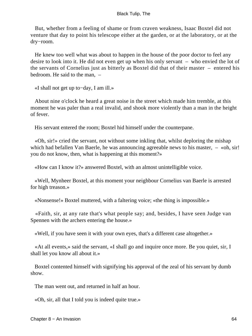But, whether from a feeling of shame or from craven weakness, Isaac Boxtel did not venture that day to point his telescope either at the garden, or at the laboratory, or at the dry−room.

 He knew too well what was about to happen in the house of the poor doctor to feel any desire to look into it. He did not even get up when his only servant – who envied the lot of the servants of Cornelius just as bitterly as Boxtel did that of their master – entered his bedroom. He said to the man, –

«I shall not get up to−day, I am ill.»

 About nine o'clock he heard a great noise in the street which made him tremble, at this moment he was paler than a real invalid, and shook more violently than a man in the height of fever.

His servant entered the room; Boxtel hid himself under the counterpane.

 «Oh, sir!» cried the servant, not without some inkling that, whilst deploring the mishap which had befallen Van Baerle, he was announcing agreeable news to his master,  $-$  «oh, sir! you do not know, then, what is happening at this moment?»

«How can I know it?» answered Boxtel, with an almost unintelligible voice.

 «Well, Mynheer Boxtel, at this moment your neighbour Cornelius van Baerle is arrested for high treason.»

«Nonsense!» Boxtel muttered, with a faltering voice; «the thing is impossible.»

 «Faith, sir, at any rate that's what people say; and, besides, I have seen Judge van Spennen with the archers entering the house.»

«Well, if you have seen it with your own eyes, that's a different case altogether.»

 «At all events,» said the servant, «I shall go and inquire once more. Be you quiet, sir, I shall let you know all about it.»

 Boxtel contented himself with signifying his approval of the zeal of his servant by dumb show.

The man went out, and returned in half an hour.

«Oh, sir, all that I told you is indeed quite true.»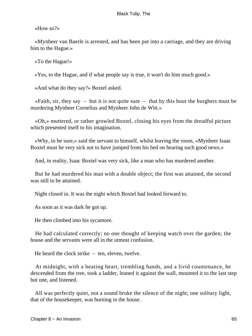«How so?»

 «Mynheer van Baerle is arrested, and has been put into a carriage, and they are driving him to the Hague.»

«To the Hague!»

«Yes, to the Hague, and if what people say is true, it won't do him much good.»

«And what do they say?» Boxtel asked.

«Faith, sir, they say  $-$  but it is not quite sure  $-$  that by this hour the burghers must be murdering Mynheer Cornelius and Mynheer John de Witt.»

 «Oh,» muttered, or rather growled Boxtel, closing his eyes from the dreadful picture which presented itself to his imagination.

 «Why, to be sure,» said the servant to himself, whilst leaving the room, «Mynheer Isaac Boxtel must be very sick not to have jumped from his bed on hearing such good news.»

And, in reality, Isaac Boxtel was very sick, like a man who has murdered another.

 But he had murdered his man with a double object; the first was attained, the second was still to be attained.

Night closed in. It was the night which Boxtel had looked forward to.

As soon as it was dark he got up.

He then climbed into his sycamore.

 He had calculated correctly; no one thought of keeping watch over the garden; the house and the servants were all in the utmost confusion.

He heard the clock strike – ten, eleven, twelve.

 At midnight, with a beating heart, trembling hands, and a livid countenance, he descended from the tree, took a ladder, leaned it against the wall, mounted it to the last step but one, and listened.

 All was perfectly quiet, not a sound broke the silence of the night; one solitary light, that of the housekeeper, was burning in the house.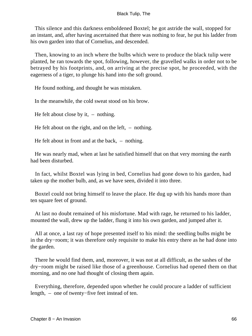This silence and this darkness emboldened Boxtel; he got astride the wall, stopped for an instant, and, after having ascertained that there was nothing to fear, he put his ladder from his own garden into that of Cornelius, and descended.

 Then, knowing to an inch where the bulbs which were to produce the black tulip were planted, he ran towards the spot, following, however, the gravelled walks in order not to be betrayed by his footprints, and, on arriving at the precise spot, he proceeded, with the eagerness of a tiger, to plunge his hand into the soft ground.

He found nothing, and thought he was mistaken.

In the meanwhile, the cold sweat stood on his brow.

He felt about close by it,  $-$  nothing.

He felt about on the right, and on the left,  $-$  nothing.

He felt about in front and at the back, – nothing.

 He was nearly mad, when at last he satisfied himself that on that very morning the earth had been disturbed.

 In fact, whilst Boxtel was lying in bed, Cornelius had gone down to his garden, had taken up the mother bulb, and, as we have seen, divided it into three.

 Boxtel could not bring himself to leave the place. He dug up with his hands more than ten square feet of ground.

 At last no doubt remained of his misfortune. Mad with rage, he returned to his ladder, mounted the wall, drew up the ladder, flung it into his own garden, and jumped after it.

 All at once, a last ray of hope presented itself to his mind: the seedling bulbs might be in the dry−room; it was therefore only requisite to make his entry there as he had done into the garden.

 There he would find them, and, moreover, it was not at all difficult, as the sashes of the dry−room might be raised like those of a greenhouse. Cornelius had opened them on that morning, and no one had thought of closing them again.

 Everything, therefore, depended upon whether he could procure a ladder of sufficient length, – one of twenty−five feet instead of ten.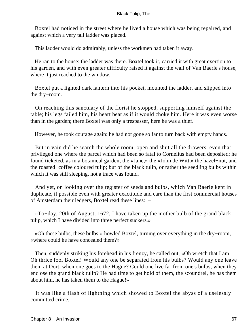Boxtel had noticed in the street where he lived a house which was being repaired, and against which a very tall ladder was placed.

This ladder would do admirably, unless the workmen had taken it away.

 He ran to the house: the ladder was there. Boxtel took it, carried it with great exertion to his garden, and with even greater difficulty raised it against the wall of Van Baerle's house, where it just reached to the window.

 Boxtel put a lighted dark lantern into his pocket, mounted the ladder, and slipped into the dry−room.

 On reaching this sanctuary of the florist he stopped, supporting himself against the table; his legs failed him, his heart beat as if it would choke him. Here it was even worse than in the garden; there Boxtel was only a trespasser, here he was a thief.

However, he took courage again: he had not gone so far to turn back with empty hands.

 But in vain did he search the whole room, open and shut all the drawers, even that privileged one where the parcel which had been so fatal to Cornelius had been deposited; he found ticketed, as in a botanical garden, the «Jane,» the «John de Witt,» the hazel−nut, and the roasted−coffee coloured tulip; but of the black tulip, or rather the seedling bulbs within which it was still sleeping, not a trace was found.

 And yet, on looking over the register of seeds and bulbs, which Van Baerle kept in duplicate, if possible even with greater exactitude and care than the first commercial houses of Amsterdam their ledgers, Boxtel read these lines: –

 «To−day, 20th of August, 1672, I have taken up the mother bulb of the grand black tulip, which I have divided into three perfect suckers.»

 «Oh these bulbs, these bulbs!» howled Boxtel, turning over everything in the dry−room, «where could he have concealed them?»

 Then, suddenly striking his forehead in his frenzy, he called out, «Oh wretch that I am! Oh thrice fool Boxtel! Would any one be separated from his bulbs? Would any one leave them at Dort, when one goes to the Hague? Could one live far from one's bulbs, when they enclose the grand black tulip? He had time to get hold of them, the scoundrel, he has them about him, he has taken them to the Hague!»

 It was like a flash of lightning which showed to Boxtel the abyss of a uselessly committed crime.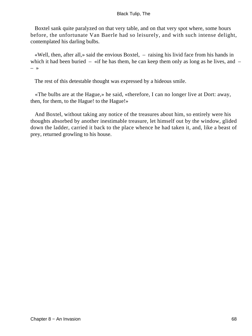Boxtel sank quite paralyzed on that very table, and on that very spot where, some hours before, the unfortunate Van Baerle had so leisurely, and with such intense delight, contemplated his darling bulbs.

 «Well, then, after all,» said the envious Boxtel, – raising his livid face from his hands in which it had been buried – «if he has them, he can keep them only as long as he lives, and – – »

The rest of this detestable thought was expressed by a hideous smile.

 «The bulbs are at the Hague,» he said, «therefore, I can no longer live at Dort: away, then, for them, to the Hague! to the Hague!»

 And Boxtel, without taking any notice of the treasures about him, so entirely were his thoughts absorbed by another inestimable treasure, let himself out by the window, glided down the ladder, carried it back to the place whence he had taken it, and, like a beast of prey, returned growling to his house.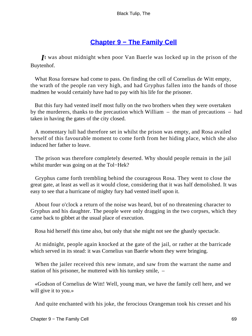# **[Chapter 9 − The Family Cell](#page-226-0)**

*I*t was about midnight when poor Van Baerle was locked up in the prison of the Buytenhof.

 What Rosa foresaw had come to pass. On finding the cell of Cornelius de Witt empty, the wrath of the people ran very high, and had Gryphus fallen into the hands of those madmen he would certainly have had to pay with his life for the prisoner.

 But this fury had vented itself most fully on the two brothers when they were overtaken by the murderers, thanks to the precaution which William – the man of precautions – had taken in having the gates of the city closed.

 A momentary lull had therefore set in whilst the prison was empty, and Rosa availed herself of this favourable moment to come forth from her hiding place, which she also induced her father to leave.

 The prison was therefore completely deserted. Why should people remain in the jail whilst murder was going on at the Tol−Hek?

 Gryphus came forth trembling behind the courageous Rosa. They went to close the great gate, at least as well as it would close, considering that it was half demolished. It was easy to see that a hurricane of mighty fury had vented itself upon it.

 About four o'clock a return of the noise was heard, but of no threatening character to Gryphus and his daughter. The people were only dragging in the two corpses, which they came back to gibbet at the usual place of execution.

Rosa hid herself this time also, but only that she might not see the ghastly spectacle.

 At midnight, people again knocked at the gate of the jail, or rather at the barricade which served in its stead: it was Cornelius van Baerle whom they were bringing.

 When the jailer received this new inmate, and saw from the warrant the name and station of his prisoner, he muttered with his turnkey smile, –

 «Godson of Cornelius de Witt! Well, young man, we have the family cell here, and we will give it to you.»

And quite enchanted with his joke, the ferocious Orangeman took his cresset and his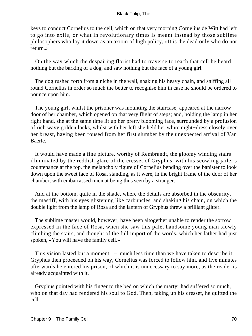keys to conduct Cornelius to the cell, which on that very morning Cornelius de Witt had left to go into exile, or what in revolutionary times is meant instead by those sublime philosophers who lay it down as an axiom of high policy, «It is the dead only who do not return.»

 On the way which the despairing florist had to traverse to reach that cell he heard nothing but the barking of a dog, and saw nothing but the face of a young girl.

 The dog rushed forth from a niche in the wall, shaking his heavy chain, and sniffing all round Cornelius in order so much the better to recognise him in case he should be ordered to pounce upon him.

 The young girl, whilst the prisoner was mounting the staircase, appeared at the narrow door of her chamber, which opened on that very flight of steps; and, holding the lamp in her right hand, she at the same time lit up her pretty blooming face, surrounded by a profusion of rich wavy golden locks, whilst with her left she held her white night−dress closely over her breast, having been roused from her first slumber by the unexpected arrival of Van Baerle.

 It would have made a fine picture, worthy of Rembrandt, the gloomy winding stairs illuminated by the reddish glare of the cresset of Gryphus, with his scowling jailer's countenance at the top, the melancholy figure of Cornelius bending over the banister to look down upon the sweet face of Rosa, standing, as it were, in the bright frame of the door of her chamber, with embarrassed mien at being thus seen by a stranger.

 And at the bottom, quite in the shade, where the details are absorbed in the obscurity, the mastiff, with his eyes glistening like carbuncles, and shaking his chain, on which the double light from the lamp of Rosa and the lantern of Gryphus threw a brilliant glitter.

 The sublime master would, however, have been altogether unable to render the sorrow expressed in the face of Rosa, when she saw this pale, handsome young man slowly climbing the stairs, and thought of the full import of the words, which her father had just spoken, «You will have the family cell.»

 This vision lasted but a moment, – much less time than we have taken to describe it. Gryphus then proceeded on his way, Cornelius was forced to follow him, and five minutes afterwards he entered his prison, of which it is unnecessary to say more, as the reader is already acquainted with it.

 Gryphus pointed with his finger to the bed on which the martyr had suffered so much, who on that day had rendered his soul to God. Then, taking up his cresset, he quitted the cell.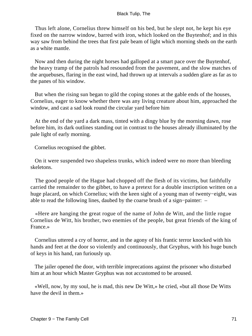Thus left alone, Cornelius threw himself on his bed, but he slept not, he kept his eye fixed on the narrow window, barred with iron, which looked on the Buytenhof; and in this way saw from behind the trees that first pale beam of light which morning sheds on the earth as a white mantle.

 Now and then during the night horses had galloped at a smart pace over the Buytenhof, the heavy tramp of the patrols had resounded from the pavement, and the slow matches of the arquebuses, flaring in the east wind, had thrown up at intervals a sudden glare as far as to the panes of his window.

 But when the rising sun began to gild the coping stones at the gable ends of the houses, Cornelius, eager to know whether there was any living creature about him, approached the window, and cast a sad look round the circular yard before him

 At the end of the yard a dark mass, tinted with a dingy blue by the morning dawn, rose before him, its dark outlines standing out in contrast to the houses already illuminated by the pale light of early morning.

Cornelius recognised the gibbet.

 On it were suspended two shapeless trunks, which indeed were no more than bleeding skeletons.

 The good people of the Hague had chopped off the flesh of its victims, but faithfully carried the remainder to the gibbet, to have a pretext for a double inscription written on a huge placard, on which Cornelius; with the keen sight of a young man of twenty−eight, was able to read the following lines, daubed by the coarse brush of a sign−painter: –

 «Here are hanging the great rogue of the name of John de Witt, and the little rogue Cornelius de Witt, his brother, two enemies of the people, but great friends of the king of France.»

 Cornelius uttered a cry of horror, and in the agony of his frantic terror knocked with his hands and feet at the door so violently and continuously, that Gryphus, with his huge bunch of keys in his hand, ran furiously up.

 The jailer opened the door, with terrible imprecations against the prisoner who disturbed him at an hour which Master Gryphus was not accustomed to be aroused.

 «Well, now, by my soul, he is mad, this new De Witt,» he cried, «but all those De Witts have the devil in them.»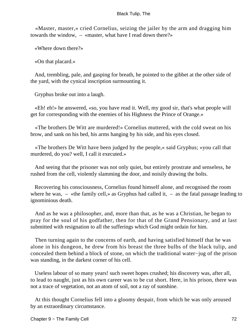«Master, master,» cried Cornelius, seizing the jailer by the arm and dragging him towards the window, – «master, what have I read down there?»

«Where down there?»

«On that placard.»

 And, trembling, pale, and gasping for breath, he pointed to the gibbet at the other side of the yard, with the cynical inscription surmounting it.

Gryphus broke out into a laugh.

 «Eh! eh!» he answered, «so, you have read it. Well, my good sir, that's what people will get for corresponding with the enemies of his Highness the Prince of Orange.»

 «The brothers De Witt are murdered!» Cornelius muttered, with the cold sweat on his brow, and sank on his bed, his arms hanging by his side, and his eyes closed.

 «The brothers De Witt have been judged by the people,» said Gryphus; «you call that murdered, do you? well, I call it executed.»

 And seeing that the prisoner was not only quiet, but entirely prostrate and senseless, he rushed from the cell, violently slamming the door, and noisily drawing the bolts.

 Recovering his consciousness, Cornelius found himself alone, and recognised the room where he was,  $-$  «the family cell,» as Gryphus had called it,  $-$  as the fatal passage leading to ignominious death.

 And as he was a philosopher, and, more than that, as he was a Christian, he began to pray for the soul of his godfather, then for that of the Grand Pensionary, and at last submitted with resignation to all the sufferings which God might ordain for him.

 Then turning again to the concerns of earth, and having satisfied himself that he was alone in his dungeon, he drew from his breast the three bulbs of the black tulip, and concealed them behind a block of stone, on which the traditional water−jug of the prison was standing, in the darkest corner of his cell.

 Useless labour of so many years! such sweet hopes crushed; his discovery was, after all, to lead to naught, just as his own career was to be cut short. Here, in his prison, there was not a trace of vegetation, not an atom of soil, not a ray of sunshine.

 At this thought Cornelius fell into a gloomy despair, from which he was only aroused by an extraordinary circumstance.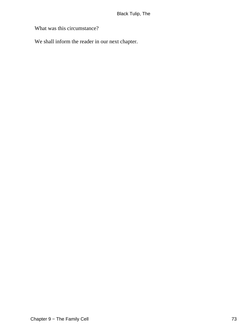What was this circumstance?

We shall inform the reader in our next chapter.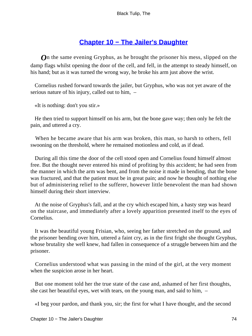## **[Chapter 10 − The Jailer's Daughter](#page-226-0)**

*O*n the same evening Gryphus, as he brought the prisoner his mess, slipped on the damp flags whilst opening the door of the cell, and fell, in the attempt to steady himself, on his hand; but as it was turned the wrong way, he broke his arm just above the wrist.

 Cornelius rushed forward towards the jailer, but Gryphus, who was not yet aware of the serious nature of his injury, called out to him, –

«It is nothing: don't you stir.»

 He then tried to support himself on his arm, but the bone gave way; then only he felt the pain, and uttered a cry.

 When he became aware that his arm was broken, this man, so harsh to others, fell swooning on the threshold, where he remained motionless and cold, as if dead.

 During all this time the door of the cell stood open and Cornelius found himself almost free. But the thought never entered his mind of profiting by this accident; he had seen from the manner in which the arm was bent, and from the noise it made in bending, that the bone was fractured, and that the patient must be in great pain; and now he thought of nothing else but of administering relief to the sufferer, however little benevolent the man had shown himself during their short interview.

 At the noise of Gryphus's fall, and at the cry which escaped him, a hasty step was heard on the staircase, and immediately after a lovely apparition presented itself to the eyes of Cornelius.

 It was the beautiful young Frisian, who, seeing her father stretched on the ground, and the prisoner bending over him, uttered a faint cry, as in the first fright she thought Gryphus, whose brutality she well knew, had fallen in consequence of a struggle between him and the prisoner.

 Cornelius understood what was passing in the mind of the girl, at the very moment when the suspicion arose in her heart.

 But one moment told her the true state of the case and, ashamed of her first thoughts, she cast her beautiful eyes, wet with tears, on the young man, and said to him, –

«I beg your pardon, and thank you, sir; the first for what I have thought, and the second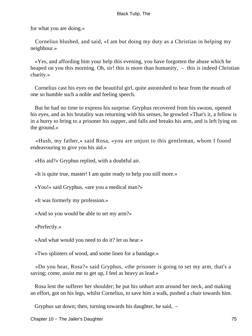for what you are doing.»

 Cornelius blushed, and said, «I am but doing my duty as a Christian in helping my neighbour.»

 «Yes, and affording him your help this evening, you have forgotten the abuse which he heaped on you this morning. Oh, sir! this is more than humanity,  $-$  this is indeed Christian charity.»

 Cornelius cast his eyes on the beautiful girl, quite astonished to hear from the mouth of one so humble such a noble and feeling speech.

 But he had no time to express his surprise. Gryphus recovered from his swoon, opened his eyes, and as his brutality was returning with his senses, he growled «That's it, a fellow is in a hurry to bring to a prisoner his supper, and falls and breaks his arm, and is left lying on the ground.»

 «Hush, my father,» said Rosa, «you are unjust to this gentleman, whom I found endeavouring to give you his aid.»

«His aid?» Gryphus replied, with a doubtful air.

«It is quite true, master! I am quite ready to help you still more.»

«You!» said Gryphus, «are you a medical man?»

«It was formerly my profession.»

«And so you would be able to set my arm?»

«Perfectly.»

«And what would you need to do it? let us hear.»

«Two splinters of wood, and some linen for a bandage.»

 «Do you hear, Rosa?» said Gryphus, «the prisoner is going to set my arm, that's a saving; come, assist me to get up, I feel as heavy as lead.»

 Rosa lent the sufferer her shoulder; he put his unhurt arm around her neck, and making an effort, got on his legs, whilst Cornelius, to save him a walk, pushed a chair towards him.

Gryphus sat down; then, turning towards his daughter, he said, –

Chapter 10 − The Jailer's Daughter 75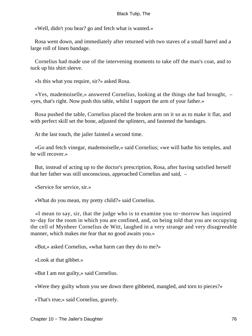«Well, didn't you hear? go and fetch what is wanted.»

 Rosa went down, and immediately after returned with two staves of a small barrel and a large roll of linen bandage.

 Cornelius had made use of the intervening moments to take off the man's coat, and to tuck up his shirt sleeve.

«Is this what you require, sir?» asked Rosa.

 «Yes, mademoiselle,» answered Cornelius, looking at the things she had brought, – «yes, that's right. Now push this table, whilst I support the arm of your father.»

 Rosa pushed the table, Cornelius placed the broken arm on it so as to make it flat, and with perfect skill set the bone, adjusted the splinters, and fastened the bandages.

At the last touch, the jailer fainted a second time.

 «Go and fetch vinegar, mademoiselle,» said Cornelius; «we will bathe his temples, and he will recover.»

 But, instead of acting up to the doctor's prescription, Rosa, after having satisfied herself that her father was still unconscious, approached Cornelius and said, –

«Service for service, sir.»

«What do you mean, my pretty child?» said Cornelius.

 «I mean to say, sir, that the judge who is to examine you to−morrow has inquired to−day for the room in which you are confined, and, on being told that you are occupying the cell of Mynheer Cornelius de Witt, laughed in a very strange and very disagreeable manner, which makes me fear that no good awaits you.»

«But,» asked Cornelius, «what harm can they do to me?»

«Look at that gibbet.»

«But I am not guilty,» said Cornelius.

«Were they guilty whom you see down there gibbeted, mangled, and torn to pieces?»

«That's true,» said Cornelius, gravely.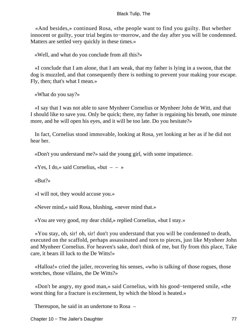«And besides,» continued Rosa, «the people want to find you guilty. But whether innocent or guilty, your trial begins to−morrow, and the day after you will be condemned. Matters are settled very quickly in these times.»

«Well, and what do you conclude from all this?»

 «I conclude that I am alone, that I am weak, that my father is lying in a swoon, that the dog is muzzled, and that consequently there is nothing to prevent your making your escape. Fly, then; that's what I mean.»

```
 «What do you say?»
```
 «I say that I was not able to save Mynheer Cornelius or Mynheer John de Witt, and that I should like to save you. Only be quick; there, my father is regaining his breath, one minute more, and he will open his eyes, and it will be too late. Do you hesitate?»

 In fact, Cornelius stood immovable, looking at Rosa, yet looking at her as if he did not hear her.

«Don't you understand me?» said the young girl, with some impatience.

«Yes, I do,» said Cornelius, «but  $- - \infty$ 

«But?»

«I will not, they would accuse you.»

«Never mind,» said Rosa, blushing, «never mind that.»

«You are very good, my dear child,» replied Cornelius, «but I stay.»

 «You stay, oh, sir! oh, sir! don't you understand that you will be condemned to death, executed on the scaffold, perhaps assassinated and torn to pieces, just like Mynheer John and Mynheer Cornelius. For heaven's sake, don't think of me, but fly from this place, Take care, it bears ill luck to the De Witts!»

 «Halloa!» cried the jailer, recovering his senses, «who is talking of those rogues, those wretches, those villains, the De Witts?»

 «Don't be angry, my good man,» said Cornelius, with his good−tempered smile, «the worst thing for a fracture is excitement, by which the blood is heated.»

Thereupon, he said in an undertone to Rosa –

Chapter 10 − The Jailer's Daughter 77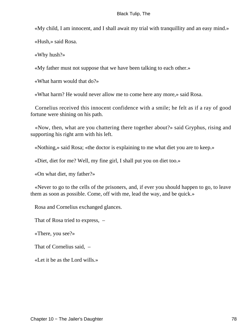«My child, I am innocent, and I shall await my trial with tranquillity and an easy mind.»

«Hush,» said Rosa.

«Why hush?»

«My father must not suppose that we have been talking to each other.»

«What harm would that do?»

«What harm? He would never allow me to come here any more,» said Rosa.

 Cornelius received this innocent confidence with a smile; he felt as if a ray of good fortune were shining on his path.

 «Now, then, what are you chattering there together about?» said Gryphus, rising and supporting his right arm with his left.

«Nothing,» said Rosa; «the doctor is explaining to me what diet you are to keep.»

«Diet, diet for me? Well, my fine girl, I shall put you on diet too.»

«On what diet, my father?»

 «Never to go to the cells of the prisoners, and, if ever you should happen to go, to leave them as soon as possible. Come, off with me, lead the way, and be quick.»

Rosa and Cornelius exchanged glances.

That of Rosa tried to express, –

«There, you see?»

That of Cornelius said, –

«Let it be as the Lord wills.»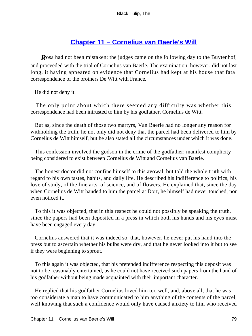## **[Chapter 11 − Cornelius van Baerle's Will](#page-226-0)**

*R*osa had not been mistaken; the judges came on the following day to the Buytenhof, and proceeded with the trial of Cornelius van Baerle. The examination, however, did not last long, it having appeared on evidence that Cornelius had kept at his house that fatal correspondence of the brothers De Witt with France.

He did not deny it.

 The only point about which there seemed any difficulty was whether this correspondence had been intrusted to him by his godfather, Cornelius de Witt.

 But as, since the death of those two martyrs, Van Baerle had no longer any reason for withholding the truth, he not only did not deny that the parcel had been delivered to him by Cornelius de Witt himself, but he also stated all the circumstances under which it was done.

 This confession involved the godson in the crime of the godfather; manifest complicity being considered to exist between Cornelius de Witt and Cornelius van Baerle.

 The honest doctor did not confine himself to this avowal, but told the whole truth with regard to his own tastes, habits, and daily life. He described his indifference to politics, his love of study, of the fine arts, of science, and of flowers. He explained that, since the day when Cornelius de Witt handed to him the parcel at Dort, he himself had never touched, nor even noticed it.

 To this it was objected, that in this respect he could not possibly be speaking the truth, since the papers had been deposited in a press in which both his hands and his eyes must have been engaged every day.

 Cornelius answered that it was indeed so; that, however, he never put his hand into the press but to ascertain whether his bulbs were dry, and that he never looked into it but to see if they were beginning to sprout.

 To this again it was objected, that his pretended indifference respecting this deposit was not to be reasonably entertained, as he could not have received such papers from the hand of his godfather without being made acquainted with their important character.

 He replied that his godfather Cornelius loved him too well, and, above all, that he was too considerate a man to have communicated to him anything of the contents of the parcel, well knowing that such a confidence would only have caused anxiety to him who received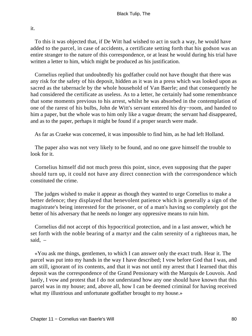it.

 To this it was objected that, if De Witt had wished to act in such a way, he would have added to the parcel, in case of accidents, a certificate setting forth that his godson was an entire stranger to the nature of this correspondence, or at least he would during his trial have written a letter to him, which might be produced as his justification.

 Cornelius replied that undoubtedly his godfather could not have thought that there was any risk for the safety of his deposit, hidden as it was in a press which was looked upon as sacred as the tabernacle by the whole household of Van Baerle; and that consequently he had considered the certificate as useless. As to a letter, he certainly had some remembrance that some moments previous to his arrest, whilst he was absorbed in the contemplation of one of the rarest of his bulbs, John de Witt's servant entered his dry−room, and handed to him a paper, but the whole was to him only like a vague dream; the servant had disappeared, and as to the paper, perhaps it might be found if a proper search were made.

As far as Craeke was concerned, it was impossible to find him, as he had left Holland.

 The paper also was not very likely to be found, and no one gave himself the trouble to look for it.

 Cornelius himself did not much press this point, since, even supposing that the paper should turn up, it could not have any direct connection with the correspondence which constituted the crime.

 The judges wished to make it appear as though they wanted to urge Cornelius to make a better defence; they displayed that benevolent patience which is generally a sign of the magistrate's being interested for the prisoner, or of a man's having so completely got the better of his adversary that he needs no longer any oppressive means to ruin him.

 Cornelius did not accept of this hypocritical protection, and in a last answer, which he set forth with the noble bearing of a martyr and the calm serenity of a righteous man, he said, –

 «You ask me things, gentlemen, to which I can answer only the exact truth. Hear it. The parcel was put into my hands in the way I have described; I vow before God that I was, and am still, ignorant of its contents, and that it was not until my arrest that I learned that this deposit was the correspondence of the Grand Pensionary with the Marquis de Louvois. And lastly, I vow and protest that I do not understand how any one should have known that this parcel was in my house; and, above all, how I can be deemed criminal for having received what my illustrious and unfortunate godfather brought to my house.»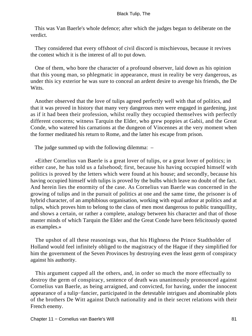This was Van Baerle's whole defence; after which the judges began to deliberate on the verdict.

 They considered that every offshoot of civil discord is mischievous, because it revives the contest which it is the interest of all to put down.

 One of them, who bore the character of a profound observer, laid down as his opinion that this young man, so phlegmatic in appearance, must in reality be very dangerous, as under this icy exterior he was sure to conceal an ardent desire to avenge his friends, the De Witts.

 Another observed that the love of tulips agreed perfectly well with that of politics, and that it was proved in history that many very dangerous men were engaged in gardening, just as if it had been their profession, whilst really they occupied themselves with perfectly different concerns; witness Tarquin the Elder, who grew poppies at Gabii, and the Great Conde, who watered his carnations at the dungeon of Vincennes at the very moment when the former meditated his return to Rome, and the latter his escape from prison.

The judge summed up with the following dilemma: –

 «Either Cornelius van Baerle is a great lover of tulips, or a great lover of politics; in either case, he has told us a falsehood; first, because his having occupied himself with politics is proved by the letters which were found at his house; and secondly, because his having occupied himself with tulips is proved by the bulbs which leave no doubt of the fact. And herein lies the enormity of the case. As Cornelius van Baerle was concerned in the growing of tulips and in the pursuit of politics at one and the same time, the prisoner is of hybrid character, of an amphibious organisation, working with equal ardour at politics and at tulips, which proves him to belong to the class of men most dangerous to public tranquillity, and shows a certain, or rather a complete, analogy between his character and that of those master minds of which Tarquin the Elder and the Great Conde have been felicitously quoted as examples.»

 The upshot of all these reasonings was, that his Highness the Prince Stadtholder of Holland would feel infinitely obliged to the magistracy of the Hague if they simplified for him the government of the Seven Provinces by destroying even the least germ of conspiracy against his authority.

 This argument capped all the others, and, in order so much the more effectually to destroy the germ of conspiracy, sentence of death was unanimously pronounced against Cornelius van Baerle, as being arraigned, and convicted, for having, under the innocent appearance of a tulip−fancier, participated in the detestable intrigues and abominable plots of the brothers De Witt against Dutch nationality and in their secret relations with their French enemy.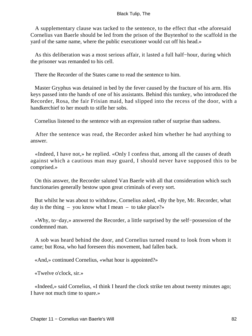A supplementary clause was tacked to the sentence, to the effect that «the aforesaid Cornelius van Baerle should be led from the prison of the Buytenhof to the scaffold in the yard of the same name, where the public executioner would cut off his head.»

 As this deliberation was a most serious affair, it lasted a full half−hour, during which the prisoner was remanded to his cell.

There the Recorder of the States came to read the sentence to him.

 Master Gryphus was detained in bed by the fever caused by the fracture of his arm. His keys passed into the hands of one of his assistants. Behind this turnkey, who introduced the Recorder, Rosa, the fair Frisian maid, had slipped into the recess of the door, with a handkerchief to her mouth to stifle her sobs.

Cornelius listened to the sentence with an expression rather of surprise than sadness.

 After the sentence was read, the Recorder asked him whether he had anything to answer.

 «Indeed, I have not,» he replied. «Only I confess that, among all the causes of death against which a cautious man may guard, I should never have supposed this to be comprised.»

 On this answer, the Recorder saluted Van Baerle with all that consideration which such functionaries generally bestow upon great criminals of every sort.

 But whilst he was about to withdraw, Cornelius asked, «By the bye, Mr. Recorder, what day is the thing – you know what I mean – to take place?»

 «Why, to−day,» answered the Recorder, a little surprised by the self−possession of the condemned man.

 A sob was heard behind the door, and Cornelius turned round to look from whom it came; but Rosa, who had foreseen this movement, had fallen back.

«And,» continued Cornelius, «what hour is appointed?»

«Twelve o'clock, sir.»

 «Indeed,» said Cornelius, «I think I heard the clock strike ten about twenty minutes ago; I have not much time to spare.»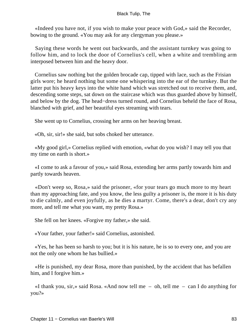«Indeed you have not, if you wish to make your peace with God,» said the Recorder, bowing to the ground. «You may ask for any clergyman you please.»

 Saying these words he went out backwards, and the assistant turnkey was going to follow him, and to lock the door of Cornelius's cell, when a white and trembling arm interposed between him and the heavy door.

 Cornelius saw nothing but the golden brocade cap, tipped with lace, such as the Frisian girls wore; he heard nothing but some one whispering into the ear of the turnkey. But the latter put his heavy keys into the white hand which was stretched out to receive them, and, descending some steps, sat down on the staircase which was thus guarded above by himself, and below by the dog. The head−dress turned round, and Cornelius beheld the face of Rosa, blanched with grief, and her beautiful eyes streaming with tears.

She went up to Cornelius, crossing her arms on her heaving breast.

«Oh, sir, sir!» she said, but sobs choked her utterance.

 «My good girl,» Cornelius replied with emotion, «what do you wish? I may tell you that my time on earth is short.»

 «I come to ask a favour of you,» said Rosa, extending her arms partly towards him and partly towards heaven.

 «Don't weep so, Rosa,» said the prisoner, «for your tears go much more to my heart than my approaching fate, and you know, the less guilty a prisoner is, the more it is his duty to die calmly, and even joyfully, as he dies a martyr. Come, there's a dear, don't cry any more, and tell me what you want, my pretty Rosa.»

She fell on her knees. «Forgive my father,» she said.

«Your father, your father!» said Cornelius, astonished.

 «Yes, he has been so harsh to you; but it is his nature, he is so to every one, and you are not the only one whom he has bullied.»

 «He is punished, my dear Rosa, more than punished, by the accident that has befallen him, and I forgive him.»

 «I thank you, sir,» said Rosa. «And now tell me – oh, tell me – can I do anything for you?»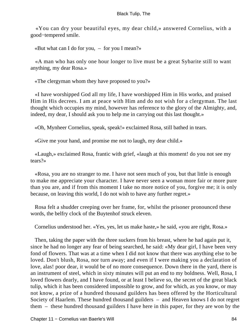«You can dry your beautiful eyes, my dear child,» answered Cornelius, with a good−tempered smile.

«But what can I do for you,  $-$  for you I mean?»

 «A man who has only one hour longer to live must be a great Sybarite still to want anything, my dear Rosa.»

«The clergyman whom they have proposed to you?»

 «I have worshipped God all my life, I have worshipped Him in His works, and praised Him in His decrees. I am at peace with Him and do not wish for a clergyman. The last thought which occupies my mind, however has reference to the glory of the Almighty, and, indeed, my dear, I should ask you to help me in carrying out this last thought.»

«Oh, Mynheer Cornelius, speak, speak!» exclaimed Rosa, still bathed in tears.

«Give me your hand, and promise me not to laugh, my dear child.»

 «Laugh,» exclaimed Rosa, frantic with grief, «laugh at this moment! do you not see my tears?»

 «Rosa, you are no stranger to me. I have not seen much of you, but that little is enough to make me appreciate your character. I have never seen a woman more fair or more pure than you are, and if from this moment I take no more notice of you, forgive me; it is only because, on leaving this world, I do not wish to have any further regret.»

 Rosa felt a shudder creeping over her frame, for, whilst the prisoner pronounced these words, the belfry clock of the Buytenhof struck eleven.

Cornelius understood her. «Yes, yes, let us make haste,» he said, «you are right, Rosa.»

 Then, taking the paper with the three suckers from his breast, where he had again put it, since he had no longer any fear of being searched, he said: «My dear girl, I have been very fond of flowers. That was at a time when I did not know that there was anything else to be loved. Don't blush, Rosa, nor turn away; and even if I were making you a declaration of love, alas! poor dear, it would be of no more consequence. Down there in the yard, there is an instrument of steel, which in sixty minutes will put an end to my boldness. Well, Rosa, I loved flowers dearly, and I have found, or at least I believe so, the secret of the great black tulip, which it has been considered impossible to grow, and for which, as you know, or may not know, a prize of a hundred thousand guilders has been offered by the Horticultural Society of Haarlem. These hundred thousand guilders – and Heaven knows I do not regret them – these hundred thousand guilders I have here in this paper, for they are won by the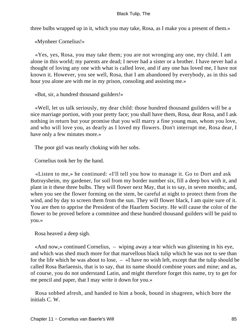three bulbs wrapped up in it, which you may take, Rosa, as I make you a present of them.»

«Mynheer Cornelius!»

 «Yes, yes, Rosa, you may take them; you are not wronging any one, my child. I am alone in this world; my parents are dead; I never had a sister or a brother. I have never had a thought of loving any one with what is called love, and if any one has loved me, I have not known it. However, you see well, Rosa, that I am abandoned by everybody, as in this sad hour you alone are with me in my prison, consoling and assisting me.»

«But, sir, a hundred thousand guilders!»

 «Well, let us talk seriously, my dear child: those hundred thousand guilders will be a nice marriage portion, with your pretty face; you shall have them, Rosa, dear Rosa, and I ask nothing in return but your promise that you will marry a fine young man, whom you love, and who will love you, as dearly as I loved my flowers. Don't interrupt me, Rosa dear, I have only a few minutes more.»

The poor girl was nearly choking with her sobs.

Cornelius took her by the hand.

 «Listen to me,» he continued: «I'll tell you how to manage it. Go to Dort and ask Butruysheim, my gardener, for soil from my border number six, fill a deep box with it, and plant in it these three bulbs. They will flower next May, that is to say, in seven months; and, when you see the flower forming on the stem, be careful at night to protect them from the wind, and by day to screen them from the sun. They will flower black, I am quite sure of it. You are then to apprise the President of the Haarlem Society. He will cause the color of the flower to be proved before a committee and these hundred thousand guilders will be paid to you.»

Rosa heaved a deep sigh.

 «And now,» continued Cornelius, – wiping away a tear which was glistening in his eye, and which was shed much more for that marvellous black tulip which he was not to see than for the life which he was about to lose, – «I have no wish left, except that the tulip should be called Rosa Barlaensis, that is to say, that its name should combine yours and mine; and as, of course, you do not understand Latin, and might therefore forget this name, try to get for me pencil and paper, that I may write it down for you.»

 Rosa sobbed afresh, and handed to him a book, bound in shagreen, which bore the initials C. W.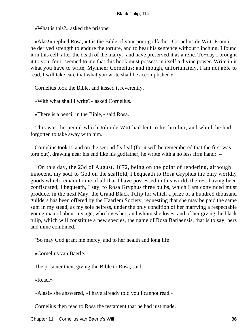«What is this?» asked the prisoner.

 «Alas!» replied Rosa, «it is the Bible of your poor godfather, Cornelius de Witt. From it he derived strength to endure the torture, and to bear his sentence without flinching. I found it in this cell, after the death of the martyr, and have preserved it as a relic. To−day I brought it to you, for it seemed to me that this book must possess in itself a divine power. Write in it what you have to write, Mynheer Cornelius; and though, unfortunately, I am not able to read, I will take care that what you write shall be accomplished.»

Cornelius took the Bible, and kissed it reverently.

«With what shall I write?» asked Cornelius.

«There is a pencil in the Bible,» said Rosa.

 This was the pencil which John de Witt had lent to his brother, and which he had forgotten to take away with him.

 Cornelius took it, and on the second fly leaf (for it will be remembered that the first was torn out), drawing near his end like his godfather, he wrote with a no less firm hand: –

 "On this day, the 23d of August, 1672, being on the point of rendering, although innocent, my soul to God on the scaffold, I bequeath to Rosa Gryphus the only worldly goods which remain to me of all that I have possessed in this world, the rest having been confiscated; I bequeath, I say, to Rosa Gryphus three bulbs, which I am convinced must produce, in the next May, the Grand Black Tulip for which a prize of a hundred thousand guilders has been offered by the Haarlem Society, requesting that she may be paid the same sum in my stead, as my sole heiress, under the only condition of her marrying a respectable young man of about my age, who loves her, and whom she loves, and of her giving the black tulip, which will constitute a new species, the name of Rosa Barlaensis, that is to say, hers and mine combined.

"So may God grant me mercy, and to her health and long life!

«Cornelius van Baerle.»

The prisoner then, giving the Bible to Rosa, said, –

«Read.»

«Alas!» she answered, «I have already told you I cannot read.»

Cornelius then read to Rosa the testament that he had just made.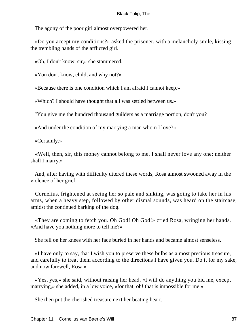The agony of the poor girl almost overpowered her.

 «Do you accept my conditions?» asked the prisoner, with a melancholy smile, kissing the trembling hands of the afflicted girl.

«Oh, I don't know, sir,» she stammered.

«You don't know, child, and why not?»

«Because there is one condition which I am afraid I cannot keep.»

«Which? I should have thought that all was settled between us.»

"You give me the hundred thousand guilders as a marriage portion, don't you?

«And under the condition of my marrying a man whom I love?»

«Certainly.»

 «Well, then, sir, this money cannot belong to me. I shall never love any one; neither shall I marry.»

 And, after having with difficulty uttered these words, Rosa almost swooned away in the violence of her grief.

 Cornelius, frightened at seeing her so pale and sinking, was going to take her in his arms, when a heavy step, followed by other dismal sounds, was heard on the staircase, amidst the continued barking of the dog.

 «They are coming to fetch you. Oh God! Oh God!» cried Rosa, wringing her hands. «And have you nothing more to tell me?»

She fell on her knees with her face buried in her hands and became almost senseless.

 «I have only to say, that I wish you to preserve these bulbs as a most precious treasure, and carefully to treat them according to the directions I have given you. Do it for my sake, and now farewell, Rosa.»

 «Yes, yes,» she said, without raising her head, «I will do anything you bid me, except marrying,» she added, in a low voice, «for that, oh! that is impossible for me.»

She then put the cherished treasure next her beating heart.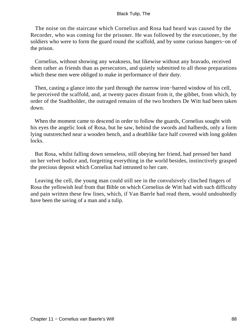The noise on the staircase which Cornelius and Rosa had heard was caused by the Recorder, who was coming for the prisoner. He was followed by the executioner, by the soldiers who were to form the guard round the scaffold, and by some curious hangers−on of the prison.

 Cornelius, without showing any weakness, but likewise without any bravado, received them rather as friends than as persecutors, and quietly submitted to all those preparations which these men were obliged to make in performance of their duty.

Then, casting a glance into the yard through the narrow iron–barred window of his cell, he perceived the scaffold, and, at twenty paces distant from it, the gibbet, from which, by order of the Stadtholder, the outraged remains of the two brothers De Witt had been taken down.

When the moment came to descend in order to follow the guards, Cornelius sought with his eyes the angelic look of Rosa, but he saw, behind the swords and halberds, only a form lying outstretched near a wooden bench, and a deathlike face half covered with long golden locks.

 But Rosa, whilst falling down senseless, still obeying her friend, had pressed her hand on her velvet bodice and, forgetting everything in the world besides, instinctively grasped the precious deposit which Cornelius had intrusted to her care.

 Leaving the cell, the young man could still see in the convulsively clinched fingers of Rosa the yellowish leaf from that Bible on which Cornelius de Witt had with such difficulty and pain written these few lines, which, if Van Baerle had read them, would undoubtedly have been the saving of a man and a tulip.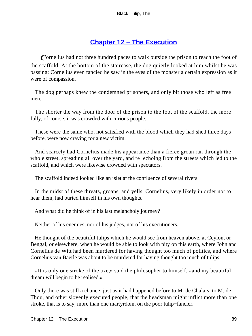## **[Chapter 12 − The Execution](#page-226-0)**

*C*ornelius had not three hundred paces to walk outside the prison to reach the foot of the scaffold. At the bottom of the staircase, the dog quietly looked at him whilst he was passing; Cornelius even fancied he saw in the eyes of the monster a certain expression as it were of compassion.

 The dog perhaps knew the condemned prisoners, and only bit those who left as free men.

 The shorter the way from the door of the prison to the foot of the scaffold, the more fully, of course, it was crowded with curious people.

 These were the same who, not satisfied with the blood which they had shed three days before, were now craving for a new victim.

 And scarcely had Cornelius made his appearance than a fierce groan ran through the whole street, spreading all over the yard, and re−echoing from the streets which led to the scaffold, and which were likewise crowded with spectators.

The scaffold indeed looked like an islet at the confluence of several rivers.

 In the midst of these threats, groans, and yells, Cornelius, very likely in order not to hear them, had buried himself in his own thoughts.

And what did he think of in his last melancholy journey?

Neither of his enemies, nor of his judges, nor of his executioners.

 He thought of the beautiful tulips which he would see from heaven above, at Ceylon, or Bengal, or elsewhere, when he would be able to look with pity on this earth, where John and Cornelius de Witt had been murdered for having thought too much of politics, and where Cornelius van Baerle was about to be murdered for having thought too much of tulips.

 «It is only one stroke of the axe,» said the philosopher to himself, «and my beautiful dream will begin to be realised.»

 Only there was still a chance, just as it had happened before to M. de Chalais, to M. de Thou, and other slovenly executed people, that the headsman might inflict more than one stroke, that is to say, more than one martyrdom, on the poor tulip−fancier.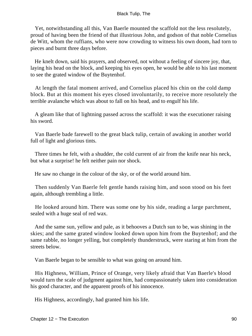Yet, notwithstanding all this, Van Baerle mounted the scaffold not the less resolutely, proud of having been the friend of that illustrious John, and godson of that noble Cornelius de Witt, whom the ruffians, who were now crowding to witness his own doom, had torn to pieces and burnt three days before.

 He knelt down, said his prayers, and observed, not without a feeling of sincere joy, that, laying his head on the block, and keeping his eyes open, he would be able to his last moment to see the grated window of the Buytenhof.

 At length the fatal moment arrived, and Cornelius placed his chin on the cold damp block. But at this moment his eyes closed involuntarily, to receive more resolutely the terrible avalanche which was about to fall on his head, and to engulf his life.

 A gleam like that of lightning passed across the scaffold: it was the executioner raising his sword.

 Van Baerle bade farewell to the great black tulip, certain of awaking in another world full of light and glorious tints.

 Three times he felt, with a shudder, the cold current of air from the knife near his neck, but what a surprise! he felt neither pain nor shock.

He saw no change in the colour of the sky, or of the world around him.

 Then suddenly Van Baerle felt gentle hands raising him, and soon stood on his feet again, although trembling a little.

 He looked around him. There was some one by his side, reading a large parchment, sealed with a huge seal of red wax.

 And the same sun, yellow and pale, as it behooves a Dutch sun to be, was shining in the skies; and the same grated window looked down upon him from the Buytenhof; and the same rabble, no longer yelling, but completely thunderstruck, were staring at him from the streets below.

Van Baerle began to be sensible to what was going on around him.

 His Highness, William, Prince of Orange, very likely afraid that Van Baerle's blood would turn the scale of judgment against him, had compassionately taken into consideration his good character, and the apparent proofs of his innocence.

His Highness, accordingly, had granted him his life.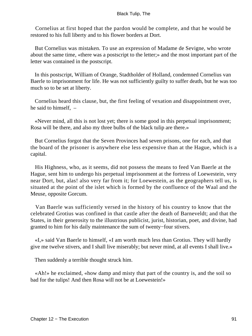Cornelius at first hoped that the pardon would be complete, and that he would be restored to his full liberty and to his flower borders at Dort.

 But Cornelius was mistaken. To use an expression of Madame de Sevigne, who wrote about the same time, «there was a postscript to the letter;» and the most important part of the letter was contained in the postscript.

 In this postscript, William of Orange, Stadtholder of Holland, condemned Cornelius van Baerle to imprisonment for life. He was not sufficiently guilty to suffer death, but he was too much so to be set at liberty.

 Cornelius heard this clause, but, the first feeling of vexation and disappointment over, he said to himself, –

 «Never mind, all this is not lost yet; there is some good in this perpetual imprisonment; Rosa will be there, and also my three bulbs of the black tulip are there.»

 But Cornelius forgot that the Seven Provinces had seven prisons, one for each, and that the board of the prisoner is anywhere else less expensive than at the Hague, which is a capital.

 His Highness, who, as it seems, did not possess the means to feed Van Baerle at the Hague, sent him to undergo his perpetual imprisonment at the fortress of Loewestein, very near Dort, but, alas! also very far from it; for Loewestein, as the geographers tell us, is situated at the point of the islet which is formed by the confluence of the Waal and the Meuse, opposite Gorcum.

 Van Baerle was sufficiently versed in the history of his country to know that the celebrated Grotius was confined in that castle after the death of Barneveldt; and that the States, in their generosity to the illustrious publicist, jurist, historian, poet, and divine, had granted to him for his daily maintenance the sum of twenty−four stivers.

 «I,» said Van Baerle to himself, «I am worth much less than Grotius. They will hardly give me twelve stivers, and I shall live miserably; but never mind, at all events I shall live.»

Then suddenly a terrible thought struck him.

 «Ah!» he exclaimed, «how damp and misty that part of the country is, and the soil so bad for the tulips! And then Rosa will not be at Loewestein!»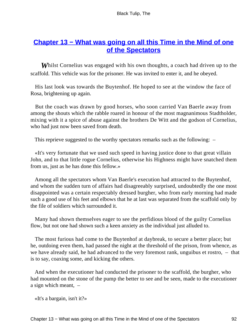## **[Chapter 13 − What was going on all this Time in the Mind of one](#page-226-0) [of the Spectators](#page-226-0)**

*W*hilst Cornelius was engaged with his own thoughts, a coach had driven up to the scaffold. This vehicle was for the prisoner. He was invited to enter it, and he obeyed.

 His last look was towards the Buytenhof. He hoped to see at the window the face of Rosa, brightening up again.

 But the coach was drawn by good horses, who soon carried Van Baerle away from among the shouts which the rabble roared in honour of the most magnanimous Stadtholder, mixing with it a spice of abuse against the brothers De Witt and the godson of Cornelius, who had just now been saved from death.

This reprieve suggested to the worthy spectators remarks such as the following: –

 «It's very fortunate that we used such speed in having justice done to that great villain John, and to that little rogue Cornelius, otherwise his Highness might have snatched them from us, just as he has done this fellow.»

 Among all the spectators whom Van Baerle's execution had attracted to the Buytenhof, and whom the sudden turn of affairs had disagreeably surprised, undoubtedly the one most disappointed was a certain respectably dressed burgher, who from early morning had made such a good use of his feet and elbows that he at last was separated from the scaffold only by the file of soldiers which surrounded it.

 Many had shown themselves eager to see the perfidious blood of the guilty Cornelius flow, but not one had shown such a keen anxiety as the individual just alluded to.

 The most furious had come to the Buytenhof at daybreak, to secure a better place; but he, outdoing even them, had passed the night at the threshold of the prison, from whence, as we have already said, he had advanced to the very foremost rank, unguibus et rostro, – that is to say, coaxing some, and kicking the others.

 And when the executioner had conducted the prisoner to the scaffold, the burgher, who had mounted on the stone of the pump the better to see and be seen, made to the executioner a sign which meant, –

«It's a bargain, isn't it?»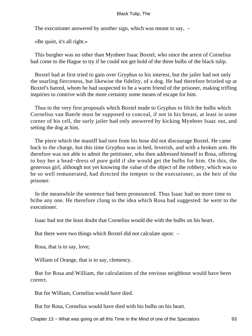The executioner answered by another sign, which was meant to say, –

«Be quiet, it's all right.»

 This burgher was no other than Mynheer Isaac Boxtel, who since the arrest of Cornelius had come to the Hague to try if he could not get hold of the three bulbs of the black tulip.

 Boxtel had at first tried to gain over Gryphus to his interest, but the jailer had not only the snarling fierceness, but likewise the fidelity, of a dog. He had therefore bristled up at Boxtel's hatred, whom he had suspected to be a warm friend of the prisoner, making trifling inquiries to contrive with the more certainty some means of escape for him.

 Thus to the very first proposals which Boxtel made to Gryphus to filch the bulbs which Cornelius van Baerle must be supposed to conceal, if not in his breast, at least in some corner of his cell, the surly jailer had only answered by kicking Mynheer Isaac out, and setting the dog at him.

 The piece which the mastiff had torn from his hose did not discourage Boxtel. He came back to the charge, but this time Gryphus was in bed, feverish, and with a broken arm. He therefore was not able to admit the petitioner, who then addressed himself to Rosa, offering to buy her a head−dress of pure gold if she would get the bulbs for him. On this, the generous girl, although not yet knowing the value of the object of the robbery, which was to be so well remunerated, had directed the tempter to the executioner, as the heir of the prisoner.

 In the meanwhile the sentence had been pronounced. Thus Isaac had no more time to bribe any one. He therefore clung to the idea which Rosa had suggested: he went to the executioner.

Isaac had not the least doubt that Cornelius would die with the bulbs on his heart.

But there were two things which Boxtel did not calculate upon: –

Rosa, that is to say, love;

William of Orange, that is to say, clemency.

 But for Rosa and William, the calculations of the envious neighbour would have been correct.

But for William, Cornelius would have died.

But for Rosa, Cornelius would have died with his bulbs on his heart.

Chapter 13 − What was going on all this Time in the Mind of one of the Spectators 93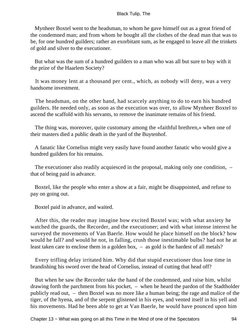Mynheer Boxtel went to the headsman, to whom he gave himself out as a great friend of the condemned man; and from whom he bought all the clothes of the dead man that was to be, for one hundred guilders; rather an exorbitant sum, as he engaged to leave all the trinkets of gold and silver to the executioner.

 But what was the sum of a hundred guilders to a man who was all but sure to buy with it the prize of the Haarlem Society?

 It was money lent at a thousand per cent., which, as nobody will deny, was a very handsome investment.

 The headsman, on the other hand, had scarcely anything to do to earn his hundred guilders. He needed only, as soon as the execution was over, to allow Mynheer Boxtel to ascend the scaffold with his servants, to remove the inanimate remains of his friend.

 The thing was, moreover, quite customary among the «faithful brethren,» when one of their masters died a public death in the yard of the Buytenhof.

 A fanatic like Cornelius might very easily have found another fanatic who would give a hundred guilders for his remains.

 The executioner also readily acquiesced in the proposal, making only one condition, – that of being paid in advance.

 Boxtel, like the people who enter a show at a fair, might be disappointed, and refuse to pay on going out.

Boxtel paid in advance, and waited.

 After this, the reader may imagine how excited Boxtel was; with what anxiety he watched the guards, the Recorder, and the executioner; and with what intense interest he surveyed the movements of Van Baerle. How would he place himself on the block? how would he fall? and would he not, in falling, crush those inestimable bulbs? had not he at least taken care to enclose them in a golden box, – as gold is the hardest of all metals?

 Every trifling delay irritated him. Why did that stupid executioner thus lose time in brandishing his sword over the head of Cornelius, instead of cutting that head off?

 But when he saw the Recorder take the hand of the condemned, and raise him, whilst drawing forth the parchment from his pocket, – when he heard the pardon of the Stadtholder publicly read out, – then Boxtel was no more like a human being; the rage and malice of the tiger, of the hyena, and of the serpent glistened in his eyes, and vented itself in his yell and his movements. Had he been able to get at Van Baerle, he would have pounced upon him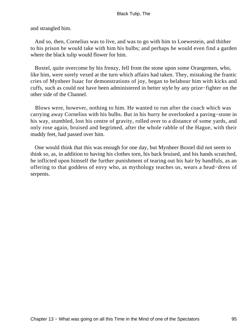and strangled him.

 And so, then, Cornelius was to live, and was to go with him to Loewestein, and thither to his prison he would take with him his bulbs; and perhaps he would even find a garden where the black tulip would flower for him.

 Boxtel, quite overcome by his frenzy, fell from the stone upon some Orangemen, who, like him, were sorely vexed at the turn which affairs had taken. They, mistaking the frantic cries of Mynheer Isaac for demonstrations of joy, began to belabour him with kicks and cuffs, such as could not have been administered in better style by any prize−fighter on the other side of the Channel.

 Blows were, however, nothing to him. He wanted to run after the coach which was carrying away Cornelius with his bulbs. But in his hurry he overlooked a paving−stone in his way, stumbled, lost his centre of gravity, rolled over to a distance of some yards, and only rose again, bruised and begrimed, after the whole rabble of the Hague, with their muddy feet, had passed over him.

 One would think that this was enough for one day, but Mynheer Boxtel did not seem to think so, as, in addition to having his clothes torn, his back bruised, and his hands scratched, he inflicted upon himself the further punishment of tearing out his hair by handfuls, as an offering to that goddess of envy who, as mythology teaches us, wears a head−dress of serpents.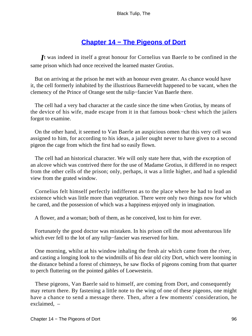# **[Chapter 14 − The Pigeons of Dort](#page-226-0)**

*I*t was indeed in itself a great honour for Cornelius van Baerle to be confined in the same prison which had once received the learned master Grotius.

 But on arriving at the prison he met with an honour even greater. As chance would have it, the cell formerly inhabited by the illustrious Barneveldt happened to be vacant, when the clemency of the Prince of Orange sent the tulip−fancier Van Baerle there.

 The cell had a very bad character at the castle since the time when Grotius, by means of the device of his wife, made escape from it in that famous book−chest which the jailers forgot to examine.

 On the other hand, it seemed to Van Baerle an auspicious omen that this very cell was assigned to him, for according to his ideas, a jailer ought never to have given to a second pigeon the cage from which the first had so easily flown.

 The cell had an historical character. We will only state here that, with the exception of an alcove which was contrived there for the use of Madame Grotius, it differed in no respect from the other cells of the prison; only, perhaps, it was a little higher, and had a splendid view from the grated window.

 Cornelius felt himself perfectly indifferent as to the place where he had to lead an existence which was little more than vegetation. There were only two things now for which he cared, and the possession of which was a happiness enjoyed only in imagination.

A flower, and a woman; both of them, as he conceived, lost to him for ever.

 Fortunately the good doctor was mistaken. In his prison cell the most adventurous life which ever fell to the lot of any tulip−fancier was reserved for him.

 One morning, whilst at his window inhaling the fresh air which came from the river, and casting a longing look to the windmills of his dear old city Dort, which were looming in the distance behind a forest of chimneys, he saw flocks of pigeons coming from that quarter to perch fluttering on the pointed gables of Loewestein.

 These pigeons, Van Baerle said to himself, are coming from Dort, and consequently may return there. By fastening a little note to the wing of one of these pigeons, one might have a chance to send a message there. Then, after a few moments' consideration, he exclaimed, –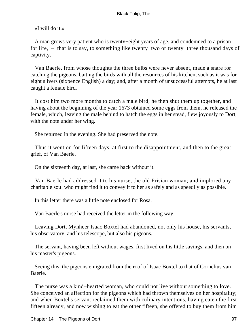«I will do it.»

 A man grows very patient who is twenty−eight years of age, and condemned to a prison for life, – that is to say, to something like twenty−two or twenty−three thousand days of captivity.

 Van Baerle, from whose thoughts the three bulbs were never absent, made a snare for catching the pigeons, baiting the birds with all the resources of his kitchen, such as it was for eight slivers (sixpence English) a day; and, after a month of unsuccessful attempts, he at last caught a female bird.

 It cost him two more months to catch a male bird; he then shut them up together, and having about the beginning of the year 1673 obtained some eggs from them, he released the female, which, leaving the male behind to hatch the eggs in her stead, flew joyously to Dort, with the note under her wing.

She returned in the evening. She had preserved the note.

 Thus it went on for fifteen days, at first to the disappointment, and then to the great grief, of Van Baerle.

On the sixteenth day, at last, she came back without it.

 Van Baerle had addressed it to his nurse, the old Frisian woman; and implored any charitable soul who might find it to convey it to her as safely and as speedily as possible.

In this letter there was a little note enclosed for Rosa.

Van Baerle's nurse had received the letter in the following way.

 Leaving Dort, Mynheer Isaac Boxtel had abandoned, not only his house, his servants, his observatory, and his telescope, but also his pigeons.

 The servant, having been left without wages, first lived on his little savings, and then on his master's pigeons.

 Seeing this, the pigeons emigrated from the roof of Isaac Boxtel to that of Cornelius van Baerle.

 The nurse was a kind−hearted woman, who could not live without something to love. She conceived an affection for the pigeons which had thrown themselves on her hospitality; and when Boxtel's servant reclaimed them with culinary intentions, having eaten the first fifteen already, and now wishing to eat the other fifteen, she offered to buy them from him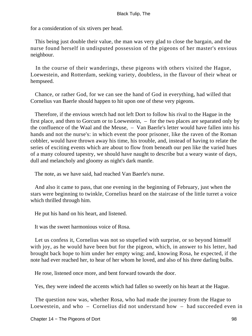for a consideration of six stivers per head.

 This being just double their value, the man was very glad to close the bargain, and the nurse found herself in undisputed possession of the pigeons of her master's envious neighbour.

 In the course of their wanderings, these pigeons with others visited the Hague, Loewestein, and Rotterdam, seeking variety, doubtless, in the flavour of their wheat or hempseed.

 Chance, or rather God, for we can see the hand of God in everything, had willed that Cornelius van Baerle should happen to hit upon one of these very pigeons.

 Therefore, if the envious wretch had not left Dort to follow his rival to the Hague in the first place, and then to Gorcum or to Loewestein, – for the two places are separated only by the confluence of the Waal and the Meuse, – Van Baerle's letter would have fallen into his hands and not the nurse's: in which event the poor prisoner, like the raven of the Roman cobbler, would have thrown away his time, his trouble, and, instead of having to relate the series of exciting events which are about to flow from beneath our pen like the varied hues of a many coloured tapestry, we should have naught to describe but a weary waste of days, dull and melancholy and gloomy as night's dark mantle.

The note, as we have said, had reached Van Baerle's nurse.

 And also it came to pass, that one evening in the beginning of February, just when the stars were beginning to twinkle, Cornelius heard on the staircase of the little turret a voice which thrilled through him.

He put his hand on his heart, and listened.

It was the sweet harmonious voice of Rosa.

 Let us confess it, Cornelius was not so stupefied with surprise, or so beyond himself with joy, as he would have been but for the pigeon, which, in answer to his letter, had brought back hope to him under her empty wing; and, knowing Rosa, he expected, if the note had ever reached her, to hear of her whom he loved, and also of his three darling bulbs.

He rose, listened once more, and bent forward towards the door.

Yes, they were indeed the accents which had fallen so sweetly on his heart at the Hague.

 The question now was, whether Rosa, who had made the journey from the Hague to Loewestein, and who – Cornelius did not understand how – had succeeded even in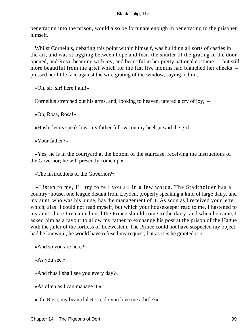penetrating into the prison, would also be fortunate enough in penetrating to the prisoner himself.

 Whilst Cornelius, debating this point within himself, was building all sorts of castles in the air, and was struggling between hope and fear, the shutter of the grating in the door opened, and Rosa, beaming with joy, and beautiful in her pretty national costume – but still more beautiful from the grief which for the last five months had blanched her cheeks – pressed her little face against the wire grating of the window, saying to him, –

«Oh, sir, sir! here I am!»

Cornelius stretched out his arms, and, looking to heaven, uttered a cry of joy, –

«Oh, Rosa, Rosa!»

«Hush! let us speak low: my father follows on my heels,» said the girl.

«Your father?»

 «Yes, he is in the courtyard at the bottom of the staircase, receiving the instructions of the Governor; he will presently come up.»

«The instructions of the Governor?»

 «Listen to me, I'll try to tell you all in a few words. The Stadtholder has a country−house, one league distant from Leyden, properly speaking a kind of large dairy, and my aunt, who was his nurse, has the management of it. As soon as I received your letter, which, alas! I could not read myself, but which your housekeeper read to me, I hastened to my aunt; there I remained until the Prince should come to the dairy; and when he came, I asked him as a favour to allow my father to exchange his post at the prison of the Hague with the jailer of the fortress of Loewestein. The Prince could not have suspected my object; had he known it, he would have refused my request, but as it is he granted it.»

«And so you are here?»

«As you see.»

«And thus I shall see you every day?»

«As often as I can manage it.»

«Oh, Rosa, my beautiful Rosa, do you love me a little?»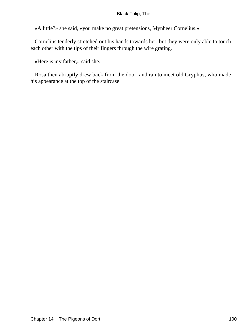«A little?» she said, «you make no great pretensions, Mynheer Cornelius.»

 Cornelius tenderly stretched out his hands towards her, but they were only able to touch each other with the tips of their fingers through the wire grating.

«Here is my father,» said she.

 Rosa then abruptly drew back from the door, and ran to meet old Gryphus, who made his appearance at the top of the staircase.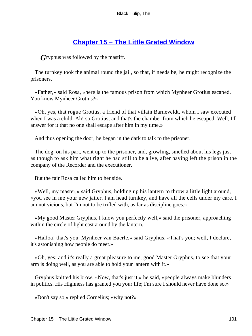# **[Chapter 15 − The Little Grated Window](#page-226-0)**

*G*ryphus was followed by the mastiff.

 The turnkey took the animal round the jail, so that, if needs be, he might recognize the prisoners.

 «Father,» said Rosa, «here is the famous prison from which Mynheer Grotius escaped. You know Mynheer Grotius?»

 «Oh, yes, that rogue Grotius, a friend of that villain Barneveldt, whom I saw executed when I was a child. Ah! so Grotius; and that's the chamber from which he escaped. Well, I'll answer for it that no one shall escape after him in my time.»

And thus opening the door, he began in the dark to talk to the prisoner.

 The dog, on his part, went up to the prisoner, and, growling, smelled about his legs just as though to ask him what right he had still to be alive, after having left the prison in the company of the Recorder and the executioner.

But the fair Rosa called him to her side.

 «Well, my master,» said Gryphus, holding up his lantern to throw a little light around, «you see in me your new jailer. I am head turnkey, and have all the cells under my care. I am not vicious, but I'm not to be trifled with, as far as discipline goes.»

 «My good Master Gryphus, I know you perfectly well,» said the prisoner, approaching within the circle of light cast around by the lantern.

 «Halloa! that's you, Mynheer van Baerle,» said Gryphus. «That's you; well, I declare, it's astonishing how people do meet.»

 «Oh, yes; and it's really a great pleasure to me, good Master Gryphus, to see that your arm is doing well, as you are able to hold your lantern with it.»

 Gryphus knitted his brow. «Now, that's just it,» he said, «people always make blunders in politics. His Highness has granted you your life; I'm sure I should never have done so.»

«Don't say so,» replied Cornelius; «why not?»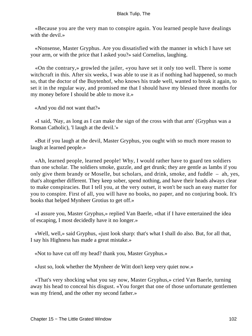«Because you are the very man to conspire again. You learned people have dealings with the devil.»

 «Nonsense, Master Gryphus. Are you dissatisfied with the manner in which I have set your arm, or with the price that I asked you?» said Cornelius, laughing.

 «On the contrary,» growled the jailer, «you have set it only too well. There is some witchcraft in this. After six weeks, I was able to use it as if nothing had happened, so much so, that the doctor of the Buytenhof, who knows his trade well, wanted to break it again, to set it in the regular way, and promised me that I should have my blessed three months for my money before I should be able to move it.»

«And you did not want that?»

 «I said, 'Nay, as long as I can make the sign of the cross with that arm' (Gryphus was a Roman Catholic), 'I laugh at the devil.'»

 «But if you laugh at the devil, Master Gryphus, you ought with so much more reason to laugh at learned people.»

 «Ah, learned people, learned people! Why, I would rather have to guard ten soldiers than one scholar. The soldiers smoke, guzzle, and get drunk; they are gentle as lambs if you only give them brandy or Moselle, but scholars, and drink, smoke, and fuddle – ah, yes, that's altogether different. They keep sober, spend nothing, and have their heads always clear to make conspiracies. But I tell you, at the very outset, it won't be such an easy matter for you to conspire. First of all, you will have no books, no paper, and no conjuring book. It's books that helped Mynheer Grotius to get off.»

 «I assure you, Master Gryphus,» replied Van Baerle, «that if I have entertained the idea of escaping, I most decidedly have it no longer.»

 «Well, well,» said Gryphus, «just look sharp: that's what I shall do also. But, for all that, I say his Highness has made a great mistake.»

«Not to have cut off my head? thank you, Master Gryphus.»

«Just so, look whether the Mynheer de Witt don't keep very quiet now.»

 «That's very shocking what you say now, Master Gryphus,» cried Van Baerle, turning away his head to conceal his disgust. «You forget that one of those unfortunate gentlemen was my friend, and the other my second father.»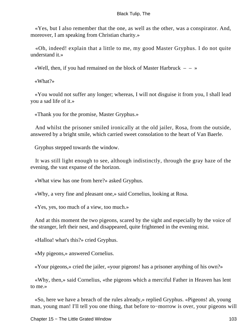«Yes, but I also remember that the one, as well as the other, was a conspirator. And, moreover, I am speaking from Christian charity.»

 «Oh, indeed! explain that a little to me, my good Master Gryphus. I do not quite understand it.»

«Well, then, if you had remained on the block of Master Harbruck  $-$  – »

«What?»

 «You would not suffer any longer; whereas, I will not disguise it from you, I shall lead you a sad life of it.»

«Thank you for the promise, Master Gryphus.»

 And whilst the prisoner smiled ironically at the old jailer, Rosa, from the outside, answered by a bright smile, which carried sweet consolation to the heart of Van Baerle.

Gryphus stepped towards the window.

 It was still light enough to see, although indistinctly, through the gray haze of the evening, the vast expanse of the horizon.

«What view has one from here?» asked Gryphus.

«Why, a very fine and pleasant one,» said Cornelius, looking at Rosa.

«Yes, yes, too much of a view, too much.»

 And at this moment the two pigeons, scared by the sight and especially by the voice of the stranger, left their nest, and disappeared, quite frightened in the evening mist.

«Halloa! what's this?» cried Gryphus.

«My pigeons,» answered Cornelius.

«Your pigeons,» cried the jailer, «your pigeons! has a prisoner anything of his own?»

 «Why, then,» said Cornelius, «the pigeons which a merciful Father in Heaven has lent to me.»

 «So, here we have a breach of the rules already,» replied Gryphus. «Pigeons! ah, young man, young man! I'll tell you one thing, that before to−morrow is over, your pigeons will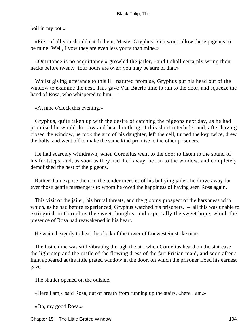boil in my pot.»

 «First of all you should catch them, Master Gryphus. You won't allow these pigeons to be mine! Well, I vow they are even less yours than mine.»

 «Omittance is no acquittance,» growled the jailer, «and I shall certainly wring their necks before twenty−four hours are over: you may be sure of that.»

 Whilst giving utterance to this ill−natured promise, Gryphus put his head out of the window to examine the nest. This gave Van Baerle time to run to the door, and squeeze the hand of Rosa, who whispered to him,  $-$ 

«At nine o'clock this evening.»

 Gryphus, quite taken up with the desire of catching the pigeons next day, as he had promised he would do, saw and heard nothing of this short interlude; and, after having closed the window, he took the arm of his daughter, left the cell, turned the key twice, drew the bolts, and went off to make the same kind promise to the other prisoners.

 He had scarcely withdrawn, when Cornelius went to the door to listen to the sound of his footsteps, and, as soon as they had died away, he ran to the window, and completely demolished the nest of the pigeons.

 Rather than expose them to the tender mercies of his bullying jailer, he drove away for ever those gentle messengers to whom he owed the happiness of having seen Rosa again.

 This visit of the jailer, his brutal threats, and the gloomy prospect of the harshness with which, as he had before experienced, Gryphus watched his prisoners,  $-$  all this was unable to extinguish in Cornelius the sweet thoughts, and especially the sweet hope, which the presence of Rosa had reawakened in his heart.

He waited eagerly to hear the clock of the tower of Loewestein strike nine.

 The last chime was still vibrating through the air, when Cornelius heard on the staircase the light step and the rustle of the flowing dress of the fair Frisian maid, and soon after a light appeared at the little grated window in the door, on which the prisoner fixed his earnest gaze.

The shutter opened on the outside.

«Here I am,» said Rosa, out of breath from running up the stairs, «here I am.»

«Oh, my good Rosa.»

Chapter 15 − The Little Grated Window 104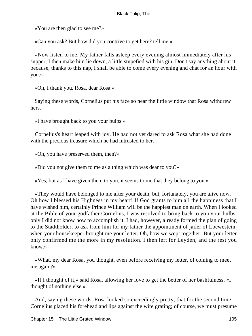«You are then glad to see me?»

«Can you ask? But how did you contrive to get here? tell me.»

 «Now listen to me. My father falls asleep every evening almost immediately after his supper; I then make him lie down, a little stupefied with his gin. Don't say anything about it, because, thanks to this nap, I shall be able to come every evening and chat for an hour with you.»

«Oh, I thank you, Rosa, dear Rosa.»

 Saying these words, Cornelius put his face so near the little window that Rosa withdrew hers.

«I have brought back to you your bulbs.»

 Cornelius's heart leaped with joy. He had not yet dared to ask Rosa what she had done with the precious treasure which he had intrusted to her.

«Oh, you have preserved them, then?»

«Did you not give them to me as a thing which was dear to you?»

«Yes, but as I have given them to you, it seems to me that they belong to you.»

 «They would have belonged to me after your death, but, fortunately, you are alive now. Oh how I blessed his Highness in my heart! If God grants to him all the happiness that I have wished him, certainly Prince William will be the happiest man on earth. When I looked at the Bible of your godfather Cornelius, I was resolved to bring back to you your bulbs, only I did not know how to accomplish it. I had, however, already formed the plan of going to the Stadtholder, to ask from him for my father the appointment of jailer of Loewestein, when your housekeeper brought me your letter. Oh, how we wept together! But your letter only confirmed me the more in my resolution. I then left for Leyden, and the rest you know.»

 «What, my dear Rosa, you thought, even before receiving my letter, of coming to meet me again?»

 «If I thought of it,» said Rosa, allowing her love to get the better of her bashfulness, «I thought of nothing else.»

 And, saying these words, Rosa looked so exceedingly pretty, that for the second time Cornelius placed his forehead and lips against the wire grating; of course, we must presume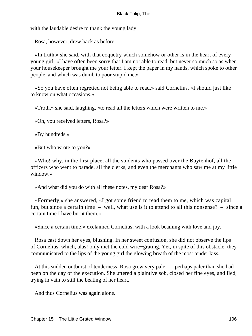with the laudable desire to thank the young lady.

Rosa, however, drew back as before.

 «In truth,» she said, with that coquetry which somehow or other is in the heart of every young girl, «I have often been sorry that I am not able to read, but never so much so as when your housekeeper brought me your letter. I kept the paper in my hands, which spoke to other people, and which was dumb to poor stupid me.»

 «So you have often regretted not being able to read,» said Cornelius. «I should just like to know on what occasions.»

«Troth,» she said, laughing, «to read all the letters which were written to me.»

«Oh, you received letters, Rosa?»

«By hundreds.»

«But who wrote to you?»

 «Who! why, in the first place, all the students who passed over the Buytenhof, all the officers who went to parade, all the clerks, and even the merchants who saw me at my little window.»

«And what did you do with all these notes, my dear Rosa?»

 «Formerly,» she answered, «I got some friend to read them to me, which was capital fun, but since a certain time – well, what use is it to attend to all this nonsense? – since a certain time I have burnt them.»

«Since a certain time!» exclaimed Cornelius, with a look beaming with love and joy.

 Rosa cast down her eyes, blushing. In her sweet confusion, she did not observe the lips of Cornelius, which, alas! only met the cold wire−grating. Yet, in spite of this obstacle, they communicated to the lips of the young girl the glowing breath of the most tender kiss.

 At this sudden outburst of tenderness, Rosa grew very pale, – perhaps paler than she had been on the day of the execution. She uttered a plaintive sob, closed her fine eyes, and fled, trying in vain to still the beating of her heart.

And thus Cornelius was again alone.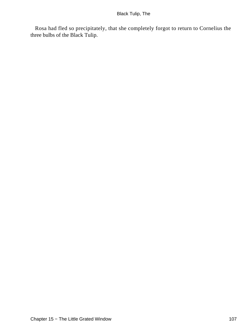Rosa had fled so precipitately, that she completely forgot to return to Cornelius the three bulbs of the Black Tulip.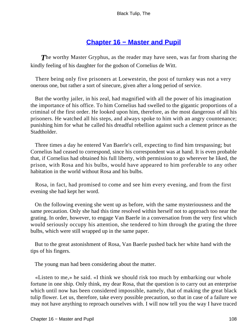# **[Chapter 16 − Master and Pupil](#page-226-0)**

**The worthy Master Gryphus, as the reader may have seen, was far from sharing the** kindly feeling of his daughter for the godson of Cornelius de Witt.

 There being only five prisoners at Loewestein, the post of turnkey was not a very onerous one, but rather a sort of sinecure, given after a long period of service.

 But the worthy jailer, in his zeal, had magnified with all the power of his imagination the importance of his office. To him Cornelius had swelled to the gigantic proportions of a criminal of the first order. He looked upon him, therefore, as the most dangerous of all his prisoners. He watched all his steps, and always spoke to him with an angry countenance; punishing him for what he called his dreadful rebellion against such a clement prince as the Stadtholder.

 Three times a day he entered Van Baerle's cell, expecting to find him trespassing; but Cornelius had ceased to correspond, since his correspondent was at hand. It is even probable that, if Cornelius had obtained his full liberty, with permission to go wherever he liked, the prison, with Rosa and his bulbs, would have appeared to him preferable to any other habitation in the world without Rosa and his bulbs.

 Rosa, in fact, had promised to come and see him every evening, and from the first evening she had kept her word.

 On the following evening she went up as before, with the same mysteriousness and the same precaution. Only she had this time resolved within herself not to approach too near the grating. In order, however, to engage Van Baerle in a conversation from the very first which would seriously occupy his attention, she tendered to him through the grating the three bulbs, which were still wrapped up in the same paper.

 But to the great astonishment of Rosa, Van Baerle pushed back her white hand with the tips of his fingers.

The young man had been considering about the matter.

 «Listen to me,» he said. «I think we should risk too much by embarking our whole fortune in one ship. Only think, my dear Rosa, that the question is to carry out an enterprise which until now has been considered impossible, namely, that of making the great black tulip flower. Let us, therefore, take every possible precaution, so that in case of a failure we may not have anything to reproach ourselves with. I will now tell you the way I have traced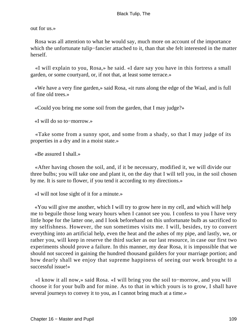out for us.»

 Rosa was all attention to what he would say, much more on account of the importance which the unfortunate tulip−fancier attached to it, than that she felt interested in the matter herself.

 «I will explain to you, Rosa,» he said. «I dare say you have in this fortress a small garden, or some courtyard, or, if not that, at least some terrace.»

 «We have a very fine garden,» said Rosa, «it runs along the edge of the Waal, and is full of fine old trees.»

«Could you bring me some soil from the garden, that I may judge?»

«I will do so to−morrow.»

 «Take some from a sunny spot, and some from a shady, so that I may judge of its properties in a dry and in a moist state.»

«Be assured I shall.»

 «After having chosen the soil, and, if it be necessary, modified it, we will divide our three bulbs; you will take one and plant it, on the day that I will tell you, in the soil chosen by me. It is sure to flower, if you tend it according to my directions.»

«I will not lose sight of it for a minute.»

 «You will give me another, which I will try to grow here in my cell, and which will help me to beguile those long weary hours when I cannot see you. I confess to you I have very little hope for the latter one, and I look beforehand on this unfortunate bulb as sacrificed to my selfishness. However, the sun sometimes visits me. I will, besides, try to convert everything into an artificial help, even the heat and the ashes of my pipe, and lastly, we, or rather you, will keep in reserve the third sucker as our last resource, in case our first two experiments should prove a failure. In this manner, my dear Rosa, it is impossible that we should not succeed in gaining the hundred thousand guilders for your marriage portion; and how dearly shall we enjoy that supreme happiness of seeing our work brought to a successful issue!»

 «I know it all now,» said Rosa. «I will bring you the soil to−morrow, and you will choose it for your bulb and for mine. As to that in which yours is to grow, I shall have several journeys to convey it to you, as I cannot bring much at a time.»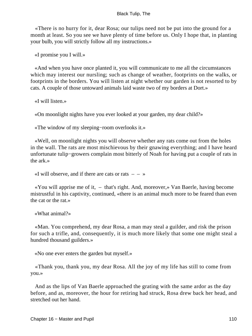«There is no hurry for it, dear Rosa; our tulips need not be put into the ground for a month at least. So you see we have plenty of time before us. Only I hope that, in planting your bulb, you will strictly follow all my instructions.»

«I promise you I will.»

 «And when you have once planted it, you will communicate to me all the circumstances which may interest our nursling; such as change of weather, footprints on the walks, or footprints in the borders. You will listen at night whether our garden is not resorted to by cats. A couple of those untoward animals laid waste two of my borders at Dort.»

«I will listen.»

«On moonlight nights have you ever looked at your garden, my dear child?»

«The window of my sleeping−room overlooks it.»

 «Well, on moonlight nights you will observe whether any rats come out from the holes in the wall. The rats are most mischievous by their gnawing everything; and I have heard unfortunate tulip−growers complain most bitterly of Noah for having put a couple of rats in the ark.»

«I will observe, and if there are cats or rats  $- - \infty$ 

 «You will apprise me of it, – that's right. And, moreover,» Van Baerle, having become mistrustful in his captivity, continued, «there is an animal much more to be feared than even the cat or the rat.»

«What animal?»

 «Man. You comprehend, my dear Rosa, a man may steal a guilder, and risk the prison for such a trifle, and, consequently, it is much more likely that some one might steal a hundred thousand guilders.»

«No one ever enters the garden but myself.»

 «Thank you, thank you, my dear Rosa. All the joy of my life has still to come from you.»

 And as the lips of Van Baerle approached the grating with the same ardor as the day before, and as, moreover, the hour for retiring had struck, Rosa drew back her head, and stretched out her hand.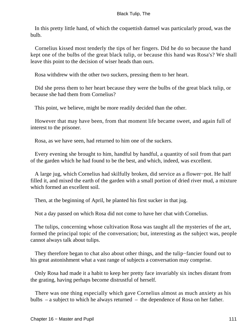In this pretty little hand, of which the coquettish damsel was particularly proud, was the bulb.

 Cornelius kissed most tenderly the tips of her fingers. Did he do so because the hand kept one of the bulbs of the great black tulip, or because this hand was Rosa's? We shall leave this point to the decision of wiser heads than ours.

Rosa withdrew with the other two suckers, pressing them to her heart.

 Did she press them to her heart because they were the bulbs of the great black tulip, or because she had them from Cornelius?

This point, we believe, might be more readily decided than the other.

 However that may have been, from that moment life became sweet, and again full of interest to the prisoner.

Rosa, as we have seen, had returned to him one of the suckers.

 Every evening she brought to him, handful by handful, a quantity of soil from that part of the garden which he had found to be the best, and which, indeed, was excellent.

 A large jug, which Cornelius had skilfully broken, did service as a flower−pot. He half filled it, and mixed the earth of the garden with a small portion of dried river mud, a mixture which formed an excellent soil.

Then, at the beginning of April, he planted his first sucker in that jug.

Not a day passed on which Rosa did not come to have her chat with Cornelius.

 The tulips, concerning whose cultivation Rosa was taught all the mysteries of the art, formed the principal topic of the conversation; but, interesting as the subject was, people cannot always talk about tulips.

 They therefore began to chat also about other things, and the tulip−fancier found out to his great astonishment what a vast range of subjects a conversation may comprise.

 Only Rosa had made it a habit to keep her pretty face invariably six inches distant from the grating, having perhaps become distrustful of herself.

 There was one thing especially which gave Cornelius almost as much anxiety as his bulbs – a subject to which he always returned – the dependence of Rosa on her father.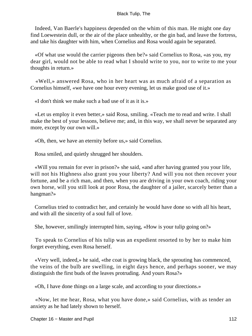Indeed, Van Baerle's happiness depended on the whim of this man. He might one day find Loewestein dull, or the air of the place unhealthy, or the gin bad, and leave the fortress, and take his daughter with him, when Cornelius and Rosa would again be separated.

 «Of what use would the carrier pigeons then be?» said Cornelius to Rosa, «as you, my dear girl, would not be able to read what I should write to you, nor to write to me your thoughts in return.»

 «Well,» answered Rosa, who in her heart was as much afraid of a separation as Cornelius himself, «we have one hour every evening, let us make good use of it.»

«I don't think we make such a bad use of it as it is.»

 «Let us employ it even better,» said Rosa, smiling. «Teach me to read and write. I shall make the best of your lessons, believe me; and, in this way, we shall never be separated any more, except by our own will.»

«Oh, then, we have an eternity before us,» said Cornelius.

Rosa smiled, and quietly shrugged her shoulders.

 «Will you remain for ever in prison?» she said, «and after having granted you your life, will not his Highness also grant you your liberty? And will you not then recover your fortune, and be a rich man, and then, when you are driving in your own coach, riding your own horse, will you still look at poor Rosa, the daughter of a jailer, scarcely better than a hangman?»

 Cornelius tried to contradict her, and certainly he would have done so with all his heart, and with all the sincerity of a soul full of love.

She, however, smilingly interrupted him, saying, «How is your tulip going on?»

 To speak to Cornelius of his tulip was an expedient resorted to by her to make him forget everything, even Rosa herself.

 «Very well, indeed,» he said, «the coat is growing black, the sprouting has commenced, the veins of the bulb are swelling, in eight days hence, and perhaps sooner, we may distinguish the first buds of the leaves protruding. And yours Rosa?»

«Oh, I have done things on a large scale, and according to your directions.»

 «Now, let me hear, Rosa, what you have done,» said Cornelius, with as tender an anxiety as he had lately shown to herself.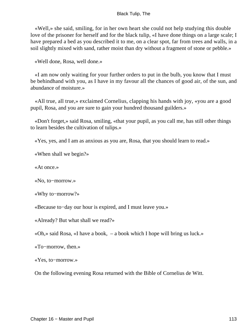«Well,» she said, smiling, for in her own heart she could not help studying this double love of the prisoner for herself and for the black tulip, «I have done things on a large scale; I have prepared a bed as you described it to me, on a clear spot, far from trees and walls, in a soil slightly mixed with sand, rather moist than dry without a fragment of stone or pebble.»

«Well done, Rosa, well done.»

 «I am now only waiting for your further orders to put in the bulb, you know that I must be behindhand with you, as I have in my favour all the chances of good air, of the sun, and abundance of moisture.»

 «All true, all true,» exclaimed Cornelius, clapping his hands with joy, «you are a good pupil, Rosa, and you are sure to gain your hundred thousand guilders.»

 «Don't forget,» said Rosa, smiling, «that your pupil, as you call me, has still other things to learn besides the cultivation of tulips.»

«Yes, yes, and I am as anxious as you are, Rosa, that you should learn to read.»

«When shall we begin?»

«At once.»

«No, to−morrow.»

«Why to−morrow?»

«Because to−day our hour is expired, and I must leave you.»

«Already? But what shall we read?»

«Oh,» said Rosa, «I have a book, – a book which I hope will bring us luck.»

«To−morrow, then.»

«Yes, to−morrow.»

On the following evening Rosa returned with the Bible of Cornelius de Witt.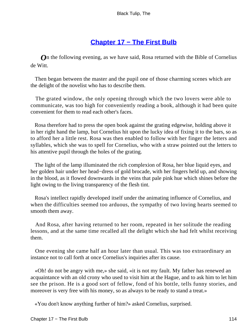# **[Chapter 17 − The First Bulb](#page-226-0)**

**O**n the following evening, as we have said, Rosa returned with the Bible of Cornelius de Witt.

 Then began between the master and the pupil one of those charming scenes which are the delight of the novelist who has to describe them.

 The grated window, the only opening through which the two lovers were able to communicate, was too high for conveniently reading a book, although it had been quite convenient for them to read each other's faces.

 Rosa therefore had to press the open book against the grating edgewise, holding above it in her right hand the lamp, but Cornelius hit upon the lucky idea of fixing it to the bars, so as to afford her a little rest. Rosa was then enabled to follow with her finger the letters and syllables, which she was to spell for Cornelius, who with a straw pointed out the letters to his attentive pupil through the holes of the grating.

 The light of the lamp illuminated the rich complexion of Rosa, her blue liquid eyes, and her golden hair under her head−dress of gold brocade, with her fingers held up, and showing in the blood, as it flowed downwards in the veins that pale pink hue which shines before the light owing to the living transparency of the flesh tint.

 Rosa's intellect rapidly developed itself under the animating influence of Cornelius, and when the difficulties seemed too arduous, the sympathy of two loving hearts seemed to smooth them away.

 And Rosa, after having returned to her room, repeated in her solitude the reading lessons, and at the same time recalled all the delight which she had felt whilst receiving them.

 One evening she came half an hour later than usual. This was too extraordinary an instance not to call forth at once Cornelius's inquiries after its cause.

 «Oh! do not be angry with me,» she said, «it is not my fault. My father has renewed an acquaintance with an old crony who used to visit him at the Hague, and to ask him to let him see the prison. He is a good sort of fellow, fond of his bottle, tells funny stories, and moreover is very free with his money, so as always to be ready to stand a treat.»

«You don't know anything further of him?» asked Cornelius, surprised.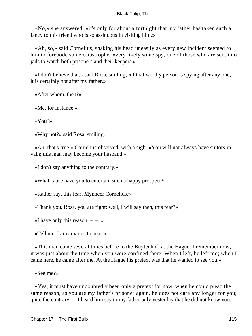«No,» she answered; «it's only for about a fortnight that my father has taken such a fancy to this friend who is so assiduous in visiting him.»

 «Ah, so,» said Cornelius, shaking his head uneasily as every new incident seemed to him to forebode some catastrophe; «very likely some spy, one of those who are sent into jails to watch both prisoners and their keepers.»

 «I don't believe that,» said Rosa, smiling; «if that worthy person is spying after any one, it is certainly not after my father.»

«After whom, then?»

«Me, for instance.»

«You?»

«Why not?» said Rosa, smiling.

 «Ah, that's true,» Cornelius observed, with a sigh. «You will not always have suitors in vain; this man may become your husband.»

«I don't say anything to the contrary.»

«What cause have you to entertain such a happy prospect?»

«Rather say, this fear, Mynheer Cornelius.»

«Thank you, Rosa, you are right; well, I will say then, this fear?»

«I have only this reason  $- - \infty$ 

«Tell me, I am anxious to hear.»

 «This man came several times before to the Buytenhof, at the Hague. I remember now, it was just about the time when you were confined there. When I left, he left too; when I came here, he came after me. At the Hague his pretext was that he wanted to see you.»

«See me?»

 «Yes, it must have undoubtedly been only a pretext for now, when he could plead the same reason, as you are my father's prisoner again, he does not care any longer for you; quite the contrary, – I heard him say to my father only yesterday that he did not know you.»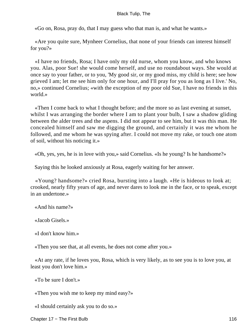«Go on, Rosa, pray do, that I may guess who that man is, and what he wants.»

 «Are you quite sure, Mynheer Cornelius, that none of your friends can interest himself for you?»

 «I have no friends, Rosa; I have only my old nurse, whom you know, and who knows you. Alas, poor Sue! she would come herself, and use no roundabout ways. She would at once say to your father, or to you, 'My good sir, or my good miss, my child is here; see how grieved I am; let me see him only for one hour, and I'll pray for you as long as I live.' No, no,» continued Cornelius; «with the exception of my poor old Sue, I have no friends in this world.»

 «Then I come back to what I thought before; and the more so as last evening at sunset, whilst I was arranging the border where I am to plant your bulb, I saw a shadow gliding between the alder trees and the aspens. I did not appear to see him, but it was this man. He concealed himself and saw me digging the ground, and certainly it was me whom he followed, and me whom he was spying after. I could not move my rake, or touch one atom of soil, without his noticing it.»

«Oh, yes, yes, he is in love with you,» said Cornelius. «Is he young? Is he handsome?»

Saying this he looked anxiously at Rosa, eagerly waiting for her answer.

 «Young? handsome?» cried Rosa, bursting into a laugh. «He is hideous to look at; crooked, nearly fifty years of age, and never dares to look me in the face, or to speak, except in an undertone.»

«And his name?»

«Jacob Gisels.»

«I don't know him.»

«Then you see that, at all events, he does not come after you.»

 «At any rate, if he loves you, Rosa, which is very likely, as to see you is to love you, at least you don't love him.»

«To be sure I don't.»

«Then you wish me to keep my mind easy?»

«I should certainly ask you to do so.»

Chapter 17 – The First Bulb 116 and 116 and 116 and 116 and 116 and 116 and 116 and 116 and 116 and 116 and 116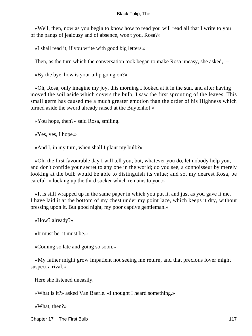«Well, then, now as you begin to know how to read you will read all that I write to you of the pangs of jealousy and of absence, won't you, Rosa?»

«I shall read it, if you write with good big letters.»

Then, as the turn which the conversation took began to make Rosa uneasy, she asked, –

«By the bye, how is your tulip going on?»

 «Oh, Rosa, only imagine my joy, this morning I looked at it in the sun, and after having moved the soil aside which covers the bulb, I saw the first sprouting of the leaves. This small germ has caused me a much greater emotion than the order of his Highness which turned aside the sword already raised at the Buytenhof.»

«You hope, then?» said Rosa, smiling.

«Yes, yes, I hope.»

«And I, in my turn, when shall I plant my bulb?»

 «Oh, the first favourable day I will tell you; but, whatever you do, let nobody help you, and don't confide your secret to any one in the world; do you see, a connoisseur by merely looking at the bulb would be able to distinguish its value; and so, my dearest Rosa, be careful in locking up the third sucker which remains to you.»

 «It is still wrapped up in the same paper in which you put it, and just as you gave it me. I have laid it at the bottom of my chest under my point lace, which keeps it dry, without pressing upon it. But good night, my poor captive gentleman.»

«How? already?»

«It must be, it must be.»

«Coming so late and going so soon.»

 «My father might grow impatient not seeing me return, and that precious lover might suspect a rival.»

Here she listened uneasily.

«What is it?» asked Van Baerle. «I thought I heard something.»

«What, then?»

Chapter 17 – The First Bulb 117 (1999) and 117 (1999) and 117 (1999) and 117 (1999) and 117 (1999) and 117 (1999) and 117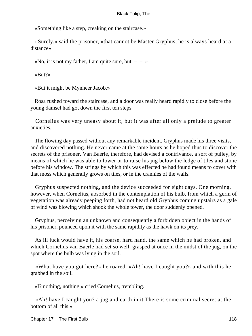«Something like a step, creaking on the staircase.»

 «Surely,» said the prisoner, «that cannot be Master Gryphus, he is always heard at a distance»

«No, it is not my father, I am quite sure, but  $- - \infty$ 

«But?»

«But it might be Mynheer Jacob.»

 Rosa rushed toward the staircase, and a door was really heard rapidly to close before the young damsel had got down the first ten steps.

 Cornelius was very uneasy about it, but it was after all only a prelude to greater anxieties.

 The flowing day passed without any remarkable incident. Gryphus made his three visits, and discovered nothing. He never came at the same hours as he hoped thus to discover the secrets of the prisoner. Van Baerle, therefore, had devised a contrivance, a sort of pulley, by means of which he was able to lower or to raise his jug below the ledge of tiles and stone before his window. The strings by which this was effected he had found means to cover with that moss which generally grows on tiles, or in the crannies of the walls.

 Gryphus suspected nothing, and the device succeeded for eight days. One morning, however, when Cornelius, absorbed in the contemplation of his bulb, from which a germ of vegetation was already peeping forth, had not heard old Gryphus coming upstairs as a gale of wind was blowing which shook the whole tower, the door suddenly opened.

 Gryphus, perceiving an unknown and consequently a forbidden object in the hands of his prisoner, pounced upon it with the same rapidity as the hawk on its prey.

 As ill luck would have it, his coarse, hard hand, the same which he had broken, and which Cornelius van Baerle had set so well, grasped at once in the midst of the jug, on the spot where the bulb was lying in the soil.

 «What have you got here?» he roared. «Ah! have I caught you?» and with this he grabbed in the soil.

«I? nothing, nothing,» cried Cornelius, trembling.

 «Ah! have I caught you? a jug and earth in it There is some criminal secret at the bottom of all this.»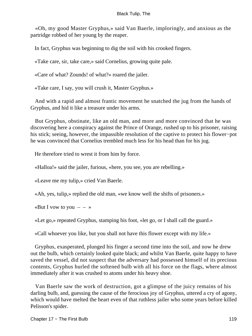«Oh, my good Master Gryphus,» said Van Baerle, imploringly, and anxious as the partridge robbed of her young by the reaper.

In fact, Gryphus was beginning to dig the soil with his crooked fingers.

«Take care, sir, take care,» said Cornelius, growing quite pale.

«Care of what? Zounds! of what?» roared the jailer.

«Take care, I say, you will crush it, Master Gryphus.»

 And with a rapid and almost frantic movement he snatched the jug from the hands of Gryphus, and hid it like a treasure under his arms.

 But Gryphus, obstinate, like an old man, and more and more convinced that he was discovering here a conspiracy against the Prince of Orange, rushed up to his prisoner, raising his stick; seeing, however, the impassible resolution of the captive to protect his flower−pot he was convinced that Cornelius trembled much less for his head than for his jug.

He therefore tried to wrest it from him by force.

«Halloa!» said the jailer, furious, «here, you see, you are rebelling.»

«Leave me my tulip,» cried Van Baerle.

«Ah, yes, tulip,» replied the old man, «we know well the shifts of prisoners.»

«But I vow to you  $- - \infty$ 

«Let go,» repeated Gryphus, stamping his foot, «let go, or I shall call the guard.»

«Call whoever you like, but you shall not have this flower except with my life.»

 Gryphus, exasperated, plunged his finger a second time into the soil, and now he drew out the bulb, which certainly looked quite black; and whilst Van Baerle, quite happy to have saved the vessel, did not suspect that the adversary had possessed himself of its precious contents, Gryphus hurled the softened bulb with all his force on the flags, where almost immediately after it was crushed to atoms under his heavy shoe.

 Van Baerle saw the work of destruction, got a glimpse of the juicy remains of his darling bulb, and, guessing the cause of the ferocious joy of Gryphus, uttered a cry of agony, which would have melted the heart even of that ruthless jailer who some years before killed Pelisson's spider.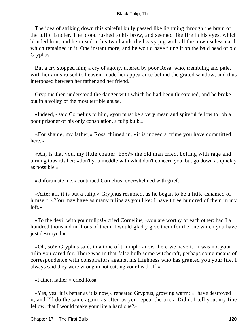The idea of striking down this spiteful bully passed like lightning through the brain of the tulip−fancier. The blood rushed to his brow, and seemed like fire in his eyes, which blinded him, and he raised in his two hands the heavy jug with all the now useless earth which remained in it. One instant more, and he would have flung it on the bald head of old Gryphus.

 But a cry stopped him; a cry of agony, uttered by poor Rosa, who, trembling and pale, with her arms raised to heaven, made her appearance behind the grated window, and thus interposed between her father and her friend.

 Gryphus then understood the danger with which he had been threatened, and he broke out in a volley of the most terrible abuse.

 «Indeed,» said Cornelius to him, «you must be a very mean and spiteful fellow to rob a poor prisoner of his only consolation, a tulip bulb.»

 «For shame, my father,» Rosa chimed in, «it is indeed a crime you have committed here.»

 «Ah, is that you, my little chatter−box?» the old man cried, boiling with rage and turning towards her; «don't you meddle with what don't concern you, but go down as quickly as possible.»

«Unfortunate me,» continued Cornelius, overwhelmed with grief.

 «After all, it is but a tulip,» Gryphus resumed, as he began to be a little ashamed of himself. «You may have as many tulips as you like: I have three hundred of them in my loft.»

 «To the devil with your tulips!» cried Cornelius; «you are worthy of each other: had I a hundred thousand millions of them, I would gladly give them for the one which you have just destroyed.»

 «Oh, so!» Gryphus said, in a tone of triumph; «now there we have it. It was not your tulip you cared for. There was in that false bulb some witchcraft, perhaps some means of correspondence with conspirators against his Highness who has granted you your life. I always said they were wrong in not cutting your head off.»

«Father, father!» cried Rosa.

 «Yes, yes! it is better as it is now,» repeated Gryphus, growing warm; «I have destroyed it, and I'll do the same again, as often as you repeat the trick. Didn't I tell you, my fine fellow, that I would make your life a hard one?»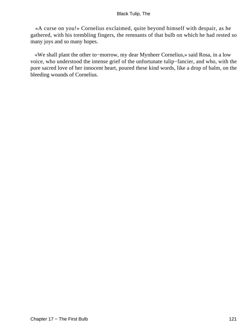«A curse on you!» Cornelius exclaimed, quite beyond himself with despair, as he gathered, with his trembling fingers, the remnants of that bulb on which he had rested so many joys and so many hopes.

 «We shall plant the other to−morrow, my dear Mynheer Cornelius,» said Rosa, in a low voice, who understood the intense grief of the unfortunate tulip−fancier, and who, with the pure sacred love of her innocent heart, poured these kind words, like a drop of balm, on the bleeding wounds of Cornelius.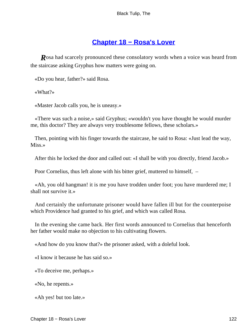## **[Chapter 18 − Rosa's Lover](#page-226-0)**

*R*osa had scarcely pronounced these consolatory words when a voice was heard from the staircase asking Gryphus how matters were going on.

«Do you hear, father?» said Rosa.

«What?»

«Master Jacob calls you, he is uneasy.»

 «There was such a noise,» said Gryphus; «wouldn't you have thought he would murder me, this doctor? They are always very troublesome fellows, these scholars.»

 Then, pointing with his finger towards the staircase, he said to Rosa: «Just lead the way, Miss.»

After this he locked the door and called out: «I shall be with you directly, friend Jacob.»

Poor Cornelius, thus left alone with his bitter grief, muttered to himself, –

 «Ah, you old hangman! it is me you have trodden under foot; you have murdered me; I shall not survive it.»

 And certainly the unfortunate prisoner would have fallen ill but for the counterpoise which Providence had granted to his grief, and which was called Rosa.

 In the evening she came back. Her first words announced to Cornelius that henceforth her father would make no objection to his cultivating flowers.

«And how do you know that?» the prisoner asked, with a doleful look.

«I know it because he has said so.»

«To deceive me, perhaps.»

«No, he repents.»

«Ah yes! but too late.»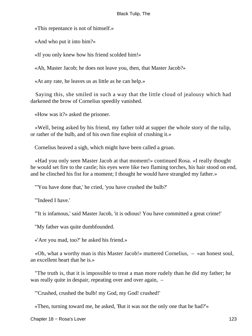«This repentance is not of himself.»

«And who put it into him?»

«If you only knew how his friend scolded him!»

«Ah, Master Jacob; he does not leave you, then, that Master Jacob?»

«At any rate, he leaves us as little as he can help.»

 Saying this, she smiled in such a way that the little cloud of jealousy which had darkened the brow of Cornelius speedily vanished.

«How was it?» asked the prisoner.

 «Well, being asked by his friend, my father told at supper the whole story of the tulip, or rather of the bulb, and of his own fine exploit of crushing it.»

Cornelius heaved a sigh, which might have been called a groan.

 «Had you only seen Master Jacob at that moment!» continued Rosa. «I really thought he would set fire to the castle; his eyes were like two flaming torches, his hair stood on end, and he clinched his fist for a moment; I thought he would have strangled my father.»

"'You have done that,' he cried, 'you have crushed the bulb?'

"'Indeed I have.'

"'It is infamous,' said Master Jacob, 'it is odious! You have committed a great crime!'

"My father was quite dumbfounded.

«'Are you mad, too?' he asked his friend.»

 «Oh, what a worthy man is this Master Jacob!» muttered Cornelius, – «an honest soul, an excellent heart that he is.»

 "The truth is, that it is impossible to treat a man more rudely than he did my father; he was really quite in despair, repeating over and over again,  $-$ 

"'Crushed, crushed the bulb! my God, my God! crushed!'

«Then, turning toward me, he asked, 'But it was not the only one that he had?'»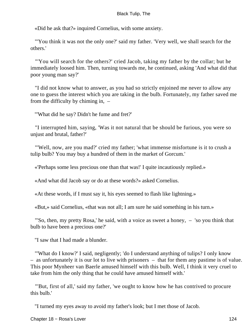«Did he ask that?» inquired Cornelius, with some anxiety.

 "'You think it was not the only one?' said my father. 'Very well, we shall search for the others.'

 "'You will search for the others?' cried Jacob, taking my father by the collar; but he immediately loosed him. Then, turning towards me, he continued, asking 'And what did that poor young man say?'

 "I did not know what to answer, as you had so strictly enjoined me never to allow any one to guess the interest which you are taking in the bulb. Fortunately, my father saved me from the difficulty by chiming in, –

"'What did he say? Didn't he fume and fret?'

 "I interrupted him, saying, 'Was it not natural that be should be furious, you were so unjust and brutal, father?'

 "'Well, now, are you mad?' cried my father; 'what immense misfortune is it to crush a tulip bulb? You may buy a hundred of them in the market of Gorcum.'

«'Perhaps some less precious one than that was!' I quite incautiously replied.»

«And what did Jacob say or do at these words?» asked Cornelius.

«At these words, if I must say it, his eyes seemed to flash like lightning.»

«But,» said Cornelius, «that was not all; I am sure he said something in his turn.»

 "'So, then, my pretty Rosa,' he said, with a voice as sweet a honey, – 'so you think that bulb to have been a precious one?'

"I saw that I had made a blunder.

 "'What do I know?' I said, negligently; 'do I understand anything of tulips? I only know – as unfortunately it is our lot to live with prisoners – that for them any pastime is of value. This poor Mynheer van Baerle amused himself with this bulb. Well, I think it very cruel to take from him the only thing that he could have amused himself with.'

 "'But, first of all,' said my father, 'we ought to know how he has contrived to procure this bulb.'

"I turned my eyes away to avoid my father's look; but I met those of Jacob.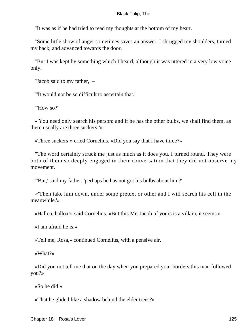"It was as if he had tried to read my thoughts at the bottom of my heart.

 "Some little show of anger sometimes saves an answer. I shrugged my shoulders, turned my back, and advanced towards the door.

 "But I was kept by something which I heard, although it was uttered in a very low voice only.

"Jacob said to my father, –

"'It would not be so difficult to ascertain that.'

"'How so?'

 «'You need only search his person: and if he has the other bulbs, we shall find them, as there usually are three suckers!'»

«Three suckers!» cried Cornelius. «Did you say that I have three?»

 "The word certainly struck me just as much as it does you. I turned round. They were both of them so deeply engaged in their conversation that they did not observe my movement.

"'But,' said my father, 'perhaps he has not got his bulbs about him?'

 «'Then take him down, under some pretext or other and I will search his cell in the meanwhile.'»

«Halloa, halloa!» said Cornelius. «But this Mr. Jacob of yours is a villain, it seems.»

«I am afraid he is.»

«Tell me, Rosa,» continued Cornelius, with a pensive air.

«What?»

 «Did you not tell me that on the day when you prepared your borders this man followed you?»

«So he did.»

«That he glided like a shadow behind the elder trees?»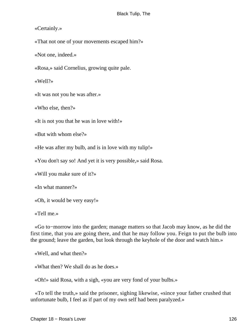«Certainly.»

«That not one of your movements escaped him?»

«Not one, indeed.»

«Rosa,» said Cornelius, growing quite pale.

«Well?»

«It was not you he was after.»

«Who else, then?»

«It is not you that he was in love with!»

«But with whom else?»

«He was after my bulb, and is in love with my tulip!»

«You don't say so! And yet it is very possible,» said Rosa.

«Will you make sure of it?»

«In what manner?»

«Oh, it would be very easy!»

«Tell me.»

 «Go to−morrow into the garden; manage matters so that Jacob may know, as he did the first time, that you are going there, and that he may follow you. Feign to put the bulb into the ground; leave the garden, but look through the keyhole of the door and watch him.»

«Well, and what then?»

«What then? We shall do as he does.»

«Oh!» said Rosa, with a sigh, «you are very fond of your bulbs.»

 «To tell the truth,» said the prisoner, sighing likewise, «since your father crushed that unfortunate bulb, I feel as if part of my own self had been paralyzed.»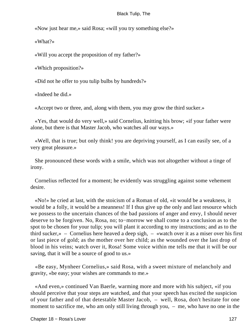«Now just hear me,» said Rosa; «will you try something else?»

«What?»

«Will you accept the proposition of my father?»

«Which proposition?»

«Did not he offer to you tulip bulbs by hundreds?»

«Indeed he did.»

«Accept two or three, and, along with them, you may grow the third sucker.»

 «Yes, that would do very well,» said Cornelius, knitting his brow; «if your father were alone, but there is that Master Jacob, who watches all our ways.»

 «Well, that is true; but only think! you are depriving yourself, as I can easily see, of a very great pleasure.»

 She pronounced these words with a smile, which was not altogether without a tinge of irony.

 Cornelius reflected for a moment; he evidently was struggling against some vehement desire.

 «No!» he cried at last, with the stoicism of a Roman of old, «it would be a weakness, it would be a folly, it would be a meanness! If I thus give up the only and last resource which we possess to the uncertain chances of the bad passions of anger and envy, I should never deserve to be forgiven. No, Rosa, no; to−morrow we shall come to a conclusion as to the spot to be chosen for your tulip; you will plant it according to my instructions; and as to the third sucker, $\mathcal{P}$  – Cornelius here heaved a deep sigh,  $-$  «watch over it as a miser over his first or last piece of gold; as the mother over her child; as the wounded over the last drop of blood in his veins; watch over it, Rosa! Some voice within me tells me that it will be our saving, that it will be a source of good to us.»

 «Be easy, Mynheer Cornelius,» said Rosa, with a sweet mixture of melancholy and gravity, «be easy; your wishes are commands to me.»

 «And even,» continued Van Baerle, warming more and more with his subject, «if you should perceive that your steps are watched, and that your speech has excited the suspicion of your father and of that detestable Master Jacob, – well, Rosa, don't hesitate for one moment to sacrifice me, who am only still living through you, – me, who have no one in the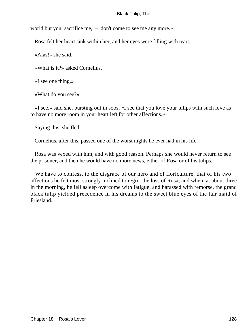world but you; sacrifice me, – don't come to see me any more.»

Rosa felt her heart sink within her, and her eyes were filling with tears.

«Alas!» she said.

«What is it?» asked Cornelius.

«I see one thing.»

«What do you see?»

 «I see,» said she, bursting out in sobs, «I see that you love your tulips with such love as to have no more room in your heart left for other affections.»

Saying this, she fled.

Cornelius, after this, passed one of the worst nights he ever had in his life.

 Rosa was vexed with him, and with good reason. Perhaps she would never return to see the prisoner, and then he would have no more news, either of Rosa or of his tulips.

 We have to confess, to the disgrace of our hero and of floriculture, that of his two affections he felt most strongly inclined to regret the loss of Rosa; and when, at about three in the morning, he fell asleep overcome with fatigue, and harassed with remorse, the grand black tulip yielded precedence in his dreams to the sweet blue eyes of the fair maid of Friesland.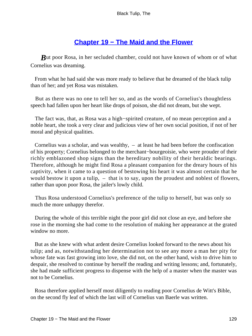# **[Chapter 19 − The Maid and the Flower](#page-226-0)**

*But poor Rosa, in her secluded chamber, could not have known of whom or of what* Cornelius was dreaming.

 From what he had said she was more ready to believe that he dreamed of the black tulip than of her; and yet Rosa was mistaken.

 But as there was no one to tell her so, and as the words of Cornelius's thoughtless speech had fallen upon her heart like drops of poison, she did not dream, but she wept.

 The fact was, that, as Rosa was a high−spirited creature, of no mean perception and a noble heart, she took a very clear and judicious view of her own social position, if not of her moral and physical qualities.

 Cornelius was a scholar, and was wealthy, – at least he had been before the confiscation of his property; Cornelius belonged to the merchant−bourgeoisie, who were prouder of their richly emblazoned shop signs than the hereditary nobility of their heraldic bearings. Therefore, although he might find Rosa a pleasant companion for the dreary hours of his captivity, when it came to a question of bestowing his heart it was almost certain that he would bestow it upon a tulip, – that is to say, upon the proudest and noblest of flowers, rather than upon poor Rosa, the jailer's lowly child.

 Thus Rosa understood Cornelius's preference of the tulip to herself, but was only so much the more unhappy therefor.

 During the whole of this terrible night the poor girl did not close an eye, and before she rose in the morning she had come to the resolution of making her appearance at the grated window no more.

 But as she knew with what ardent desire Cornelius looked forward to the news about his tulip; and as, notwithstanding her determination not to see any more a man her pity for whose fate was fast growing into love, she did not, on the other hand, wish to drive him to despair, she resolved to continue by herself the reading and writing lessons; and, fortunately, she had made sufficient progress to dispense with the help of a master when the master was not to be Cornelius.

 Rosa therefore applied herself most diligently to reading poor Cornelius de Witt's Bible, on the second fly leaf of which the last will of Cornelius van Baerle was written.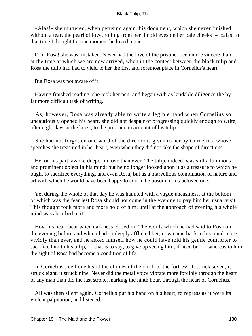«Alas!» she muttered, when perusing again this document, which she never finished without a tear, the pearl of love, rolling from her limpid eyes on her pale cheeks – «alas! at that time I thought for one moment he loved me.»

 Poor Rosa! she was mistaken. Never had the love of the prisoner been more sincere than at the time at which we are now arrived, when in the contest between the black tulip and Rosa the tulip had had to yield to her the first and foremost place in Cornelius's heart.

But Rosa was not aware of it.

 Having finished reading, she took her pen, and began with as laudable diligence the by far more difficult task of writing.

 As, however, Rosa was already able to write a legible hand when Cornelius so uncautiously opened his heart, she did not despair of progressing quickly enough to write, after eight days at the latest, to the prisoner an account of his tulip.

 She had not forgotten one word of the directions given to her by Cornelius, whose speeches she treasured in her heart, even when they did not take the shape of directions.

 He, on his part, awoke deeper in love than ever. The tulip, indeed, was still a luminous and prominent object in his mind; but he no longer looked upon it as a treasure to which he ought to sacrifice everything, and even Rosa, but as a marvellous combination of nature and art with which he would have been happy to adorn the bosom of his beloved one.

 Yet during the whole of that day he was haunted with a vague uneasiness, at the bottom of which was the fear lest Rosa should not come in the evening to pay him her usual visit. This thought took more and more hold of him, until at the approach of evening his whole mind was absorbed in it.

 How his heart beat when darkness closed in! The words which he had said to Rosa on the evening before and which had so deeply afflicted her, now came back to his mind more vividly than ever, and he asked himself how he could have told his gentle comforter to sacrifice him to his tulip,  $-$  that is to say, to give up seeing him, if need be,  $-$  whereas to him the sight of Rosa had become a condition of life.

 In Cornelius's cell one heard the chimes of the clock of the fortress. It struck seven, it struck eight, it struck nine. Never did the metal voice vibrate more forcibly through the heart of any man than did the last stroke, marking the ninth hour, through the heart of Cornelius.

 All was then silent again. Cornelius put his hand on his heart, to repress as it were its violent palpitation, and listened.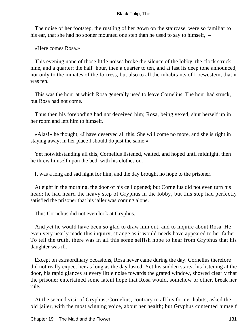The noise of her footstep, the rustling of her gown on the staircase, were so familiar to his ear, that she had no sooner mounted one step than he used to say to himself,  $-$ 

«Here comes Rosa.»

 This evening none of those little noises broke the silence of the lobby, the clock struck nine, and a quarter; the half−hour, then a quarter to ten, and at last its deep tone announced, not only to the inmates of the fortress, but also to all the inhabitants of Loewestein, that it was ten.

 This was the hour at which Rosa generally used to leave Cornelius. The hour had struck, but Rosa had not come.

 Thus then his foreboding had not deceived him; Rosa, being vexed, shut herself up in her room and left him to himself.

 «Alas!» he thought, «I have deserved all this. She will come no more, and she is right in staying away; in her place I should do just the same.»

 Yet notwithstanding all this, Cornelius listened, waited, and hoped until midnight, then he threw himself upon the bed, with his clothes on.

It was a long and sad night for him, and the day brought no hope to the prisoner.

 At eight in the morning, the door of his cell opened; but Cornelius did not even turn his head; he had heard the heavy step of Gryphus in the lobby, but this step had perfectly satisfied the prisoner that his jailer was coming alone.

Thus Cornelius did not even look at Gryphus.

 And yet he would have been so glad to draw him out, and to inquire about Rosa. He even very nearly made this inquiry, strange as it would needs have appeared to her father. To tell the truth, there was in all this some selfish hope to hear from Gryphus that his daughter was ill.

 Except on extraordinary occasions, Rosa never came during the day. Cornelius therefore did not really expect her as long as the day lasted. Yet his sudden starts, his listening at the door, his rapid glances at every little noise towards the grated window, showed clearly that the prisoner entertained some latent hope that Rosa would, somehow or other, break her rule.

 At the second visit of Gryphus, Cornelius, contrary to all his former habits, asked the old jailer, with the most winning voice, about her health; but Gryphus contented himself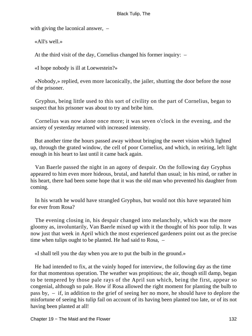with giving the laconical answer,  $-$ 

«All's well.»

At the third visit of the day, Cornelius changed his former inquiry: –

«I hope nobody is ill at Loewestein?»

 «Nobody,» replied, even more laconically, the jailer, shutting the door before the nose of the prisoner.

 Gryphus, being little used to this sort of civility on the part of Cornelius, began to suspect that his prisoner was about to try and bribe him.

 Cornelius was now alone once more; it was seven o'clock in the evening, and the anxiety of yesterday returned with increased intensity.

 But another time the hours passed away without bringing the sweet vision which lighted up, through the grated window, the cell of poor Cornelius, and which, in retiring, left light enough in his heart to last until it came back again.

 Van Baerle passed the night in an agony of despair. On the following day Gryphus appeared to him even more hideous, brutal, and hateful than usual; in his mind, or rather in his heart, there had been some hope that it was the old man who prevented his daughter from coming.

 In his wrath he would have strangled Gryphus, but would not this have separated him for ever from Rosa?

 The evening closing in, his despair changed into melancholy, which was the more gloomy as, involuntarily, Van Baerle mixed up with it the thought of his poor tulip. It was now just that week in April which the most experienced gardeners point out as the precise time when tulips ought to be planted. He had said to Rosa, –

«I shall tell you the day when you are to put the bulb in the ground.»

 He had intended to fix, at the vainly hoped for interview, the following day as the time for that momentous operation. The weather was propitious; the air, though still damp, began to be tempered by those pale rays of the April sun which, being the first, appear so congenial, although so pale. How if Rosa allowed the right moment for planting the bulb to pass by, – if, in addition to the grief of seeing her no more, he should have to deplore the misfortune of seeing his tulip fail on account of its having been planted too late, or of its not having been planted at all!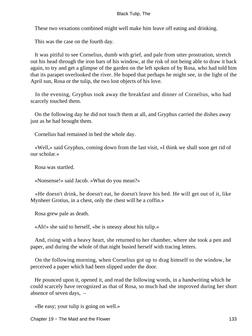These two vexations combined might well make him leave off eating and drinking.

This was the case on the fourth day.

 It was pitiful to see Cornelius, dumb with grief, and pale from utter prostration, stretch out his head through the iron bars of his window, at the risk of not being able to draw it back again, to try and get a glimpse of the garden on the left spoken of by Rosa, who had told him that its parapet overlooked the river. He hoped that perhaps he might see, in the light of the April sun, Rosa or the tulip, the two lost objects of his love.

 In the evening, Gryphus took away the breakfast and dinner of Cornelius, who had scarcely touched them.

 On the following day he did not touch them at all, and Gryphus carried the dishes away just as he had brought them.

Cornelius had remained in bed the whole day.

 «Well,» said Gryphus, coming down from the last visit, «I think we shall soon get rid of our scholar.»

Rosa was startled.

«Nonsense!» said Jacob. «What do you mean?»

 «He doesn't drink, he doesn't eat, he doesn't leave his bed. He will get out of it, like Mynheer Grotius, in a chest, only the chest will be a coffin.»

Rosa grew pale as death.

«Ah!» she said to herself, «he is uneasy about his tulip.»

 And, rising with a heavy heart, she returned to her chamber, where she took a pen and paper, and during the whole of that night busied herself with tracing letters.

 On the following morning, when Cornelius got up to drag himself to the window, he perceived a paper which had been slipped under the door.

 He pounced upon it, opened it, and read the following words, in a handwriting which he could scarcely have recognized as that of Rosa, so much had she improved during her short absence of seven days, –

«Be easy; your tulip is going on well.»

Chapter 19 – The Maid and the Flower 133 and 133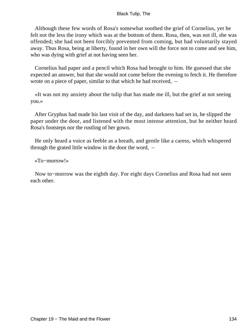Although these few words of Rosa's somewhat soothed the grief of Cornelius, yet he felt not the less the irony which was at the bottom of them. Rosa, then, was not ill, she was offended; she had not been forcibly prevented from coming, but had voluntarily stayed away. Thus Rosa, being at liberty, found in her own will the force not to come and see him, who was dying with grief at not having seen her.

 Cornelius had paper and a pencil which Rosa had brought to him. He guessed that she expected an answer, but that she would not come before the evening to fetch it. He therefore wrote on a piece of paper, similar to that which he had received, –

 «It was not my anxiety about the tulip that has made me ill, but the grief at not seeing you.»

 After Gryphus had made his last visit of the day, and darkness had set in, he slipped the paper under the door, and listened with the most intense attention, but he neither heard Rosa's footsteps nor the rustling of her gown.

 He only heard a voice as feeble as a breath, and gentle like a caress, which whispered through the grated little window in the door the word, –

«To−morrow!»

 Now to−morrow was the eighth day. For eight days Cornelius and Rosa had not seen each other.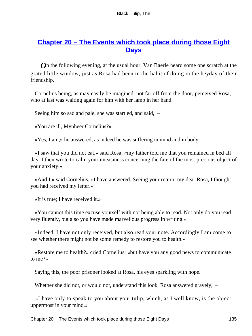# **[Chapter 20 − The Events which took place during those Eight](#page-226-0) [Days](#page-226-0)**

*O*n the following evening, at the usual hour, Van Baerle heard some one scratch at the grated little window, just as Rosa had been in the habit of doing in the heyday of their friendship.

 Cornelius being, as may easily be imagined, not far off from the door, perceived Rosa, who at last was waiting again for him with her lamp in her hand.

Seeing him so sad and pale, she was startled, and said, –

«You are ill, Mynheer Cornelius?»

«Yes, I am,» he answered, as indeed he was suffering in mind and in body.

 «I saw that you did not eat,» said Rosa; «my father told me that you remained in bed all day. I then wrote to calm your uneasiness concerning the fate of the most precious object of your anxiety.»

 «And I,» said Cornelius, «I have answered. Seeing your return, my dear Rosa, I thought you had received my letter.»

«It is true; I have received it.»

 «You cannot this time excuse yourself with not being able to read. Not only do you read very fluently, but also you have made marvellous progress in writing.»

 «Indeed, I have not only received, but also read your note. Accordingly I am come to see whether there might not be some remedy to restore you to health.»

 «Restore me to health?» cried Cornelius; «but have you any good news to communicate to me?»

Saying this, the poor prisoner looked at Rosa, his eyes sparkling with hope.

Whether she did not, or would not, understand this look, Rosa answered gravely,  $-$ 

 «I have only to speak to you about your tulip, which, as I well know, is the object uppermost in your mind.»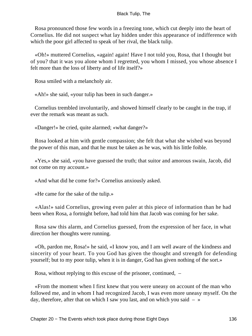Rosa pronounced those few words in a freezing tone, which cut deeply into the heart of Cornelius. He did not suspect what lay hidden under this appearance of indifference with which the poor girl affected to speak of her rival, the black tulip.

 «Oh!» muttered Cornelius, «again! again! Have I not told you, Rosa, that I thought but of you? that it was you alone whom I regretted, you whom I missed, you whose absence I felt more than the loss of liberty and of life itself?»

Rosa smiled with a melancholy air.

«Ah!» she said, «your tulip has been in such danger.»

 Cornelius trembled involuntarily, and showed himself clearly to be caught in the trap, if ever the remark was meant as such.

«Danger!» he cried, quite alarmed; «what danger?»

 Rosa looked at him with gentle compassion; she felt that what she wished was beyond the power of this man, and that he must be taken as he was, with his little foible.

 «Yes,» she said, «you have guessed the truth; that suitor and amorous swain, Jacob, did not come on my account.»

«And what did he come for?» Cornelius anxiously asked.

«He came for the sake of the tulip.»

 «Alas!» said Cornelius, growing even paler at this piece of information than he had been when Rosa, a fortnight before, had told him that Jacob was coming for her sake.

 Rosa saw this alarm, and Cornelius guessed, from the expression of her face, in what direction her thoughts were running.

 «Oh, pardon me, Rosa!» he said, «I know you, and I am well aware of the kindness and sincerity of your heart. To you God has given the thought and strength for defending yourself; but to my poor tulip, when it is in danger, God has given nothing of the sort.»

Rosa, without replying to this excuse of the prisoner, continued, –

 «From the moment when I first knew that you were uneasy on account of the man who followed me, and in whom I had recognized Jacob, I was even more uneasy myself. On the day, therefore, after that on which I saw you last, and on which you said  $-$  »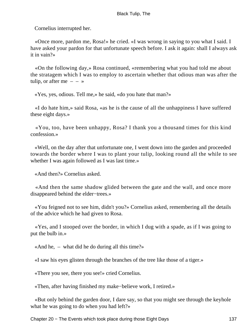Cornelius interrupted her.

 «Once more, pardon me, Rosa!» he cried. «I was wrong in saying to you what I said. I have asked your pardon for that unfortunate speech before. I ask it again: shall I always ask it in vain?»

 «On the following day,» Rosa continued, «remembering what you had told me about the stratagem which I was to employ to ascertain whether that odious man was after the tulip, or after me  $- - \infty$ 

«Yes, yes, odious. Tell me,» he said, «do you hate that man?»

 «I do hate him,» said Rosa, «as he is the cause of all the unhappiness I have suffered these eight days.»

 «You, too, have been unhappy, Rosa? I thank you a thousand times for this kind confession.»

 «Well, on the day after that unfortunate one, I went down into the garden and proceeded towards the border where I was to plant your tulip, looking round all the while to see whether I was again followed as I was last time.»

«And then?» Cornelius asked.

 «And then the same shadow glided between the gate and the wall, and once more disappeared behind the elder−trees.»

 «You feigned not to see him, didn't you?» Cornelius asked, remembering all the details of the advice which he had given to Rosa.

 «Yes, and I stooped over the border, in which I dug with a spade, as if I was going to put the bulb in.»

«And he, – what did he do during all this time?»

«I saw his eyes glisten through the branches of the tree like those of a tiger.»

«There you see, there you see!» cried Cornelius.

«Then, after having finished my make−believe work, I retired.»

 «But only behind the garden door, I dare say, so that you might see through the keyhole what he was going to do when you had left?»

Chapter 20 – The Events which took place during those Eight Days 137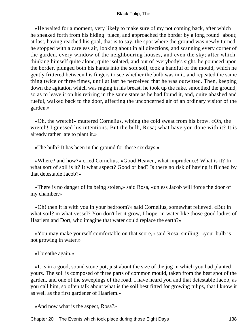«He waited for a moment, very likely to make sure of my not coming back, after which he sneaked forth from his hiding−place, and approached the border by a long round−about; at last, having reached his goal, that is to say, the spot where the ground was newly turned, he stopped with a careless air, looking about in all directions, and scanning every corner of the garden, every window of the neighbouring houses, and even the sky; after which, thinking himself quite alone, quite isolated, and out of everybody's sight, he pounced upon the border, plunged both his hands into the soft soil, took a handful of the mould, which he gently frittered between his fingers to see whether the bulb was in it, and repeated the same thing twice or three times, until at last he perceived that he was outwitted. Then, keeping down the agitation which was raging in his breast, he took up the rake, smoothed the ground, so as to leave it on his retiring in the same state as he had found it, and, quite abashed and rueful, walked back to the door, affecting the unconcerned air of an ordinary visitor of the garden.»

 «Oh, the wretch!» muttered Cornelius, wiping the cold sweat from his brow. «Oh, the wretch! I guessed his intentions. But the bulb, Rosa; what have you done with it? It is already rather late to plant it.»

«The bulb? It has been in the ground for these six days.»

 «Where? and how?» cried Cornelius. «Good Heaven, what imprudence! What is it? In what sort of soil is it? It what aspect? Good or bad? Is there no risk of having it filched by that detestable Jacob?»

 «There is no danger of its being stolen,» said Rosa, «unless Jacob will force the door of my chamber.»

 «Oh! then it is with you in your bedroom?» said Cornelius, somewhat relieved. «But in what soil? in what vessel? You don't let it grow, I hope, in water like those good ladies of Haarlem and Dort, who imagine that water could replace the earth?»

 «You may make yourself comfortable on that score,» said Rosa, smiling; «your bulb is not growing in water.»

## «I breathe again.»

 «It is in a good, sound stone pot, just about the size of the jug in which you had planted yours. The soil is composed of three parts of common mould, taken from the best spot of the garden, and one of the sweepings of the road. I have heard you and that detestable Jacob, as you call him, so often talk about what is the soil best fitted for growing tulips, that I know it as well as the first gardener of Haarlem.»

«And now what is the aspect, Rosa?»

Chapter 20 – The Events which took place during those Eight Days 138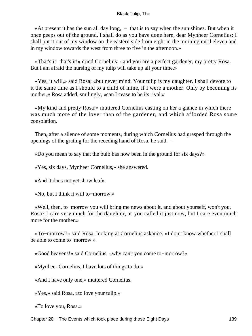«At present it has the sun all day long, – that is to say when the sun shines. But when it once peeps out of the ground, I shall do as you have done here, dear Mynheer Cornelius: I shall put it out of my window on the eastern side from eight in the morning until eleven and in my window towards the west from three to five in the afternoon.»

 «That's it! that's it!» cried Cornelius; «and you are a perfect gardener, my pretty Rosa. But I am afraid the nursing of my tulip will take up all your time.»

 «Yes, it will,» said Rosa; «but never mind. Your tulip is my daughter. I shall devote to it the same time as I should to a child of mine, if I were a mother. Only by becoming its mother,» Rosa added, smilingly, «can I cease to be its rival.»

 «My kind and pretty Rosa!» muttered Cornelius casting on her a glance in which there was much more of the lover than of the gardener, and which afforded Rosa some consolation.

 Then, after a silence of some moments, during which Cornelius had grasped through the openings of the grating for the receding hand of Rosa, he said, –

«Do you mean to say that the bulb has now been in the ground for six days?»

«Yes, six days, Mynheer Cornelius,» she answered.

«And it does not yet show leaf»

«No, but I think it will to−morrow.»

 «Well, then, to−morrow you will bring me news about it, and about yourself, won't you, Rosa? I care very much for the daughter, as you called it just now, but I care even much more for the mother.»

 «To−morrow?» said Rosa, looking at Cornelius askance. «I don't know whether I shall be able to come to−morrow.»

«Good heavens!» said Cornelius, «why can't you come to−morrow?»

«Mynheer Cornelius, I have lots of things to do.»

«And I have only one,» muttered Cornelius.

«Yes,» said Rosa, «to love your tulip.»

«To love you, Rosa.»

Chapter 20 – The Events which took place during those Eight Days 139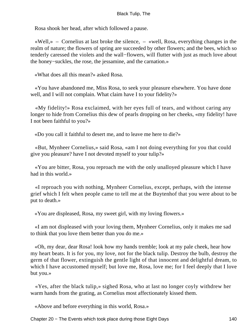Rosa shook her head, after which followed a pause.

 $\ll$ Well,» – Cornelius at last broke the silence,  $-$  «well, Rosa, everything changes in the realm of nature; the flowers of spring are succeeded by other flowers; and the bees, which so tenderly caressed the violets and the wall−flowers, will flutter with just as much love about the honey−suckles, the rose, the jessamine, and the carnation.»

«What does all this mean?» asked Rosa.

 «You have abandoned me, Miss Rosa, to seek your pleasure elsewhere. You have done well, and I will not complain. What claim have I to your fidelity?»

 «My fidelity!» Rosa exclaimed, with her eyes full of tears, and without caring any longer to hide from Cornelius this dew of pearls dropping on her cheeks, «my fidelity! have I not been faithful to you?»

«Do you call it faithful to desert me, and to leave me here to die?»

 «But, Mynheer Cornelius,» said Rosa, «am I not doing everything for you that could give you pleasure? have I not devoted myself to your tulip?»

 «You are bitter, Rosa, you reproach me with the only unalloyed pleasure which I have had in this world »

 «I reproach you with nothing, Mynheer Cornelius, except, perhaps, with the intense grief which I felt when people came to tell me at the Buytenhof that you were about to be put to death.»

«You are displeased, Rosa, my sweet girl, with my loving flowers.»

 «I am not displeased with your loving them, Mynheer Cornelius, only it makes me sad to think that you love them better than you do me.»

 «Oh, my dear, dear Rosa! look how my hands tremble; look at my pale cheek, hear how my heart beats. It is for you, my love, not for the black tulip. Destroy the bulb, destroy the germ of that flower, extinguish the gentle light of that innocent and delightful dream, to which I have accustomed myself; but love me, Rosa, love me; for I feel deeply that I love but you.»

 «Yes, after the black tulip,» sighed Rosa, who at last no longer coyly withdrew her warm hands from the grating, as Cornelius most affectionately kissed them.

«Above and before everything in this world, Rosa.»

Chapter 20 − The Events which took place during those Eight Days 140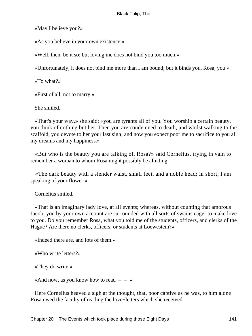«May I believe you?»

«As you believe in your own existence.»

«Well, then, be it so; but loving me does not bind you too much.»

«Unfortunately, it does not bind me more than I am bound; but it binds you, Rosa, you.»

«To what?»

«First of all, not to marry.»

She smiled.

 «That's your way,» she said; «you are tyrants all of you. You worship a certain beauty, you think of nothing but her. Then you are condemned to death, and whilst walking to the scaffold, you devote to her your last sigh; and now you expect poor me to sacrifice to you all my dreams and my happiness.»

 «But who is the beauty you are talking of, Rosa?» said Cornelius, trying in vain to remember a woman to whom Rosa might possibly be alluding.

 «The dark beauty with a slender waist, small feet, and a noble head; in short, I am speaking of your flower.»

Cornelius smiled.

 «That is an imaginary lady love, at all events; whereas, without counting that amorous Jacob, you by your own account are surrounded with all sorts of swains eager to make love to you. Do you remember Rosa, what you told me of the students, officers, and clerks of the Hague? Are there no clerks, officers, or students at Loewestein?»

«Indeed there are, and lots of them.»

«Who write letters?»

«They do write.»

«And now, as you know how to read  $-$  – »

 Here Cornelius heaved a sigh at the thought, that, poor captive as he was, to him alone Rosa owed the faculty of reading the love−letters which she received.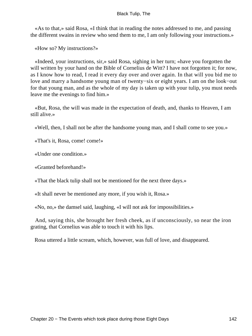«As to that,» said Rosa, «I think that in reading the notes addressed to me, and passing the different swains in review who send them to me, I am only following your instructions.»

«How so? My instructions?»

 «Indeed, your instructions, sir,» said Rosa, sighing in her turn; «have you forgotten the will written by your hand on the Bible of Cornelius de Witt? I have not forgotten it; for now, as I know how to read, I read it every day over and over again. In that will you bid me to love and marry a handsome young man of twenty−six or eight years. I am on the look−out for that young man, and as the whole of my day is taken up with your tulip, you must needs leave me the evenings to find him.»

 «But, Rosa, the will was made in the expectation of death, and, thanks to Heaven, I am still alive.»

«Well, then, I shall not be after the handsome young man, and I shall come to see you.»

«That's it, Rosa, come! come!»

«Under one condition.»

«Granted beforehand!»

«That the black tulip shall not be mentioned for the next three days.»

«It shall never be mentioned any more, if you wish it, Rosa.»

«No, no,» the damsel said, laughing, «I will not ask for impossibilities.»

 And, saying this, she brought her fresh cheek, as if unconsciously, so near the iron grating, that Cornelius was able to touch it with his lips.

Rosa uttered a little scream, which, however, was full of love, and disappeared.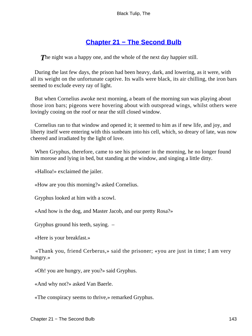## **[Chapter 21 − The Second Bulb](#page-227-0)**

**The night was a happy one, and the whole of the next day happier still.** 

 During the last few days, the prison had been heavy, dark, and lowering, as it were, with all its weight on the unfortunate captive. Its walls were black, its air chilling, the iron bars seemed to exclude every ray of light.

 But when Cornelius awoke next morning, a beam of the morning sun was playing about those iron bars; pigeons were hovering about with outspread wings, whilst others were lovingly cooing on the roof or near the still closed window.

 Cornelius ran to that window and opened it; it seemed to him as if new life, and joy, and liberty itself were entering with this sunbeam into his cell, which, so dreary of late, was now cheered and irradiated by the light of love.

 When Gryphus, therefore, came to see his prisoner in the morning, he no longer found him morose and lying in bed, but standing at the window, and singing a little ditty.

«Halloa!» exclaimed the jailer.

«How are you this morning?» asked Cornelius.

Gryphus looked at him with a scowl.

«And how is the dog, and Master Jacob, and our pretty Rosa?»

Gryphus ground his teeth, saying. –

«Here is your breakfast.»

 «Thank you, friend Cerberus,» said the prisoner; «you are just in time; I am very hungry.»

«Oh! you are hungry, are you?» said Gryphus.

«And why not?» asked Van Baerle.

«The conspiracy seems to thrive,» remarked Gryphus.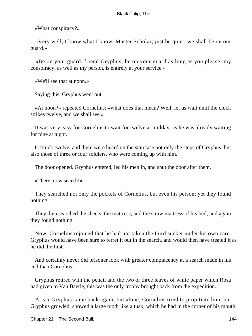«What conspiracy?»

 «Very well, I know what I know, Master Scholar; just be quiet, we shall be on our guard.»

 «Be on your guard, friend Gryphus; be on your guard as long as you please; my conspiracy, as well as my person, is entirely at your service.»

«We'll see that at noon.»

Saying this, Gryphus went out.

 «At noon?» repeated Cornelius; «what does that mean? Well, let us wait until the clock strikes twelve, and we shall see.»

 It was very easy for Cornelius to wait for twelve at midday, as he was already waiting for nine at night.

 It struck twelve, and there were heard on the staircase not only the steps of Gryphus, but also those of three or four soldiers, who were coming up with him.

The door opened. Gryphus entered, led his men in, and shut the door after them.

«There, now search!»

 They searched not only the pockets of Cornelius, but even his person; yet they found nothing.

 They then searched the sheets, the mattress, and the straw mattress of his bed; and again they found nothing.

 Now, Cornelius rejoiced that he had not taken the third sucker under his own care. Gryphus would have been sure to ferret it out in the search, and would then have treated it as he did the first.

 And certainly never did prisoner look with greater complacency at a search made in his cell than Cornelius.

 Gryphus retired with the pencil and the two or three leaves of white paper which Rosa had given to Van Baerle, this was the only trophy brought back from the expedition.

 At six Gryphus came back again, but alone; Cornelius tried to propitiate him, but Gryphus growled, showed a large tooth like a tusk, which he had in the corner of his mouth,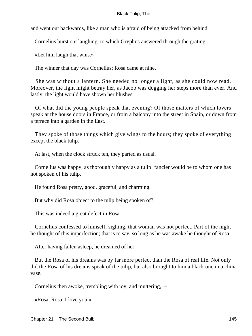and went out backwards, like a man who is afraid of being attacked from behind.

Cornelius burst out laughing, to which Gryphus answered through the grating, –

«Let him laugh that wins.»

The winner that day was Cornelius; Rosa came at nine.

 She was without a lantern. She needed no longer a light, as she could now read. Moreover, the light might betray her, as Jacob was dogging her steps more than ever. And lastly, the light would have shown her blushes.

 Of what did the young people speak that evening? Of those matters of which lovers speak at the house doors in France, or from a balcony into the street in Spain, or down from a terrace into a garden in the East.

 They spoke of those things which give wings to the hours; they spoke of everything except the black tulip.

At last, when the clock struck ten, they parted as usual.

 Cornelius was happy, as thoroughly happy as a tulip−fancier would be to whom one has not spoken of his tulip.

He found Rosa pretty, good, graceful, and charming.

But why did Rosa object to the tulip being spoken of?

This was indeed a great defect in Rosa.

 Cornelius confessed to himself, sighing, that woman was not perfect. Part of the night he thought of this imperfection; that is to say, so long as he was awake he thought of Rosa.

After having fallen asleep, he dreamed of her.

 But the Rosa of his dreams was by far more perfect than the Rosa of real life. Not only did the Rosa of his dreams speak of the tulip, but also brought to him a black one in a china vase.

Cornelius then awoke, trembling with joy, and muttering, –

«Rosa, Rosa, I love you.»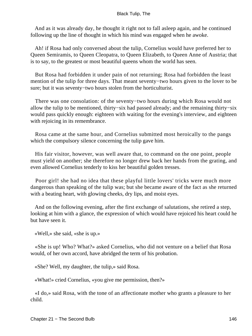And as it was already day, he thought it right not to fall asleep again, and he continued following up the line of thought in which his mind was engaged when he awoke.

 Ah! if Rosa had only conversed about the tulip, Cornelius would have preferred her to Queen Semiramis, to Queen Cleopatra, to Queen Elizabeth, to Queen Anne of Austria; that is to say, to the greatest or most beautiful queens whom the world has seen.

 But Rosa had forbidden it under pain of not returning; Rosa had forbidden the least mention of the tulip for three days. That meant seventy−two hours given to the lover to be sure; but it was seventy−two hours stolen from the horticulturist.

 There was one consolation: of the seventy−two hours during which Rosa would not allow the tulip to be mentioned, thirty−six had passed already; and the remaining thirty−six would pass quickly enough: eighteen with waiting for the evening's interview, and eighteen with rejoicing in its remembrance.

 Rosa came at the same hour, and Cornelius submitted most heroically to the pangs which the compulsory silence concerning the tulip gave him.

 His fair visitor, however, was well aware that, to command on the one point, people must yield on another; she therefore no longer drew back her hands from the grating, and even allowed Cornelius tenderly to kiss her beautiful golden tresses.

 Poor girl! she had no idea that these playful little lovers' tricks were much more dangerous than speaking of the tulip was; but she became aware of the fact as she returned with a beating heart, with glowing cheeks, dry lips, and moist eyes.

 And on the following evening, after the first exchange of salutations, she retired a step, looking at him with a glance, the expression of which would have rejoiced his heart could he but have seen it.

«Well,» she said, «she is up.»

 «She is up! Who? What?» asked Cornelius, who did not venture on a belief that Rosa would, of her own accord, have abridged the term of his probation.

«She? Well, my daughter, the tulip,» said Rosa.

«What!» cried Cornelius, «you give me permission, then?»

 «I do,» said Rosa, with the tone of an affectionate mother who grants a pleasure to her child.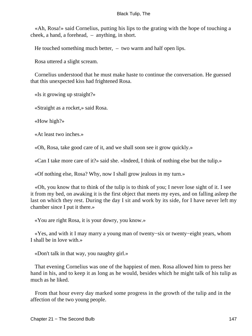«Ah, Rosa!» said Cornelius, putting his lips to the grating with the hope of touching a cheek, a hand, a forehead, – anything, in short.

He touched something much better, – two warm and half open lips.

Rosa uttered a slight scream.

 Cornelius understood that he must make haste to continue the conversation. He guessed that this unexpected kiss had frightened Rosa.

«Is it growing up straight?»

«Straight as a rocket,» said Rosa.

«How high?»

«At least two inches.»

«Oh, Rosa, take good care of it, and we shall soon see it grow quickly.»

«Can I take more care of it?» said she. «Indeed, I think of nothing else but the tulip.»

«Of nothing else, Rosa? Why, now I shall grow jealous in my turn.»

 «Oh, you know that to think of the tulip is to think of you; I never lose sight of it. I see it from my bed, on awaking it is the first object that meets my eyes, and on falling asleep the last on which they rest. During the day I sit and work by its side, for I have never left my chamber since I put it there.»

«You are right Rosa, it is your dowry, you know.»

 «Yes, and with it I may marry a young man of twenty−six or twenty−eight years, whom I shall be in love with.»

«Don't talk in that way, you naughty girl.»

 That evening Cornelius was one of the happiest of men. Rosa allowed him to press her hand in his, and to keep it as long as he would, besides which he might talk of his tulip as much as he liked.

 From that hour every day marked some progress in the growth of the tulip and in the affection of the two young people.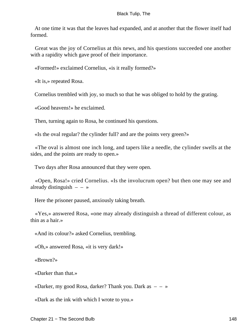At one time it was that the leaves had expanded, and at another that the flower itself had formed.

 Great was the joy of Cornelius at this news, and his questions succeeded one another with a rapidity which gave proof of their importance.

«Formed!» exclaimed Cornelius, «is it really formed?»

«It is,» repeated Rosa.

Cornelius trembled with joy, so much so that he was obliged to hold by the grating.

«Good heavens!» he exclaimed.

Then, turning again to Rosa, he continued his questions.

«Is the oval regular? the cylinder full? and are the points very green?»

 «The oval is almost one inch long, and tapers like a needle, the cylinder swells at the sides, and the points are ready to open.»

Two days after Rosa announced that they were open.

 «Open, Rosa!» cried Cornelius. «Is the involucrum open? but then one may see and already distinguish  $-$  – »

Here the prisoner paused, anxiously taking breath.

 «Yes,» answered Rosa, «one may already distinguish a thread of different colour, as thin as a hair.»

«And its colour?» asked Cornelius, trembling.

«Oh,» answered Rosa, «it is very dark!»

«Brown?»

«Darker than that.»

«Darker, my good Rosa, darker? Thank you. Dark as  $- - \infty$ 

«Dark as the ink with which I wrote to you.»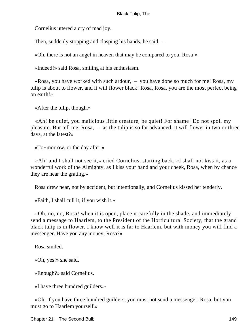Cornelius uttered a cry of mad joy.

Then, suddenly stopping and clasping his hands, he said,  $-$ 

«Oh, there is not an angel in heaven that may be compared to you, Rosa!»

«Indeed!» said Rosa, smiling at his enthusiasm.

 «Rosa, you have worked with such ardour, – you have done so much for me! Rosa, my tulip is about to flower, and it will flower black! Rosa, Rosa, you are the most perfect being on earth!»

«After the tulip, though.»

 «Ah! be quiet, you malicious little creature, be quiet! For shame! Do not spoil my pleasure. But tell me, Rosa, – as the tulip is so far advanced, it will flower in two or three days, at the latest?»

«To−morrow, or the day after.»

 «Ah! and I shall not see it,» cried Cornelius, starting back, «I shall not kiss it, as a wonderful work of the Almighty, as I kiss your hand and your cheek, Rosa, when by chance they are near the grating.»

Rosa drew near, not by accident, but intentionally, and Cornelius kissed her tenderly.

«Faith, I shall cull it, if you wish it.»

 «Oh, no, no, Rosa! when it is open, place it carefully in the shade, and immediately send a message to Haarlem, to the President of the Horticultural Society, that the grand black tulip is in flower. I know well it is far to Haarlem, but with money you will find a messenger. Have you any money, Rosa?»

Rosa smiled.

«Oh, yes!» she said.

«Enough?» said Cornelius.

«I have three hundred guilders.»

 «Oh, if you have three hundred guilders, you must not send a messenger, Rosa, but you must go to Haarlem yourself.»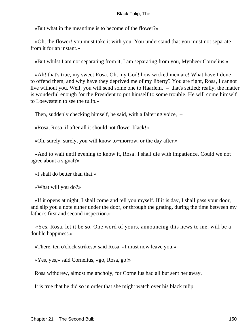«But what in the meantime is to become of the flower?»

 «Oh, the flower! you must take it with you. You understand that you must not separate from it for an instant.»

«But whilst I am not separating from it, I am separating from you, Mynheer Cornelius.»

 «Ah! that's true, my sweet Rosa. Oh, my God! how wicked men are! What have I done to offend them, and why have they deprived me of my liberty? You are right, Rosa, I cannot live without you. Well, you will send some one to Haarlem, – that's settled; really, the matter is wonderful enough for the President to put himself to some trouble. He will come himself to Loewestein to see the tulip.»

Then, suddenly checking himself, he said, with a faltering voice, –

«Rosa, Rosa, if after all it should not flower black!»

«Oh, surely, surely, you will know to−morrow, or the day after.»

 «And to wait until evening to know it, Rosa! I shall die with impatience. Could we not agree about a signal?»

«I shall do better than that.»

«What will you do?»

 «If it opens at night, I shall come and tell you myself. If it is day, I shall pass your door, and slip you a note either under the door, or through the grating, during the time between my father's first and second inspection.»

 «Yes, Rosa, let it be so. One word of yours, announcing this news to me, will be a double happiness.»

«There, ten o'clock strikes,» said Rosa, «I must now leave you.»

«Yes, yes,» said Cornelius, «go, Rosa, go!»

Rosa withdrew, almost melancholy, for Cornelius had all but sent her away.

It is true that he did so in order that she might watch over his black tulip.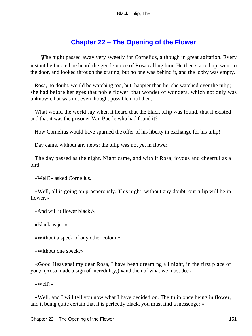# **[Chapter 22 − The Opening of the Flower](#page-227-0)**

**The night passed away very sweetly for Cornelius, although in great agitation. Every** instant he fancied he heard the gentle voice of Rosa calling him. He then started up, went to the door, and looked through the grating, but no one was behind it, and the lobby was empty.

 Rosa, no doubt, would be watching too, but, happier than he, she watched over the tulip; she had before her eyes that noble flower, that wonder of wonders. which not only was unknown, but was not even thought possible until then.

 What would the world say when it heard that the black tulip was found, that it existed and that it was the prisoner Van Baerle who had found it?

How Cornelius would have spurned the offer of his liberty in exchange for his tulip!

Day came, without any news; the tulip was not yet in flower.

 The day passed as the night. Night came, and with it Rosa, joyous and cheerful as a bird.

«Well?» asked Cornelius.

 «Well, all is going on prosperously. This night, without any doubt, our tulip will be in flower.»

«And will it flower black?»

«Black as jet.»

«Without a speck of any other colour.»

«Without one speck.»

 «Good Heavens! my dear Rosa, I have been dreaming all night, in the first place of you,» (Rosa made a sign of incredulity,) «and then of what we must do.»

«Well?»

 «Well, and I will tell you now what I have decided on. The tulip once being in flower, and it being quite certain that it is perfectly black, you must find a messenger.»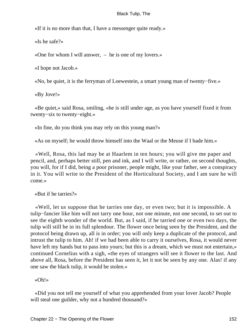«If it is no more than that, I have a messenger quite ready.»

«Is he safe?»

«One for whom I will answer, – he is one of my lovers.»

«I hope not Jacob.»

«No, be quiet, it is the ferryman of Loewestein, a smart young man of twenty−five.»

«By Jove!»

 «Be quiet,» said Rosa, smiling, «he is still under age, as you have yourself fixed it from twenty−six to twenty−eight.»

«In fine, do you think you may rely on this young man?»

«As on myself; he would throw himself into the Waal or the Meuse if I bade him.»

 «Well, Rosa, this lad may be at Haarlem in ten hours; you will give me paper and pencil, and, perhaps better still, pen and ink, and I will write, or rather, on second thoughts, you will, for if I did, being a poor prisoner, people might, like your father, see a conspiracy in it. You will write to the President of the Horticultural Society, and I am sure he will come.»

«But if he tarries?»

 «Well, let us suppose that he tarries one day, or even two; but it is impossible. A tulip−fancier like him will not tarry one hour, not one minute, not one second, to set out to see the eighth wonder of the world. But, as I said, if he tarried one or even two days, the tulip will still be in its full splendour. The flower once being seen by the President, and the protocol being drawn up, all is in order; you will only keep a duplicate of the protocol, and intrust the tulip to him. Ah! if we had been able to carry it ourselves, Rosa, it would never have left my hands but to pass into yours; but this is a dream, which we must not entertain,» continued Cornelius with a sigh, «the eyes of strangers will see it flower to the last. And above all, Rosa, before the President has seen it, let it not be seen by any one. Alas! if any one saw the black tulip, it would be stolen.»

«Oh!»

 «Did you not tell me yourself of what you apprehended from your lover Jacob? People will steal one guilder, why not a hundred thousand?»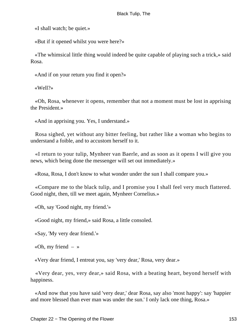«I shall watch; be quiet.»

«But if it opened whilst you were here?»

 «The whimsical little thing would indeed be quite capable of playing such a trick,» said Rosa.

«And if on your return you find it open?»

«Well?»

 «Oh, Rosa, whenever it opens, remember that not a moment must be lost in apprising the President.»

«And in apprising you. Yes, I understand.»

 Rosa sighed, yet without any bitter feeling, but rather like a woman who begins to understand a foible, and to accustom herself to it.

 «I return to your tulip, Mynheer van Baerle, and as soon as it opens I will give you news, which being done the messenger will set out immediately.»

«Rosa, Rosa, I don't know to what wonder under the sun I shall compare you.»

 «Compare me to the black tulip, and I promise you I shall feel very much flattered. Good night, then, till we meet again, Mynheer Cornelius.»

«Oh, say 'Good night, my friend.'»

«Good night, my friend,» said Rosa, a little consoled.

«Say, 'My very dear friend.'»

«Oh, my friend  $-$  »

«Very dear friend, I entreat you, say 'very dear,' Rosa, very dear.»

 «Very dear, yes, very dear,» said Rosa, with a beating heart, beyond herself with happiness.

 «And now that you have said 'very dear,' dear Rosa, say also 'most happy': say 'happier and more blessed than ever man was under the sun.' I only lack one thing, Rosa.»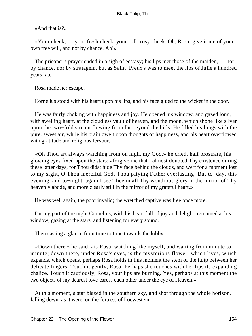«And that is?»

 «Your cheek, – your fresh cheek, your soft, rosy cheek. Oh, Rosa, give it me of your own free will, and not by chance. Ah!»

 The prisoner's prayer ended in a sigh of ecstasy; his lips met those of the maiden, – not by chance, nor by stratagem, but as Saint−Preux's was to meet the lips of Julie a hundred years later.

Rosa made her escape.

Cornelius stood with his heart upon his lips, and his face glued to the wicket in the door.

 He was fairly choking with happiness and joy. He opened his window, and gazed long, with swelling heart, at the cloudless vault of heaven, and the moon, which shone like silver upon the two−fold stream flowing from far beyond the hills. He filled his lungs with the pure, sweet air, while his brain dwelt upon thoughts of happiness, and his heart overflowed with gratitude and religious fervour.

 «Oh Thou art always watching from on high, my God,» he cried, half prostrate, his glowing eyes fixed upon the stars: «forgive me that I almost doubted Thy existence during these latter days, for Thou didst hide Thy face behind the clouds, and wert for a moment lost to my sight, O Thou merciful God, Thou pitying Father everlasting! But to−day, this evening, and to−night, again I see Thee in all Thy wondrous glory in the mirror of Thy heavenly abode, and more clearly still in the mirror of my grateful heart.»

He was well again, the poor invalid; the wretched captive was free once more.

 During part of the night Cornelius, with his heart full of joy and delight, remained at his window, gazing at the stars, and listening for every sound.

Then casting a glance from time to time towards the lobby,  $-$ 

 «Down there,» he said, «is Rosa, watching like myself, and waiting from minute to minute; down there, under Rosa's eyes, is the mysterious flower, which lives, which expands, which opens, perhaps Rosa holds in this moment the stem of the tulip between her delicate fingers. Touch it gently, Rosa. Perhaps she touches with her lips its expanding chalice. Touch it cautiously, Rosa, your lips are burning. Yes, perhaps at this moment the two objects of my dearest love caress each other under the eye of Heaven.»

 At this moment, a star blazed in the southern sky, and shot through the whole horizon, falling down, as it were, on the fortress of Loewestein.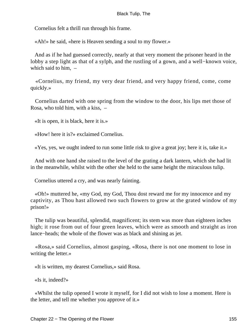Cornelius felt a thrill run through his frame.

«Ah!» he said, «here is Heaven sending a soul to my flower.»

 And as if he had guessed correctly, nearly at that very moment the prisoner heard in the lobby a step light as that of a sylph, and the rustling of a gown, and a well−known voice, which said to him, –

 «Cornelius, my friend, my very dear friend, and very happy friend, come, come quickly.»

 Cornelius darted with one spring from the window to the door, his lips met those of Rosa, who told him, with a kiss, –

«It is open, it is black, here it is.»

«How! here it is?» exclaimed Cornelius.

«Yes, yes, we ought indeed to run some little risk to give a great joy; here it is, take it.»

 And with one hand she raised to the level of the grating a dark lantern, which she had lit in the meanwhile, whilst with the other she held to the same height the miraculous tulip.

Cornelius uttered a cry, and was nearly fainting.

 «Oh!» muttered he, «my God, my God, Thou dost reward me for my innocence and my captivity, as Thou hast allowed two such flowers to grow at the grated window of my prison!»

 The tulip was beautiful, splendid, magnificent; its stem was more than eighteen inches high; it rose from out of four green leaves, which were as smooth and straight as iron lance−heads; the whole of the flower was as black and shining as jet.

 «Rosa,» said Cornelius, almost gasping, «Rosa, there is not one moment to lose in writing the letter.»

«It is written, my dearest Cornelius,» said Rosa.

«Is it, indeed?»

 «Whilst the tulip opened I wrote it myself, for I did not wish to lose a moment. Here is the letter, and tell me whether you approve of it.»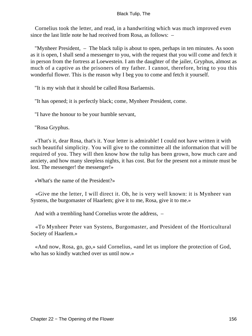Cornelius took the letter, and read, in a handwriting which was much improved even since the last little note he had received from Rosa, as follows: –

 "Mynheer President, – The black tulip is about to open, perhaps in ten minutes. As soon as it is open, I shall send a messenger to you, with the request that you will come and fetch it in person from the fortress at Loewestein. I am the daughter of the jailer, Gryphus, almost as much of a captive as the prisoners of my father. I cannot, therefore, bring to you this wonderful flower. This is the reason why I beg you to come and fetch it yourself.

"It is my wish that it should be called Rosa Barlaensis.

"It has opened; it is perfectly black; come, Mynheer President, come.

"I have the honour to be your humble servant,

"Rosa Gryphus.

 «That's it, dear Rosa, that's it. Your letter is admirable! I could not have written it with such beautiful simplicity. You will give to the committee all the information that will be required of you. They will then know how the tulip has been grown, how much care and anxiety, and how many sleepless nights, it has cost. But for the present not a minute must be lost. The messenger! the messenger!»

«What's the name of the President?»

 «Give me the letter, I will direct it. Oh, he is very well known: it is Mynheer van Systens, the burgomaster of Haarlem; give it to me, Rosa, give it to me.»

And with a trembling hand Cornelius wrote the address, –

 «To Mynheer Peter van Systens, Burgomaster, and President of the Horticultural Society of Haarlem.»

 «And now, Rosa, go, go,» said Cornelius, «and let us implore the protection of God, who has so kindly watched over us until now.»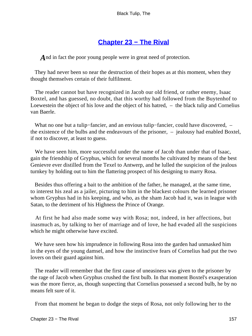## **[Chapter 23 − The Rival](#page-227-0)**

*A* nd in fact the poor young people were in great need of protection.

 They had never been so near the destruction of their hopes as at this moment, when they thought themselves certain of their fulfilment.

 The reader cannot but have recognized in Jacob our old friend, or rather enemy, Isaac Boxtel, and has guessed, no doubt, that this worthy had followed from the Buytenhof to Loewestein the object of his love and the object of his hatred, – the black tulip and Cornelius van Baerle.

 What no one but a tulip−fancier, and an envious tulip−fancier, could have discovered, – the existence of the bulbs and the endeavours of the prisoner, – jealousy had enabled Boxtel, if not to discover, at least to guess.

We have seen him, more successful under the name of Jacob than under that of Isaac, gain the friendship of Gryphus, which for several months he cultivated by means of the best Genievre ever distilled from the Texel to Antwerp, and he lulled the suspicion of the jealous turnkey by holding out to him the flattering prospect of his designing to marry Rosa.

 Besides thus offering a bait to the ambition of the father, he managed, at the same time, to interest his zeal as a jailer, picturing to him in the blackest colours the learned prisoner whom Gryphus had in his keeping, and who, as the sham Jacob had it, was in league with Satan, to the detriment of his Highness the Prince of Orange.

 At first he had also made some way with Rosa; not, indeed, in her affections, but inasmuch as, by talking to her of marriage and of love, he had evaded all the suspicions which he might otherwise have excited.

 We have seen how his imprudence in following Rosa into the garden had unmasked him in the eyes of the young damsel, and how the instinctive fears of Cornelius had put the two lovers on their guard against him.

 The reader will remember that the first cause of uneasiness was given to the prisoner by the rage of Jacob when Gryphus crushed the first bulb. In that moment Boxtel's exasperation was the more fierce, as, though suspecting that Cornelius possessed a second bulb, he by no means felt sure of it.

From that moment he began to dodge the steps of Rosa, not only following her to the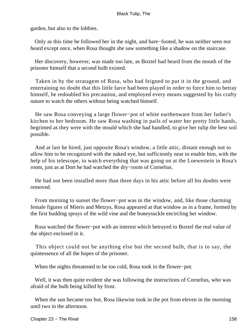garden, but also to the lobbies.

 Only as this time he followed her in the night, and bare−footed, he was neither seen nor heard except once, when Rosa thought she saw something like a shadow on the staircase.

 Her discovery, however, was made too late, as Boxtel had heard from the mouth of the prisoner himself that a second bulb existed.

 Taken in by the stratagem of Rosa, who had feigned to put it in the ground, and entertaining no doubt that this little farce had been played in order to force him to betray himself, he redoubled his precaution, and employed every means suggested by his crafty nature to watch the others without being watched himself.

 He saw Rosa conveying a large flower−pot of white earthenware from her father's kitchen to her bedroom. He saw Rosa washing in pails of water her pretty little hands, begrimed as they were with the mould which she had handled, to give her tulip the best soil possible.

 And at last he hired, just opposite Rosa's window, a little attic, distant enough not to allow him to be recognized with the naked eye, but sufficiently near to enable him, with the help of his telescope, to watch everything that was going on at the Loewestein in Rosa's room, just as at Dort he had watched the dry−room of Cornelius.

 He had not been installed more than three days in his attic before all his doubts were removed.

 From morning to sunset the flower−pot was in the window, and, like those charming female figures of Mieris and Metzys, Rosa appeared at that window as in a frame, formed by the first budding sprays of the wild vine and the honeysuckle encircling her window.

 Rosa watched the flower−pot with an interest which betrayed to Boxtel the real value of the object enclosed in it.

 This object could not be anything else but the second bulb, that is to say, the quintessence of all the hopes of the prisoner.

When the nights threatened to be too cold, Rosa took in the flower−pot.

 Well, it was then quite evident she was following the instructions of Cornelius, who was afraid of the bulb being killed by frost.

 When the sun became too hot, Rosa likewise took in the pot from eleven in the morning until two in the afternoon.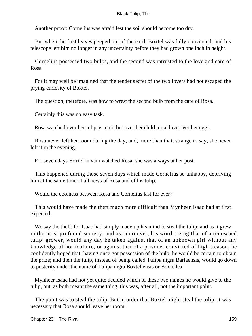Another proof: Cornelius was afraid lest the soil should become too dry.

 But when the first leaves peeped out of the earth Boxtel was fully convinced; and his telescope left him no longer in any uncertainty before they had grown one inch in height.

 Cornelius possessed two bulbs, and the second was intrusted to the love and care of Rosa.

 For it may well be imagined that the tender secret of the two lovers had not escaped the prying curiosity of Boxtel.

The question, therefore, was how to wrest the second bulb from the care of Rosa.

Certainly this was no easy task.

Rosa watched over her tulip as a mother over her child, or a dove over her eggs.

 Rosa never left her room during the day, and, more than that, strange to say, she never left it in the evening.

For seven days Boxtel in vain watched Rosa; she was always at her post.

 This happened during those seven days which made Cornelius so unhappy, depriving him at the same time of all news of Rosa and of his tulip.

Would the coolness between Rosa and Cornelius last for ever?

 This would have made the theft much more difficult than Mynheer Isaac had at first expected.

We say the theft, for Isaac had simply made up his mind to steal the tulip; and as it grew in the most profound secrecy, and as, moreover, his word, being that of a renowned tulip−grower, would any day be taken against that of an unknown girl without any knowledge of horticulture, or against that of a prisoner convicted of high treason, he confidently hoped that, having once got possession of the bulb, he would be certain to obtain the prize; and then the tulip, instead of being called Tulipa nigra Barlaensis, would go down to posterity under the name of Tulipa nigra Boxtellensis or Boxtellea.

 Mynheer Isaac had not yet quite decided which of these two names he would give to the tulip, but, as both meant the same thing, this was, after all, not the important point.

 The point was to steal the tulip. But in order that Boxtel might steal the tulip, it was necessary that Rosa should leave her room.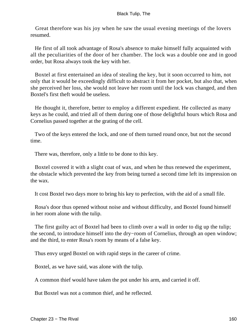Great therefore was his joy when he saw the usual evening meetings of the lovers resumed.

 He first of all took advantage of Rosa's absence to make himself fully acquainted with all the peculiarities of the door of her chamber. The lock was a double one and in good order, but Rosa always took the key with her.

 Boxtel at first entertained an idea of stealing the key, but it soon occurred to him, not only that it would be exceedingly difficult to abstract it from her pocket, but also that, when she perceived her loss, she would not leave her room until the lock was changed, and then Boxtel's first theft would be useless.

 He thought it, therefore, better to employ a different expedient. He collected as many keys as he could, and tried all of them during one of those delightful hours which Rosa and Cornelius passed together at the grating of the cell.

 Two of the keys entered the lock, and one of them turned round once, but not the second time.

There was, therefore, only a little to be done to this key.

 Boxtel covered it with a slight coat of wax, and when he thus renewed the experiment, the obstacle which prevented the key from being turned a second time left its impression on the wax.

It cost Boxtel two days more to bring his key to perfection, with the aid of a small file.

 Rosa's door thus opened without noise and without difficulty, and Boxtel found himself in her room alone with the tulip.

 The first guilty act of Boxtel had been to climb over a wall in order to dig up the tulip; the second, to introduce himself into the dry−room of Cornelius, through an open window; and the third, to enter Rosa's room by means of a false key.

Thus envy urged Boxtel on with rapid steps in the career of crime.

Boxtel, as we have said, was alone with the tulip.

A common thief would have taken the pot under his arm, and carried it off.

But Boxtel was not a common thief, and he reflected.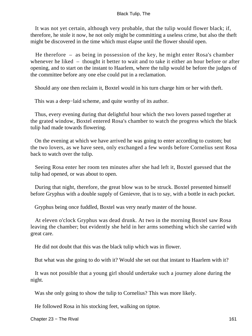It was not yet certain, although very probable, that the tulip would flower black; if, therefore, he stole it now, he not only might be committing a useless crime, but also the theft might be discovered in the time which must elapse until the flower should open.

 He therefore – as being in possession of the key, he might enter Rosa's chamber whenever he liked – thought it better to wait and to take it either an hour before or after opening, and to start on the instant to Haarlem, where the tulip would be before the judges of the committee before any one else could put in a reclamation.

Should any one then reclaim it, Boxtel would in his turn charge him or her with theft.

This was a deep−laid scheme, and quite worthy of its author.

 Thus, every evening during that delightful hour which the two lovers passed together at the grated window, Boxtel entered Rosa's chamber to watch the progress which the black tulip had made towards flowering.

 On the evening at which we have arrived he was going to enter according to custom; but the two lovers, as we have seen, only exchanged a few words before Cornelius sent Rosa back to watch over the tulip.

 Seeing Rosa enter her room ten minutes after she had left it, Boxtel guessed that the tulip had opened, or was about to open.

 During that night, therefore, the great blow was to be struck. Boxtel presented himself before Gryphus with a double supply of Genievre, that is to say, with a bottle in each pocket.

Gryphus being once fuddled, Boxtel was very nearly master of the house.

 At eleven o'clock Gryphus was dead drunk. At two in the morning Boxtel saw Rosa leaving the chamber; but evidently she held in her arms something which she carried with great care.

He did not doubt that this was the black tulip which was in flower.

But what was she going to do with it? Would she set out that instant to Haarlem with it?

 It was not possible that a young girl should undertake such a journey alone during the night.

Was she only going to show the tulip to Cornelius? This was more likely.

He followed Rosa in his stocking feet, walking on tiptoe.

Chapter 23 – The Rival 161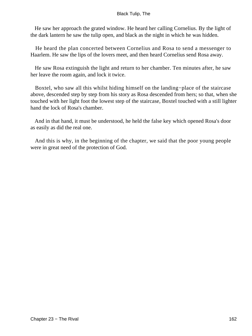He saw her approach the grated window. He heard her calling Cornelius. By the light of the dark lantern he saw the tulip open, and black as the night in which he was hidden.

 He heard the plan concerted between Cornelius and Rosa to send a messenger to Haarlem. He saw the lips of the lovers meet, and then heard Cornelius send Rosa away.

 He saw Rosa extinguish the light and return to her chamber. Ten minutes after, he saw her leave the room again, and lock it twice.

 Boxtel, who saw all this whilst hiding himself on the landing−place of the staircase above, descended step by step from his story as Rosa descended from hers; so that, when she touched with her light foot the lowest step of the staircase, Boxtel touched with a still lighter hand the lock of Rosa's chamber.

 And in that hand, it must be understood, he held the false key which opened Rosa's door as easily as did the real one.

 And this is why, in the beginning of the chapter, we said that the poor young people were in great need of the protection of God.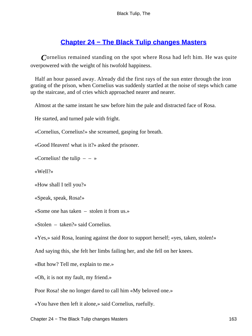## **[Chapter 24 − The Black Tulip changes Masters](#page-227-0)**

*C*ornelius remained standing on the spot where Rosa had left him. He was quite overpowered with the weight of his twofold happiness.

 Half an hour passed away. Already did the first rays of the sun enter through the iron grating of the prison, when Cornelius was suddenly startled at the noise of steps which came up the staircase, and of cries which approached nearer and nearer.

Almost at the same instant he saw before him the pale and distracted face of Rosa.

He started, and turned pale with fright.

«Cornelius, Cornelius!» she screamed, gasping for breath.

«Good Heaven! what is it?» asked the prisoner.

«Cornelius! the tulip  $- - \infty$ 

«Well?»

«How shall I tell you?»

«Speak, speak, Rosa!»

«Some one has taken – stolen it from us.»

«Stolen – taken?» said Cornelius.

«Yes,» said Rosa, leaning against the door to support herself; «yes, taken, stolen!»

And saying this, she felt her limbs failing her, and she fell on her knees.

«But how? Tell me, explain to me.»

«Oh, it is not my fault, my friend.»

Poor Rosa! she no longer dared to call him «My beloved one.»

«You have then left it alone,» said Cornelius, ruefully.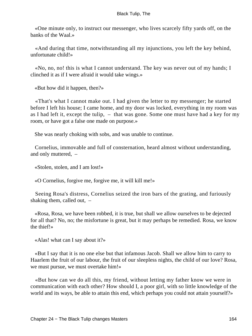«One minute only, to instruct our messenger, who lives scarcely fifty yards off, on the banks of the Waal.»

 «And during that time, notwithstanding all my injunctions, you left the key behind, unfortunate child!»

 «No, no, no! this is what I cannot understand. The key was never out of my hands; I clinched it as if I were afraid it would take wings.»

«But how did it happen, then?»

 «That's what I cannot make out. I had given the letter to my messenger; he started before I left his house; I came home, and my door was locked, everything in my room was as I had left it, except the tulip, – that was gone. Some one must have had a key for my room, or have got a false one made on purpose.»

She was nearly choking with sobs, and was unable to continue.

 Cornelius, immovable and full of consternation, heard almost without understanding, and only muttered, –

«Stolen, stolen, and I am lost!»

«O Cornelius, forgive me, forgive me, it will kill me!»

 Seeing Rosa's distress, Cornelius seized the iron bars of the grating, and furiously shaking them, called out, –

 «Rosa, Rosa, we have been robbed, it is true, but shall we allow ourselves to be dejected for all that? No, no; the misfortune is great, but it may perhaps be remedied. Rosa, we know the thief!»

«Alas! what can I say about it?»

 «But I say that it is no one else but that infamous Jacob. Shall we allow him to carry to Haarlem the fruit of our labour, the fruit of our sleepless nights, the child of our love? Rosa, we must pursue, we must overtake him!»

 «But how can we do all this, my friend, without letting my father know we were in communication with each other? How should I, a poor girl, with so little knowledge of the world and its ways, be able to attain this end, which perhaps you could not attain yourself?»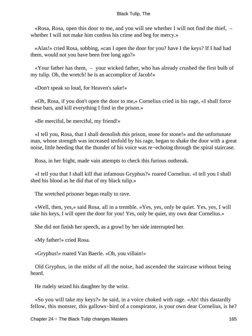«Rosa, Rosa, open this door to me, and you will see whether I will not find the thief, – whether I will not make him confess his crime and beg for mercy.»

 «Alas!» cried Rosa, sobbing, «can I open the door for you? have I the keys? If I had had them, would not you have been free long ago?»

 «Your father has them, – your wicked father, who has already crushed the first bulb of my tulip. Oh, the wretch! he is an accomplice of Jacob!»

«Don't speak so loud, for Heaven's sake!»

 «Oh, Rosa, if you don't open the door to me,» Cornelius cried in his rage, «I shall force these bars, and kill everything I find in the prison.»

«Be merciful, be merciful, my friend!»

 «I tell you, Rosa, that I shall demolish this prison, stone for stone!» and the unfortunate man, whose strength was increased tenfold by his rage, began to shake the door with a great noise, little heeding that the thunder of his voice was re−echoing through the spiral staircase.

Rosa, in her fright, made vain attempts to check this furious outbreak.

 «I tell you that I shall kill that infamous Gryphus?» roared Cornelius. «I tell you I shall shed his blood as he did that of my black tulip.»

The wretched prisoner began really to rave.

 «Well, then, yes,» said Rosa, all in a tremble. «Yes, yes, only be quiet. Yes, yes, I will take his keys, I will open the door for you! Yes, only be quiet, my own dear Cornelius.»

She did not finish her speech, as a growl by her side interrupted her.

«My father!» cried Rosa.

«Gryphus!» roared Van Baerle. «Oh, you villain!»

 Old Gryphus, in the midst of all the noise, had ascended the staircase without being heard.

He rudely seized his daughter by the wrist.

 «So you will take my keys?» he said, in a voice choked with rage. «Ah! this dastardly fellow, this monster, this gallows−bird of a conspirator, is your own dear Cornelius, is he?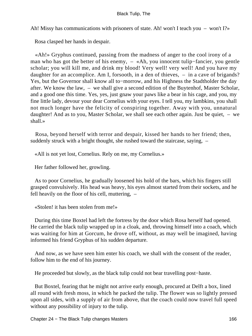Ah! Missy has communications with prisoners of state. Ah! won't I teach you – won't I?»

Rosa clasped her hands in despair.

 «Ah!» Gryphus continued, passing from the madness of anger to the cool irony of a man who has got the better of his enemy, – «Ah, you innocent tulip−fancier, you gentle scholar; you will kill me, and drink my blood! Very well! very well! And you have my daughter for an accomplice. Am I, forsooth, in a den of thieves, – in a cave of brigands? Yes, but the Governor shall know all to−morrow, and his Highness the Stadtholder the day after. We know the law, – we shall give a second edition of the Buytenhof, Master Scholar, and a good one this time. Yes, yes, just gnaw your paws like a bear in his cage, and you, my fine little lady, devour your dear Cornelius with your eyes. I tell you, my lambkins, you shall not much longer have the felicity of conspiring together. Away with you, unnatural daughter! And as to you, Master Scholar, we shall see each other again. Just be quiet, – we shall.»

 Rosa, beyond herself with terror and despair, kissed her hands to her friend; then, suddenly struck with a bright thought, she rushed toward the staircase, saying, –

«All is not yet lost, Cornelius. Rely on me, my Cornelius.»

Her father followed her, growling.

 As to poor Cornelius, he gradually loosened his hold of the bars, which his fingers still grasped convulsively. His head was heavy, his eyes almost started from their sockets, and he fell heavily on the floor of his cell, muttering, –

«Stolen! it has been stolen from me!»

 During this time Boxtel had left the fortress by the door which Rosa herself had opened. He carried the black tulip wrapped up in a cloak, and, throwing himself into a coach, which was waiting for him at Gorcum, he drove off, without, as may well be imagined, having informed his friend Gryphus of his sudden departure.

 And now, as we have seen him enter his coach, we shall with the consent of the reader, follow him to the end of his journey.

He proceeded but slowly, as the black tulip could not bear travelling post−haste.

 But Boxtel, fearing that he might not arrive early enough, procured at Delft a box, lined all round with fresh moss, in which he packed the tulip. The flower was so lightly pressed upon all sides, with a supply of air from above, that the coach could now travel full speed without any possibility of injury to the tulip.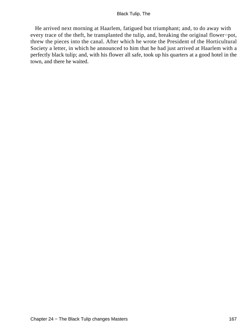He arrived next morning at Haarlem, fatigued but triumphant; and, to do away with every trace of the theft, he transplanted the tulip, and, breaking the original flower−pot, threw the pieces into the canal. After which he wrote the President of the Horticultural Society a letter, in which he announced to him that he had just arrived at Haarlem with a perfectly black tulip; and, with his flower all safe, took up his quarters at a good hotel in the town, and there he waited.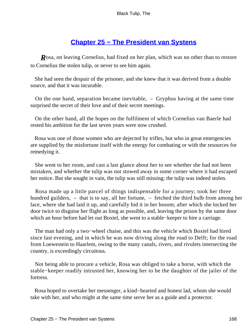## **[Chapter 25 − The President van Systens](#page-227-0)**

*R*osa, on leaving Cornelius, had fixed on her plan, which was no other than to restore to Cornelius the stolen tulip, or never to see him again.

 She had seen the despair of the prisoner, and she knew that it was derived from a double source, and that it was incurable.

 On the one hand, separation became inevitable, – Gryphus having at the same time surprised the secret of their love and of their secret meetings.

 On the other hand, all the hopes on the fulfilment of which Cornelius van Baerle had rested his ambition for the last seven years were now crushed.

 Rosa was one of those women who are dejected by trifles, but who in great emergencies are supplied by the misfortune itself with the energy for combating or with the resources for remedying it.

 She went to her room, and cast a last glance about her to see whether she had not been mistaken, and whether the tulip was not stowed away in some corner where it had escaped her notice. But she sought in vain, the tulip was still missing; the tulip was indeed stolen.

 Rosa made up a little parcel of things indispensable for a journey; took her three hundred guilders, – that is to say, all her fortune, – fetched the third bulb from among her lace, where she had laid it up, and carefully hid it in her bosom; after which she locked her door twice to disguise her flight as long as possible, and, leaving the prison by the same door which an hour before had let out Boxtel, she went to a stable−keeper to hire a carriage.

 The man had only a two−wheel chaise, and this was the vehicle which Boxtel had hired since last evening, and in which he was now driving along the road to Delft; for the road from Loewestein to Haarlem, owing to the many canals, rivers, and rivulets intersecting the country, is exceedingly circuitous.

 Not being able to procure a vehicle, Rosa was obliged to take a horse, with which the stable−keeper readily intrusted her, knowing her to be the daughter of the jailer of the fortress.

 Rosa hoped to overtake her messenger, a kind−hearted and honest lad, whom she would take with her, and who might at the same time serve her as a guide and a protector.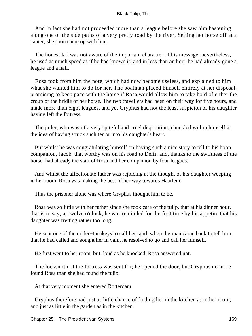And in fact she had not proceeded more than a league before she saw him hastening along one of the side paths of a very pretty road by the river. Setting her horse off at a canter, she soon came up with him.

 The honest lad was not aware of the important character of his message; nevertheless, he used as much speed as if he had known it; and in less than an hour he had already gone a league and a half.

 Rosa took from him the note, which had now become useless, and explained to him what she wanted him to do for her. The boatman placed himself entirely at her disposal, promising to keep pace with the horse if Rosa would allow him to take hold of either the croup or the bridle of her horse. The two travellers had been on their way for five hours, and made more than eight leagues, and yet Gryphus had not the least suspicion of his daughter having left the fortress.

 The jailer, who was of a very spiteful and cruel disposition, chuckled within himself at the idea of having struck such terror into his daughter's heart.

 But whilst he was congratulating himself on having such a nice story to tell to his boon companion, Jacob, that worthy was on his road to Delft; and, thanks to the swiftness of the horse, had already the start of Rosa and her companion by four leagues.

 And whilst the affectionate father was rejoicing at the thought of his daughter weeping in her room, Rosa was making the best of her way towards Haarlem.

Thus the prisoner alone was where Gryphus thought him to be.

 Rosa was so little with her father since she took care of the tulip, that at his dinner hour, that is to say, at twelve o'clock, he was reminded for the first time by his appetite that his daughter was fretting rather too long.

 He sent one of the under−turnkeys to call her; and, when the man came back to tell him that he had called and sought her in vain, he resolved to go and call her himself.

He first went to her room, but, loud as he knocked, Rosa answered not.

 The locksmith of the fortress was sent for; he opened the door, but Gryphus no more found Rosa than she had found the tulip.

At that very moment she entered Rotterdam.

 Gryphus therefore had just as little chance of finding her in the kitchen as in her room, and just as little in the garden as in the kitchen.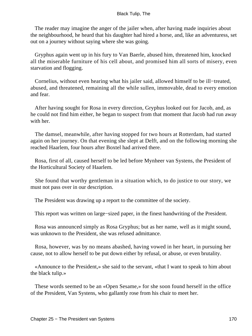The reader may imagine the anger of the jailer when, after having made inquiries about the neighbourhood, he heard that his daughter had hired a horse, and, like an adventuress, set out on a journey without saying where she was going.

 Gryphus again went up in his fury to Van Baerle, abused him, threatened him, knocked all the miserable furniture of his cell about, and promised him all sorts of misery, even starvation and flogging.

 Cornelius, without even hearing what his jailer said, allowed himself to be ill−treated, abused, and threatened, remaining all the while sullen, immovable, dead to every emotion and fear.

 After having sought for Rosa in every direction, Gryphus looked out for Jacob, and, as he could not find him either, he began to suspect from that moment that Jacob had run away with her.

 The damsel, meanwhile, after having stopped for two hours at Rotterdam, had started again on her journey. On that evening she slept at Delft, and on the following morning she reached Haarlem, four hours after Boxtel had arrived there.

 Rosa, first of all, caused herself to be led before Mynheer van Systens, the President of the Horticultural Society of Haarlem.

 She found that worthy gentleman in a situation which, to do justice to our story, we must not pass over in our description.

The President was drawing up a report to the committee of the society.

This report was written on large−sized paper, in the finest handwriting of the President.

 Rosa was announced simply as Rosa Gryphus; but as her name, well as it might sound, was unknown to the President, she was refused admittance.

 Rosa, however, was by no means abashed, having vowed in her heart, in pursuing her cause, not to allow herself to be put down either by refusal, or abuse, or even brutality.

 «Announce to the President,» she said to the servant, «that I want to speak to him about the black tulip.»

 These words seemed to be an «Open Sesame,» for she soon found herself in the office of the President, Van Systens, who gallantly rose from his chair to meet her.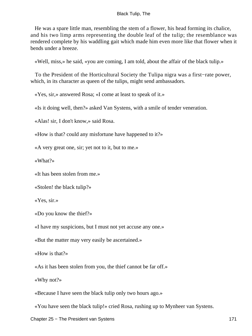He was a spare little man, resembling the stem of a flower, his head forming its chalice, and his two limp arms representing the double leaf of the tulip; the resemblance was rendered complete by his waddling gait which made him even more like that flower when it bends under a breeze.

«Well, miss,» he said, «you are coming, I am told, about the affair of the black tulip.»

 To the President of the Horticultural Society the Tulipa nigra was a first−rate power, which, in its character as queen of the tulips, might send ambassadors.

«Yes, sir,» answered Rosa; «I come at least to speak of it.»

«Is it doing well, then?» asked Van Systens, with a smile of tender veneration.

«Alas! sir, I don't know,» said Rosa.

«How is that? could any misfortune have happened to it?»

«A very great one, sir; yet not to it, but to me.»

«What?»

«It has been stolen from me.»

«Stolen! the black tulip?»

«Yes, sir.»

«Do you know the thief?»

«I have my suspicions, but I must not yet accuse any one.»

«But the matter may very easily be ascertained.»

«How is that?»

«As it has been stolen from you, the thief cannot be far off.»

«Why not?»

«Because I have seen the black tulip only two hours ago.»

«You have seen the black tulip!» cried Rosa, rushing up to Mynheer van Systens.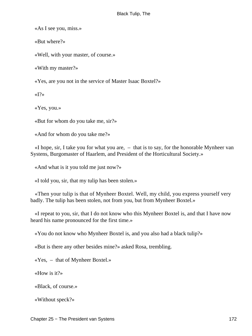«As I see you, miss.»

«But where?»

«Well, with your master, of course.»

«With my master?»

«Yes, are you not in the service of Master Isaac Boxtel?»

 $\langle \langle I \rangle \rangle$ 

«Yes, you.»

«But for whom do you take me, sir?»

«And for whom do you take me?»

 «I hope, sir, I take you for what you are, – that is to say, for the honorable Mynheer van Systens, Burgomaster of Haarlem, and President of the Horticultural Society.»

«And what is it you told me just now?»

«I told you, sir, that my tulip has been stolen.»

 «Then your tulip is that of Mynheer Boxtel. Well, my child, you express yourself very badly. The tulip has been stolen, not from you, but from Mynheer Boxtel.»

 «I repeat to you, sir, that I do not know who this Mynheer Boxtel is, and that I have now heard his name pronounced for the first time.»

«You do not know who Mynheer Boxtel is, and you also had a black tulip?»

«But is there any other besides mine?» asked Rosa, trembling.

«Yes, – that of Mynheer Boxtel.»

«How is it?»

«Black, of course.»

«Without speck?»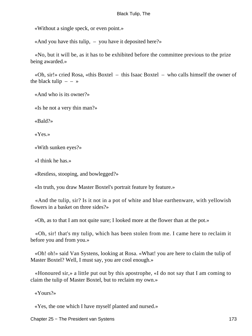«Without a single speck, or even point.»

«And you have this tulip, – you have it deposited here?»

 «No, but it will be, as it has to be exhibited before the committee previous to the prize being awarded.»

 «Oh, sir!» cried Rosa, «this Boxtel – this Isaac Boxtel – who calls himself the owner of the black tulip  $- - \infty$ 

«And who is its owner?»

«Is he not a very thin man?»

«Bald?»

«Yes.»

«With sunken eyes?»

«I think he has.»

«Restless, stooping, and bowlegged?»

«In truth, you draw Master Boxtel's portrait feature by feature.»

 «And the tulip, sir? Is it not in a pot of white and blue earthenware, with yellowish flowers in a basket on three sides?»

«Oh, as to that I am not quite sure; I looked more at the flower than at the pot.»

 «Oh, sir! that's my tulip, which has been stolen from me. I came here to reclaim it before you and from you.»

 «Oh! oh!» said Van Systens, looking at Rosa. «What! you are here to claim the tulip of Master Boxtel? Well, I must say, you are cool enough.»

 «Honoured sir,» a little put out by this apostrophe, «I do not say that I am coming to claim the tulip of Master Boxtel, but to reclaim my own.»

«Yours?»

«Yes, the one which I have myself planted and nursed.»

Chapter 25 − The President van Systens 173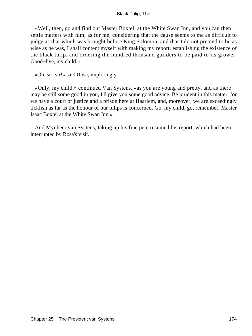«Well, then, go and find out Master Boxtel, at the White Swan Inn, and you can then settle matters with him; as for me, considering that the cause seems to me as difficult to judge as that which was brought before King Solomon, and that I do not pretend to be as wise as he was, I shall content myself with making my report, establishing the existence of the black tulip, and ordering the hundred thousand guilders to be paid to its grower. Good−bye, my child.»

«Oh, sir, sir!» said Rosa, imploringly.

 «Only, my child,» continued Van Systens, «as you are young and pretty, and as there may be still some good in you, I'll give you some good advice. Be prudent in this matter, for we have a court of justice and a prison here at Haarlem, and, moreover, we are exceedingly ticklish as far as the honour of our tulips is concerned. Go, my child, go, remember, Master Isaac Boxtel at the White Swan Inn.»

 And Mynheer van Systens, taking up his fine pen, resumed his report, which had been interrupted by Rosa's visit.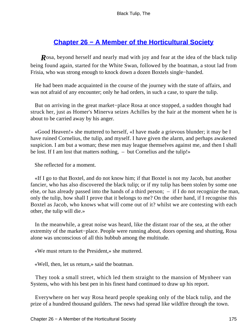# **[Chapter 26 − A Member of the Horticultural Society](#page-227-0)**

**R**osa, beyond herself and nearly mad with joy and fear at the idea of the black tulip being found again, started for the White Swan, followed by the boatman, a stout lad from Frisia, who was strong enough to knock down a dozen Boxtels single−handed.

 He had been made acquainted in the course of the journey with the state of affairs, and was not afraid of any encounter; only he had orders, in such a case, to spare the tulip.

 But on arriving in the great market−place Rosa at once stopped, a sudden thought had struck her, just as Homer's Minerva seizes Achilles by the hair at the moment when he is about to be carried away by his anger.

 «Good Heaven!» she muttered to herself, «I have made a grievous blunder; it may be I have ruined Cornelius, the tulip, and myself. I have given the alarm, and perhaps awakened suspicion. I am but a woman; these men may league themselves against me, and then I shall be lost. If I am lost that matters nothing,  $-$  but Cornelius and the tulip!»

She reflected for a moment.

 «If I go to that Boxtel, and do not know him; if that Boxtel is not my Jacob, but another fancier, who has also discovered the black tulip; or if my tulip has been stolen by some one else, or has already passed into the hands of a third person; – if I do not recognize the man, only the tulip, how shall I prove that it belongs to me? On the other hand, if I recognise this Boxtel as Jacob, who knows what will come out of it? whilst we are contesting with each other, the tulip will die.»

 In the meanwhile, a great noise was heard, like the distant roar of the sea, at the other extremity of the market−place. People were running about, doors opening and shutting, Rosa alone was unconscious of all this hubbub among the multitude.

«We must return to the President,» she muttered.

«Well, then, let us return,» said the boatman.

 They took a small street, which led them straight to the mansion of Mynheer van Systens, who with his best pen in his finest hand continued to draw up his report.

 Everywhere on her way Rosa heard people speaking only of the black tulip, and the prize of a hundred thousand guilders. The news had spread like wildfire through the town.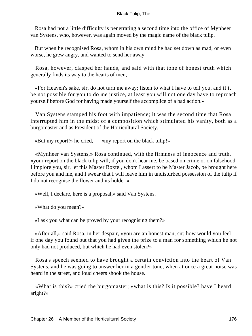Rosa had not a little difficulty is penetrating a second time into the office of Mynheer van Systens, who, however, was again moved by the magic name of the black tulip.

 But when he recognised Rosa, whom in his own mind he had set down as mad, or even worse, he grew angry, and wanted to send her away.

 Rosa, however, clasped her hands, and said with that tone of honest truth which generally finds its way to the hearts of men, –

 «For Heaven's sake, sir, do not turn me away; listen to what I have to tell you, and if it be not possible for you to do me justice, at least you will not one day have to reproach yourself before God for having made yourself the accomplice of a bad action.»

 Van Systens stamped his foot with impatience; it was the second time that Rosa interrupted him in the midst of a composition which stimulated his vanity, both as a burgomaster and as President of the Horticultural Society.

«But my report!» he cried,  $-$  «my report on the black tulip!»

 «Mynheer van Systens,» Rosa continued, with the firmness of innocence and truth, «your report on the black tulip will, if you don't hear me, be based on crime or on falsehood. I implore you, sir, let this Master Boxtel, whom I assert to be Master Jacob, be brought here before you and me, and I swear that I will leave him in undisturbed possession of the tulip if I do not recognise the flower and its holder.»

«Well, I declare, here is a proposal,» said Van Systens.

«What do you mean?»

«I ask you what can be proved by your recognising them?»

 «After all,» said Rosa, in her despair, «you are an honest man, sir; how would you feel if one day you found out that you had given the prize to a man for something which he not only had not produced, but which he had even stolen?»

 Rosa's speech seemed to have brought a certain conviction into the heart of Van Systens, and he was going to answer her in a gentler tone, when at once a great noise was heard in the street, and loud cheers shook the house.

 «What is this?» cried the burgomaster; «what is this? Is it possible? have I heard aright?»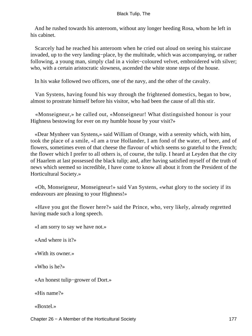And he rushed towards his anteroom, without any longer heeding Rosa, whom he left in his cabinet.

 Scarcely had he reached his anteroom when he cried out aloud on seeing his staircase invaded, up to the very landing−place, by the multitude, which was accompanying, or rather following, a young man, simply clad in a violet−coloured velvet, embroidered with silver; who, with a certain aristocratic slowness, ascended the white stone steps of the house.

In his wake followed two officers, one of the navy, and the other of the cavalry.

 Van Systens, having found his way through the frightened domestics, began to bow, almost to prostrate himself before his visitor, who had been the cause of all this stir.

 «Monseigneur,» he called out, «Monseigneur! What distinguished honour is your Highness bestowing for ever on my humble house by your visit?»

 «Dear Mynheer van Systens,» said William of Orange, with a serenity which, with him, took the place of a smile, «I am a true Hollander, I am fond of the water, of beer, and of flowers, sometimes even of that cheese the flavour of which seems so grateful to the French; the flower which I prefer to all others is, of course, the tulip. I heard at Leyden that the city of Haarlem at last possessed the black tulip; and, after having satisfied myself of the truth of news which seemed so incredible, I have come to know all about it from the President of the Horticultural Society.»

 «Oh, Monseigneur, Monseigneur!» said Van Systens, «what glory to the society if its endeavours are pleasing to your Highness!»

 «Have you got the flower here?» said the Prince, who, very likely, already regretted having made such a long speech.

«I am sorry to say we have not.»

«And where is it?»

«With its owner.»

«Who is he?»

«An honest tulip−grower of Dort.»

«His name?»

«Boxtel.»

Chapter 26 − A Member of the Horticultural Society 177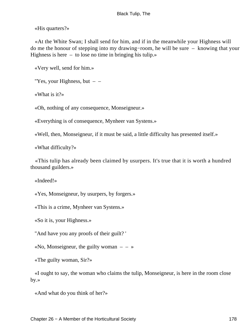«His quarters?»

 «At the White Swan; I shall send for him, and if in the meanwhile your Highness will do me the honour of stepping into my drawing−room, he will be sure – knowing that your Highness is here – to lose no time in bringing his tulip.»

«Very well, send for him.»

"Yes, your Highness, but  $-$ 

«What is it?»

«Oh, nothing of any consequence, Monseigneur.»

«Everything is of consequence, Mynheer van Systens.»

«Well, then, Monseigneur, if it must be said, a little difficulty has presented itself.»

«What difficulty?»

 «This tulip has already been claimed by usurpers. It's true that it is worth a hundred thousand guilders.»

«Indeed!»

«Yes, Monseigneur, by usurpers, by forgers.»

«This is a crime, Mynheer van Systens.»

«So it is, your Highness.»

"And have you any proofs of their guilt? '

«No, Monseigneur, the guilty woman  $- - \infty$ 

«The guilty woman, Sir?»

 «I ought to say, the woman who claims the tulip, Monseigneur, is here in the room close by.»

«And what do you think of her?»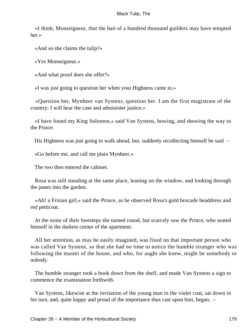«I think, Monseigneur, that the bait of a hundred thousand guilders may have tempted her.»

«And so she claims the tulip?»

«Yes Monseigneur.»

«And what proof does she offer?»

«I was just going to question her when your Highness came in.»

 «Question her, Mynheer van Systens, question her. I am the first magistrate of the country; I will hear the case and administer justice.»

 «I have found my King Solomon,» said Van Systens, bowing, and showing the way to the Prince.

His Highness was just going to walk ahead, but, suddenly recollecting himself he said –

«Go before me, and call me plain Mynheer.»

The two then entered the cabinet.

 Rosa was still standing at the same place, leaning on the window, and looking through the panes into the garden.

 «Ah! a Frisian girl,» said the Prince, as he observed Rosa's gold brocade headdress and red petticoat.

 At the noise of their footsteps she turned round, but scarcely saw the Prince, who seated himself in the darkest corner of the apartment.

 All her attention, as may be easily imagined, was fixed on that important person who was called Van Systens, so that she had no time to notice the humble stranger who was following the master of the house, and who, for aught she knew, might be somebody or nobody.

 The humble stranger took a book down from the shelf, and made Van Systens a sign to commence the examination forthwith.

 Van Systens, likewise at the invitation of the young man in the violet coat, sat down in his turn, and, quite happy and proud of the importance thus cast upon him, began,  $-$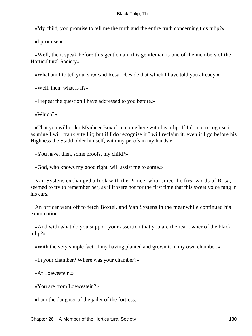«My child, you promise to tell me the truth and the entire truth concerning this tulip?»

«I promise.»

 «Well, then, speak before this gentleman; this gentleman is one of the members of the Horticultural Society.»

«What am I to tell you, sir,» said Rosa, «beside that which I have told you already.»

«Well, then, what is it?»

«I repeat the question I have addressed to you before.»

«Which?»

 «That you will order Mynheer Boxtel to come here with his tulip. If I do not recognise it as mine I will frankly tell it; but if I do recognise it I will reclaim it, even if I go before his Highness the Stadtholder himself, with my proofs in my hands.»

«You have, then, some proofs, my child?»

«God, who knows my good right, will assist me to some.»

 Van Systens exchanged a look with the Prince, who, since the first words of Rosa, seemed to try to remember her, as if it were not for the first time that this sweet voice rang in his ears.

 An officer went off to fetch Boxtel, and Van Systens in the meanwhile continued his examination.

 «And with what do you support your assertion that you are the real owner of the black tulip?»

«With the very simple fact of my having planted and grown it in my own chamber.»

«In your chamber? Where was your chamber?»

«At Loewestein.»

«You are from Loewestein?»

«I am the daughter of the jailer of the fortress.»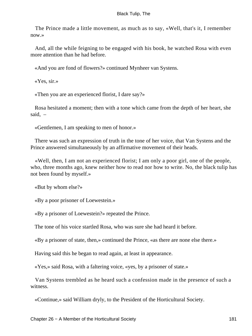The Prince made a little movement, as much as to say, «Well, that's it, I remember now.»

 And, all the while feigning to be engaged with his book, he watched Rosa with even more attention than he had before.

«And you are fond of flowers?» continued Mynheer van Systens.

«Yes, sir.»

«Then you are an experienced florist, I dare say?»

 Rosa hesitated a moment; then with a tone which came from the depth of her heart, she said, –

«Gentlemen, I am speaking to men of honor.»

 There was such an expression of truth in the tone of her voice, that Van Systens and the Prince answered simultaneously by an affirmative movement of their heads.

 «Well, then, I am not an experienced florist; I am only a poor girl, one of the people, who, three months ago, knew neither how to read nor how to write. No, the black tulip has not been found by myself.»

«But by whom else?»

«By a poor prisoner of Loewestein.»

«By a prisoner of Loewestein?» repeated the Prince.

The tone of his voice startled Rosa, who was sure she had heard it before.

«By a prisoner of state, then,» continued the Prince, «as there are none else there.»

Having said this he began to read again, at least in appearance.

«Yes,» said Rosa, with a faltering voice, «yes, by a prisoner of state.»

 Van Systens trembled as he heard such a confession made in the presence of such a witness.

«Continue,» said William dryly, to the President of the Horticultural Society.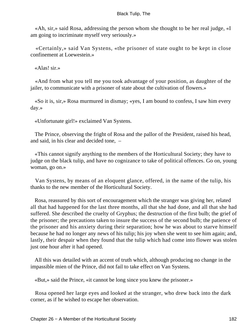«Ah, sir,» said Rosa, addressing the person whom she thought to be her real judge, «I am going to incriminate myself very seriously.»

 «Certainly,» said Van Systens, «the prisoner of state ought to be kept in close confinement at Loewestein.»

«Alas! sir.»

 «And from what you tell me you took advantage of your position, as daughter of the jailer, to communicate with a prisoner of state about the cultivation of flowers.»

 «So it is, sir,» Rosa murmured in dismay; «yes, I am bound to confess, I saw him every day.»

«Unfortunate girl!» exclaimed Van Systens.

 The Prince, observing the fright of Rosa and the pallor of the President, raised his head, and said, in his clear and decided tone, –

 «This cannot signify anything to the members of the Horticultural Society; they have to judge on the black tulip, and have no cognizance to take of political offences. Go on, young woman, go on.»

 Van Systens, by means of an eloquent glance, offered, in the name of the tulip, his thanks to the new member of the Horticultural Society.

 Rosa, reassured by this sort of encouragement which the stranger was giving her, related all that had happened for the last three months, all that she had done, and all that she had suffered. She described the cruelty of Gryphus; the destruction of the first bulb; the grief of the prisoner; the precautions taken to insure the success of the second bulb; the patience of the prisoner and his anxiety during their separation; how he was about to starve himself because he had no longer any news of his tulip; his joy when she went to see him again; and, lastly, their despair when they found that the tulip which had come into flower was stolen just one hour after it had opened.

 All this was detailed with an accent of truth which, although producing no change in the impassible mien of the Prince, did not fail to take effect on Van Systens.

«But,» said the Prince, «it cannot be long since you knew the prisoner.»

 Rosa opened her large eyes and looked at the stranger, who drew back into the dark corner, as if he wished to escape her observation.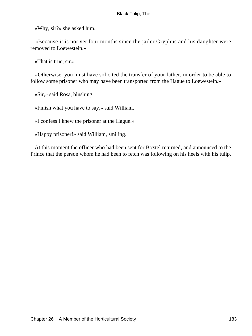«Why, sir?» she asked him.

 «Because it is not yet four months since the jailer Gryphus and his daughter were removed to Loewestein.»

«That is true, sir.»

 «Otherwise, you must have solicited the transfer of your father, in order to be able to follow some prisoner who may have been transported from the Hague to Loewestein.»

«Sir,» said Rosa, blushing.

«Finish what you have to say,» said William.

«I confess I knew the prisoner at the Hague.»

«Happy prisoner!» said William, smiling.

 At this moment the officer who had been sent for Boxtel returned, and announced to the Prince that the person whom he had been to fetch was following on his heels with his tulip.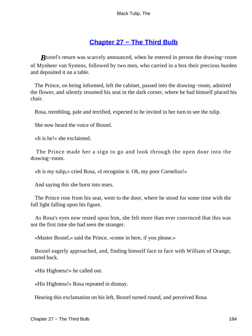## **[Chapter 27 − The Third Bulb](#page-227-0)**

*B*oxtel's return was scarcely announced, when he entered in person the drawing–room of Mynheer van Systens, followed by two men, who carried in a box their precious burden and deposited it on a table.

 The Prince, on being informed, left the cabinet, passed into the drawing−room, admired the flower, and silently resumed his seat in the dark corner, where he had himself placed his chair.

Rosa, trembling, pale and terrified, expected to be invited in her turn to see the tulip.

She now heard the voice of Boxtel.

«It is he!» she exclaimed.

 The Prince made her a sign to go and look through the open door into the drawing−room.

«It is my tulip,» cried Rosa, «I recognise it. Oh, my poor Cornelius!»

And saying this she burst into tears.

 The Prince rose from his seat, went to the door, where he stood for some time with the full light falling upon his figure.

 As Rosa's eyes now rested upon him, she felt more than ever convinced that this was not the first time she had seen the stranger.

«Master Boxtel,» said the Prince, «come in here, if you please.»

 Boxtel eagerly approached, and, finding himself face to face with William of Orange, started back.

«His Highness!» he called out.

«His Highness!» Rosa repeated in dismay.

Hearing this exclamation on his left, Boxtel turned round, and perceived Rosa.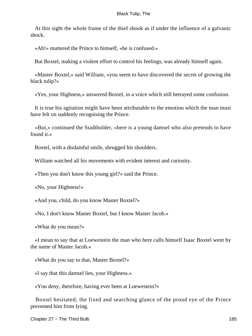At this sight the whole frame of the thief shook as if under the influence of a galvanic shock.

«Ah!» muttered the Prince to himself, «he is confused.»

But Boxtel, making a violent effort to control his feelings, was already himself again.

 «Master Boxtel,» said William, «you seem to have discovered the secret of growing the black tulip?»

«Yes, your Highness,» answered Boxtel, in a voice which still betrayed some confusion.

 It is true his agitation might have been attributable to the emotion which the man must have felt on suddenly recognising the Prince.

 «But,» continued the Stadtholder, «here is a young damsel who also pretends to have found it.»

Boxtel, with a disdainful smile, shrugged his shoulders.

William watched all his movements with evident interest and curiosity.

«Then you don't know this young girl?» said the Prince.

«No, your Highness!»

«And you, child, do you know Master Boxtel?»

«No, I don't know Master Boxtel, but I know Master Jacob.»

«What do you mean?»

 «I mean to say that at Loewestein the man who here calls himself Isaac Boxtel went by the name of Master Jacob.»

«What do you say to that, Master Boxtel?»

«I say that this damsel lies, your Highness.»

«You deny, therefore, having ever been at Loewestein?»

 Boxtel hesitated; the fixed and searching glance of the proud eye of the Prince prevented him from lying.

Chapter 27 – The Third Bulb 185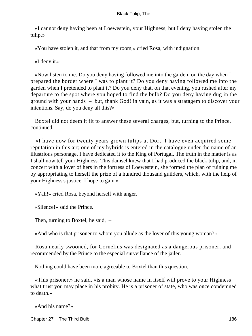«I cannot deny having been at Loewestein, your Highness, but I deny having stolen the tulip.»

«You have stolen it, and that from my room,» cried Rosa, with indignation.

«I deny it.»

 «Now listen to me. Do you deny having followed me into the garden, on the day when I prepared the border where I was to plant it? Do you deny having followed me into the garden when I pretended to plant it? Do you deny that, on that evening, you rushed after my departure to the spot where you hoped to find the bulb? Do you deny having dug in the ground with your hands – but, thank God! in vain, as it was a stratagem to discover your intentions. Say, do you deny all this?»

 Boxtel did not deem it fit to answer these several charges, but, turning to the Prince, continued, –

 «I have now for twenty years grown tulips at Dort. I have even acquired some reputation in this art; one of my hybrids is entered in the catalogue under the name of an illustrious personage. I have dedicated it to the King of Portugal. The truth in the matter is as I shall now tell your Highness. This damsel knew that I had produced the black tulip, and, in concert with a lover of hers in the fortress of Loewestein, she formed the plan of ruining me by appropriating to herself the prize of a hundred thousand guilders, which, with the help of your Highness's justice, I hope to gain.»

«Yah!» cried Rosa, beyond herself with anger.

«Silence!» said the Prince.

Then, turning to Boxtel, he said, –

«And who is that prisoner to whom you allude as the lover of this young woman?»

 Rosa nearly swooned, for Cornelius was designated as a dangerous prisoner, and recommended by the Prince to the especial surveillance of the jailer.

Nothing could have been more agreeable to Boxtel than this question.

 «This prisoner,» he said, «is a man whose name in itself will prove to your Highness what trust you may place in his probity. He is a prisoner of state, who was once condemned to death.»

«And his name?»

Chapter 27 – The Third Bulb 186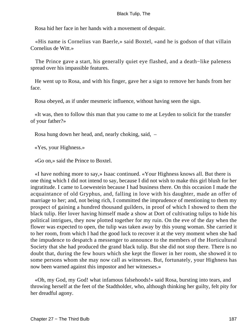Rosa hid her face in her hands with a movement of despair.

 «His name is Cornelius van Baerle,» said Boxtel, «and he is godson of that villain Cornelius de Witt.»

 The Prince gave a start, his generally quiet eye flashed, and a death−like paleness spread over his impassible features.

 He went up to Rosa, and with his finger, gave her a sign to remove her hands from her face.

Rosa obeyed, as if under mesmeric influence, without having seen the sign.

 «It was, then to follow this man that you came to me at Leyden to solicit for the transfer of your father?»

Rosa hung down her head, and, nearly choking, said, –

«Yes, your Highness.»

«Go on,» said the Prince to Boxtel.

 «I have nothing more to say,» Isaac continued. «Your Highness knows all. But there is one thing which I did not intend to say, because I did not wish to make this girl blush for her ingratitude. I came to Loewestein because I had business there. On this occasion I made the acquaintance of old Gryphus, and, falling in love with his daughter, made an offer of marriage to her; and, not being rich, I committed the imprudence of mentioning to them my prospect of gaining a hundred thousand guilders, in proof of which I showed to them the black tulip. Her lover having himself made a show at Dort of cultivating tulips to hide his political intrigues, they now plotted together for my ruin. On the eve of the day when the flower was expected to open, the tulip was taken away by this young woman. She carried it to her room, from which I had the good luck to recover it at the very moment when she had the impudence to despatch a messenger to announce to the members of the Horticultural Society that she had produced the grand black tulip. But she did not stop there. There is no doubt that, during the few hours which she kept the flower in her room, she showed it to some persons whom she may now call as witnesses. But, fortunately, your Highness has now been warned against this impostor and her witnesses.»

 «Oh, my God, my God! what infamous falsehoods!» said Rosa, bursting into tears, and throwing herself at the feet of the Stadtholder, who, although thinking her guilty, felt pity for her dreadful agony.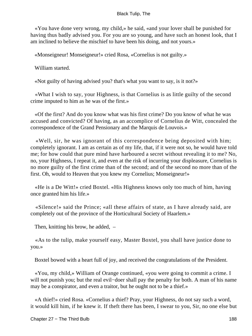«You have done very wrong, my child,» he said, «and your lover shall be punished for having thus badly advised you. For you are so young, and have such an honest look, that I am inclined to believe the mischief to have been his doing, and not yours.»

«Monseigneur! Monseigneur!» cried Rosa, «Cornelius is not guilty.»

William started.

«Not guilty of having advised you? that's what you want to say, is it not?»

 «What I wish to say, your Highness, is that Cornelius is as little guilty of the second crime imputed to him as he was of the first.»

 «Of the first? And do you know what was his first crime? Do you know of what he was accused and convicted? Of having, as an accomplice of Cornelius de Witt, concealed the correspondence of the Grand Pensionary and the Marquis de Louvois.»

 «Well, sir, he was ignorant of this correspondence being deposited with him; completely ignorant. I am as certain as of my life, that, if it were not so, he would have told me; for how could that pure mind have harboured a secret without revealing it to me? No, no, your Highness, I repeat it, and even at the risk of incurring your displeasure, Cornelius is no more guilty of the first crime than of the second; and of the second no more than of the first. Oh, would to Heaven that you knew my Cornelius; Monseigneur!»

 «He is a De Witt!» cried Boxtel. «His Highness knows only too much of him, having once granted him his life.»

 «Silence!» said the Prince; «all these affairs of state, as I have already said, are completely out of the province of the Horticultural Society of Haarlem.»

Then, knitting his brow, he added, –

 «As to the tulip, make yourself easy, Master Boxtel, you shall have justice done to you.»

Boxtel bowed with a heart full of joy, and received the congratulations of the President.

 «You, my child,» William of Orange continued, «you were going to commit a crime. I will not punish you; but the real evil−doer shall pay the penalty for both. A man of his name may be a conspirator, and even a traitor, but he ought not to be a thief.»

 «A thief!» cried Rosa. «Cornelius a thief? Pray, your Highness, do not say such a word, it would kill him, if he knew it. If theft there has been, I swear to you, Sir, no one else but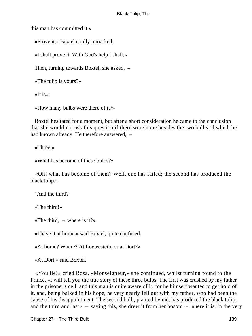this man has committed it.»

«Prove it,» Boxtel coolly remarked.

«I shall prove it. With God's help I shall.»

Then, turning towards Boxtel, she asked, –

«The tulip is yours?»

«It is.»

«How many bulbs were there of it?»

 Boxtel hesitated for a moment, but after a short consideration he came to the conclusion that she would not ask this question if there were none besides the two bulbs of which he had known already. He therefore answered,  $-$ 

«Three.»

«What has become of these bulbs?»

 «Oh! what has become of them? Well, one has failed; the second has produced the black tulip.»

"And the third?

«The third!»

«The third,  $-$  where is it?»

«I have it at home,» said Boxtel, quite confused.

«At home? Where? At Loewestein, or at Dort?»

«At Dort,» said Boxtel.

 «You lie!» cried Rosa. «Monseigneur,» she continued, whilst turning round to the Prince, «I will tell you the true story of these three bulbs. The first was crushed by my father in the prisoner's cell, and this man is quite aware of it, for he himself wanted to get hold of it, and, being balked in his hope, he very nearly fell out with my father, who had been the cause of his disappointment. The second bulb, planted by me, has produced the black tulip, and the third and last  $\sim$  - saying this, she drew it from her bosom  $-$  «here it is, in the very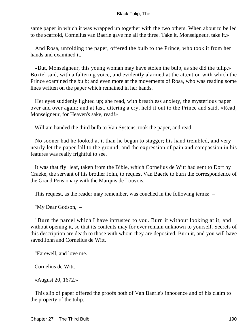same paper in which it was wrapped up together with the two others. When about to be led to the scaffold, Cornelius van Baerle gave me all the three. Take it, Monseigneur, take it.»

 And Rosa, unfolding the paper, offered the bulb to the Prince, who took it from her hands and examined it.

 «But, Monseigneur, this young woman may have stolen the bulb, as she did the tulip,» Boxtel said, with a faltering voice, and evidently alarmed at the attention with which the Prince examined the bulb; and even more at the movements of Rosa, who was reading some lines written on the paper which remained in her hands.

 Her eyes suddenly lighted up; she read, with breathless anxiety, the mysterious paper over and over again; and at last, uttering a cry, held it out to the Prince and said, «Read, Monseigneur, for Heaven's sake, read!»

William handed the third bulb to Van Systens, took the paper, and read.

 No sooner had he looked at it than he began to stagger; his hand trembled, and very nearly let the paper fall to the ground; and the expression of pain and compassion in his features was really frightful to see.

 It was that fly−leaf, taken from the Bible, which Cornelius de Witt had sent to Dort by Craeke, the servant of his brother John, to request Van Baerle to burn the correspondence of the Grand Pensionary with the Marquis de Louvois.

This request, as the reader may remember, was couched in the following terms: –

"My Dear Godson, –

 "Burn the parcel which I have intrusted to you. Burn it without looking at it, and without opening it, so that its contents may for ever remain unknown to yourself. Secrets of this description are death to those with whom they are deposited. Burn it, and you will have saved John and Cornelius de Witt.

"Farewell, and love me.

Cornelius de Witt.

«August 20, 1672.»

 This slip of paper offered the proofs both of Van Baerle's innocence and of his claim to the property of the tulip.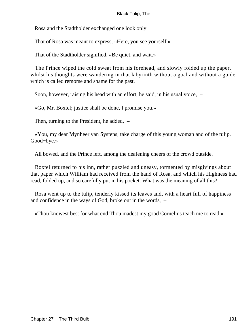Rosa and the Stadtholder exchanged one look only.

That of Rosa was meant to express, «Here, you see yourself.»

That of the Stadtholder signified, «Be quiet, and wait.»

 The Prince wiped the cold sweat from his forehead, and slowly folded up the paper, whilst his thoughts were wandering in that labyrinth without a goal and without a guide, which is called remorse and shame for the past.

Soon, however, raising his head with an effort, he said, in his usual voice, –

«Go, Mr. Boxtel; justice shall be done, I promise you.»

Then, turning to the President, he added, –

 «You, my dear Mynheer van Systens, take charge of this young woman and of the tulip. Good−bye.»

All bowed, and the Prince left, among the deafening cheers of the crowd outside.

 Boxtel returned to his inn, rather puzzled and uneasy, tormented by misgivings about that paper which William had received from the hand of Rosa, and which his Highness had read, folded up, and so carefully put in his pocket. What was the meaning of all this?

 Rosa went up to the tulip, tenderly kissed its leaves and, with a heart full of happiness and confidence in the ways of God, broke out in the words, –

«Thou knowest best for what end Thou madest my good Cornelius teach me to read.»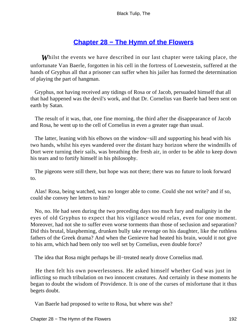# **[Chapter 28 − The Hymn of the Flowers](#page-227-0)**

*W*hilst the events we have described in our last chapter were taking place, the unfortunate Van Baerle, forgotten in his cell in the fortress of Loewestein, suffered at the hands of Gryphus all that a prisoner can suffer when his jailer has formed the determination of playing the part of hangman.

 Gryphus, not having received any tidings of Rosa or of Jacob, persuaded himself that all that had happened was the devil's work, and that Dr. Cornelius van Baerle had been sent on earth by Satan.

 The result of it was, that, one fine morning, the third after the disappearance of Jacob and Rosa, he went up to the cell of Cornelius in even a greater rage than usual.

 The latter, leaning with his elbows on the window−sill and supporting his head with his two hands, whilst his eyes wandered over the distant hazy horizon where the windmills of Dort were turning their sails, was breathing the fresh air, in order to be able to keep down his tears and to fortify himself in his philosophy.

 The pigeons were still there, but hope was not there; there was no future to look forward to.

 Alas! Rosa, being watched, was no longer able to come. Could she not write? and if so, could she convey her letters to him?

 No, no. He had seen during the two preceding days too much fury and malignity in the eyes of old Gryphus to expect that his vigilance would relax, even for one moment. Moreover, had not she to suffer even worse torments than those of seclusion and separation? Did this brutal, blaspheming, drunken bully take revenge on his daughter, like the ruthless fathers of the Greek drama? And when the Genievre had heated his brain, would it not give to his arm, which had been only too well set by Cornelius, even double force?

The idea that Rosa might perhaps be ill−treated nearly drove Cornelius mad.

 He then felt his own powerlessness. He asked himself whether God was just in inflicting so much tribulation on two innocent creatures. And certainly in these moments he began to doubt the wisdom of Providence. It is one of the curses of misfortune that it thus begets doubt.

Van Baerle had proposed to write to Rosa, but where was she?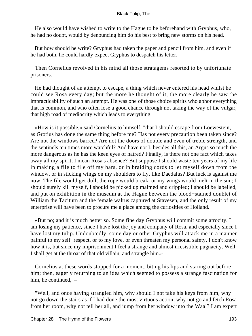He also would have wished to write to the Hague to be beforehand with Gryphus, who, he had no doubt, would by denouncing him do his best to bring new storms on his head.

 But how should he write? Gryphus had taken the paper and pencil from him, and even if he had both, he could hardly expect Gryphus to despatch his letter.

 Then Cornelius revolved in his mind all those stratagems resorted to by unfortunate prisoners.

 He had thought of an attempt to escape, a thing which never entered his head whilst he could see Rosa every day; but the more he thought of it, the more clearly he saw the impracticability of such an attempt. He was one of those choice spirits who abhor everything that is common, and who often lose a good chance through not taking the way of the vulgar, that high road of mediocrity which leads to everything.

 «How is it possible,» said Cornelius to himself, "that I should escape from Loewestein, as Grotius has done the same thing before me? Has not every precaution been taken since? Are not the windows barred? Are not the doors of double and even of treble strength, and the sentinels ten times more watchful? And have not I, besides all this, an Argus so much the more dangerous as he has the keen eyes of hatred? Finally, is there not one fact which takes away all my spirit, I mean Rosa's absence? But suppose I should waste ten years of my life in making a file to file off my bars, or in braiding cords to let myself down from the window, or in sticking wings on my shoulders to fly, like Daedalus? But luck is against me now. The file would get dull, the rope would break, or my wings would melt in the sun; I should surely kill myself, I should be picked up maimed and crippled; I should be labelled, and put on exhibition in the museum at the Hague between the blood−stained doublet of William the Taciturn and the female walrus captured at Stavesen, and the only result of my enterprise will have been to procure me a place among the curiosities of Holland.

 «But no; and it is much better so. Some fine day Gryphus will commit some atrocity. I am losing my patience, since I have lost the joy and company of Rosa, and especially since I have lost my tulip. Undoubtedly, some day or other Gryphus will attack me in a manner painful to my self−respect, or to my love, or even threaten my personal safety. I don't know how it is, but since my imprisonment I feel a strange and almost irresistible pugnacity. Well, I shall get at the throat of that old villain, and strangle him.»

 Cornelius at these words stopped for a moment, biting his lips and staring out before him; then, eagerly returning to an idea which seemed to possess a strange fascination for him, he continued,  $-$ 

 "Well, and once having strangled him, why should I not take his keys from him, why not go down the stairs as if I had done the most virtuous action, why not go and fetch Rosa from her room, why not tell her all, and jump from her window into the Waal? I am expert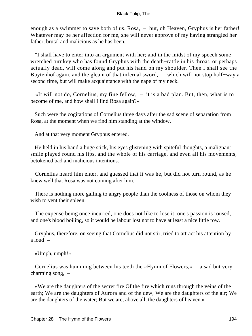enough as a swimmer to save both of us. Rosa, – but, oh Heaven, Gryphus is her father! Whatever may be her affection for me, she will never approve of my having strangled her father, brutal and malicious as he has been.

 "I shall have to enter into an argument with her; and in the midst of my speech some wretched turnkey who has found Gryphus with the death−rattle in his throat, or perhaps actually dead, will come along and put his hand on my shoulder. Then I shall see the Buytenhof again, and the gleam of that infernal sword, – which will not stop half−way a second time, but will make acquaintance with the nape of my neck.

 «It will not do, Cornelius, my fine fellow, – it is a bad plan. But, then, what is to become of me, and how shall I find Rosa again?»

 Such were the cogitations of Cornelius three days after the sad scene of separation from Rosa, at the moment when we find him standing at the window.

And at that very moment Gryphus entered.

 He held in his hand a huge stick, his eyes glistening with spiteful thoughts, a malignant smile played round his lips, and the whole of his carriage, and even all his movements, betokened bad and malicious intentions.

 Cornelius heard him enter, and guessed that it was he, but did not turn round, as he knew well that Rosa was not coming after him.

 There is nothing more galling to angry people than the coolness of those on whom they wish to vent their spleen.

 The expense being once incurred, one does not like to lose it; one's passion is roused, and one's blood boiling, so it would be labour lost not to have at least a nice little row.

 Gryphus, therefore, on seeing that Cornelius did not stir, tried to attract his attention by a loud –

«Umph, umph!»

Cornelius was humming between his teeth the «Hymn of Flowers,»  $-$  a sad but very charming song, –

 «We are the daughters of the secret fire Of the fire which runs through the veins of the earth; We are the daughters of Aurora and of the dew; We are the daughters of the air; We are the daughters of the water; But we are, above all, the daughters of heaven.»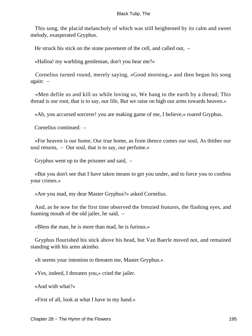This song, the placid melancholy of which was still heightened by its calm and sweet melody, exasperated Gryphus.

He struck his stick on the stone pavement of the cell, and called out, –

«Halloa! my warbling gentleman, don't you hear me?»

 Cornelius turned round, merely saying, «Good morning,» and then began his song again: –

 «Men defile us and kill us while loving us, We hang to the earth by a thread; This thread is our root, that is to say, our life, But we raise on high our arms towards heaven.»

«Ah, you accursed sorcerer! you are making game of me, I believe,» roared Gryphus.

Cornelius continued: –

 «For heaven is our home, Our true home, as from thence comes our soul, As thither our soul returns, – Our soul, that is to say, our perfume.»

Gryphus went up to the prisoner and said, –

 «But you don't see that I have taken means to get you under, and to force you to confess your crimes.»

«Are you mad, my dear Master Gryphus?» asked Cornelius.

 And, as he now for the first time observed the frenzied features, the flashing eyes, and foaming mouth of the old jailer, he said, –

«Bless the man, he is more than mad, he is furious.»

 Gryphus flourished his stick above his head, but Van Baerle moved not, and remained standing with his arms akimbo.

«It seems your intention to threaten me, Master Gryphus.»

«Yes, indeed, I threaten you,» cried the jailer.

«And with what?»

«First of all, look at what I have in my hand.»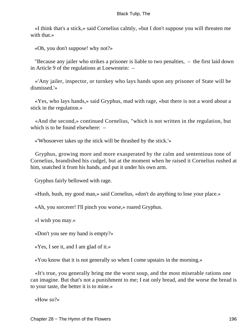«I think that's a stick,» said Cornelius calmly, «but I don't suppose you will threaten me with that.»

«Oh, you don't suppose! why not?»

 "Because any jailer who strikes a prisoner is liable to two penalties, – the first laid down in Article 9 of the regulations at Loewestein: –

 «'Any jailer, inspector, or turnkey who lays hands upon any prisoner of State will be dismissed.'»

 «Yes, who lays hands,» said Gryphus, mad with rage, «but there is not a word about a stick in the regulation.»

 «And the second,» continued Cornelius, "which is not written in the regulation, but which is to be found elsewhere: –

«'Whosoever takes up the stick will be thrashed by the stick.'»

 Gryphus, growing more and more exasperated by the calm and sententious tone of Cornelius, brandished his cudgel, but at the moment when he raised it Cornelius rushed at him, snatched it from his hands, and put it under his own arm.

Gryphus fairly bellowed with rage.

«Hush, hush, my good man,» said Cornelius, «don't do anything to lose your place.»

«Ah, you sorcerer! I'll pinch you worse,» roared Gryphus.

«I wish you may.»

«Don't you see my hand is empty?»

«Yes, I see it, and I am glad of it.»

«You know that it is not generally so when I come upstairs in the morning.»

 «It's true, you generally bring me the worst soup, and the most miserable rations one can imagine. But that's not a punishment to me; I eat only bread, and the worse the bread is to your taste, the better it is to mine.»

«How so?»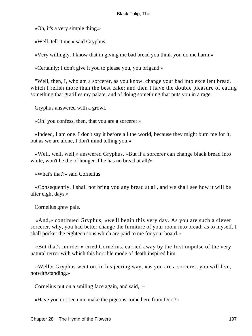«Oh, it's a very simple thing.»

«Well, tell it me,» said Gryphus.

«Very willingly. I know that in giving me bad bread you think you do me harm.»

«Certainly; I don't give it you to please you, you brigand.»

 "Well, then, I, who am a sorcerer, as you know, change your bad into excellent bread, which I relish more than the best cake; and then I have the double pleasure of eating something that gratifies my palate, and of doing something that puts you in a rage.

Gryphus answered with a growl.

«Oh! you confess, then, that you are a sorcerer.»

 «Indeed, I am one. I don't say it before all the world, because they might burn me for it, but as we are alone, I don't mind telling you.»

 «Well, well, well,» answered Gryphus. «But if a sorcerer can change black bread into white, won't he die of hunger if he has no bread at all?»

«What's that?» said Cornelius.

 «Consequently, I shall not bring you any bread at all, and we shall see how it will be after eight days.»

Cornelius grew pale.

 «And,» continued Gryphus, «we'll begin this very day. As you are such a clever sorcerer, why, you had better change the furniture of your room into bread; as to myself, I shall pocket the eighteen sous which are paid to me for your board.»

 «But that's murder,» cried Cornelius, carried away by the first impulse of the very natural terror with which this horrible mode of death inspired him.

 «Well,» Gryphus went on, in his jeering way, «as you are a sorcerer, you will live, notwithstanding.»

Cornelius put on a smiling face again, and said, –

«Have you not seen me make the pigeons come here from Dort?»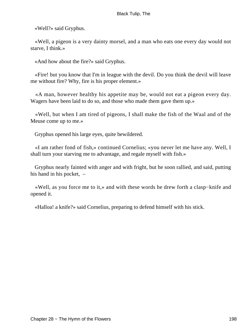«Well?» said Gryphus.

 «Well, a pigeon is a very dainty morsel, and a man who eats one every day would not starve, I think.»

«And how about the fire?» said Gryphus.

 «Fire! but you know that I'm in league with the devil. Do you think the devil will leave me without fire? Why, fire is his proper element.»

 «A man, however healthy his appetite may be, would not eat a pigeon every day. Wagers have been laid to do so, and those who made them gave them up.»

 «Well, but when I am tired of pigeons, I shall make the fish of the Waal and of the Meuse come up to me.»

Gryphus opened his large eyes, quite bewildered.

 «I am rather fond of fish,» continued Cornelius; «you never let me have any. Well, I shall turn your starving me to advantage, and regale myself with fish.»

 Gryphus nearly fainted with anger and with fright, but he soon rallied, and said, putting his hand in his pocket,  $-$ 

 «Well, as you force me to it,» and with these words he drew forth a clasp−knife and opened it.

«Halloa! a knife?» said Cornelius, preparing to defend himself with his stick.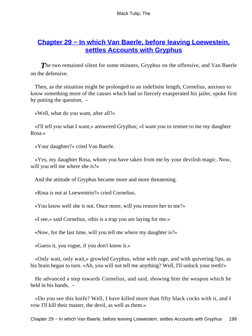## **[Chapter 29 − In which Van Baerle, before leaving Loewestein,](#page-227-0) [settles Accounts with Gryphus](#page-227-0)**

**The two remained silent for some minutes, Gryphus on the offensive, and Van Baerle** on the defensive.

 Then, as the situation might be prolonged to an indefinite length, Cornelius, anxious to know something more of the causes which had so fiercely exasperated his jailer, spoke first by putting the question, –

«Well, what do you want, after all?»

 «I'll tell you what I want,» answered Gryphus; «I want you to restore to me my daughter Rosa.»

«Your daughter?» cried Van Baerle.

 «Yes, my daughter Rosa, whom you have taken from me by your devilish magic. Now, will you tell me where she is?»

And the attitude of Gryphus became more and more threatening.

«Rosa is not at Loewestein?» cried Cornelius.

«You know well she is not. Once more, will you restore her to me?»

«I see,» said Cornelius, «this is a trap you are laying for me.»

«Now, for the last time, will you tell me where my daughter is?»

«Guess it, you rogue, if you don't know it.»

 «Only wait, only wait,» growled Gryphus, white with rage, and with quivering lips, as his brain began to turn. «Ah, you will not tell me anything? Well, I'll unlock your teeth!»

 He advanced a step towards Cornelius, and said, showing him the weapon which he held in his hands. –

 «Do you see this knife? Well, I have killed more than fifty black cocks with it, and I vow I'll kill their master, the devil, as well as them.»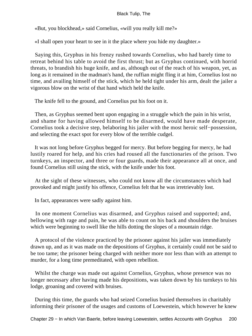«But, you blockhead,» said Cornelius, «will you really kill me?»

«I shall open your heart to see in it the place where you hide my daughter.»

 Saying this, Gryphus in his frenzy rushed towards Cornelius, who had barely time to retreat behind his table to avoid the first thrust; but as Gryphus continued, with horrid threats, to brandish his huge knife, and as, although out of the reach of his weapon, yet, as long as it remained in the madman's hand, the ruffian might fling it at him, Cornelius lost no time, and availing himself of the stick, which he held tight under his arm, dealt the jailer a vigorous blow on the wrist of that hand which held the knife.

The knife fell to the ground, and Cornelius put his foot on it.

 Then, as Gryphus seemed bent upon engaging in a struggle which the pain in his wrist, and shame for having allowed himself to be disarmed, would have made desperate, Cornelius took a decisive step, belaboring his jailer with the most heroic self−possession, and selecting the exact spot for every blow of the terrible cudgel.

 It was not long before Gryphus begged for mercy. But before begging for mercy, he had lustily roared for help, and his cries had roused all the functionaries of the prison. Two turnkeys, an inspector, and three or four guards, made their appearance all at once, and found Cornelius still using the stick, with the knife under his foot.

 At the sight of these witnesses, who could not know all the circumstances which had provoked and might justify his offence, Cornelius felt that he was irretrievably lost.

In fact, appearances were sadly against him.

 In one moment Cornelius was disarmed, and Gryphus raised and supported; and, bellowing with rage and pain, he was able to count on his back and shoulders the bruises which were beginning to swell like the hills dotting the slopes of a mountain ridge.

 A protocol of the violence practiced by the prisoner against his jailer was immediately drawn up, and as it was made on the depositions of Gryphus, it certainly could not be said to be too tame; the prisoner being charged with neither more nor less than with an attempt to murder, for a long time premeditated, with open rebellion.

Whilst the charge was made out against Cornelius, Gryphus, whose presence was no longer necessary after having made his depositions, was taken down by his turnkeys to his lodge, groaning and covered with bruises.

 During this time, the guards who had seized Cornelius busied themselves in charitably informing their prisoner of the usages and customs of Loewestein, which however he knew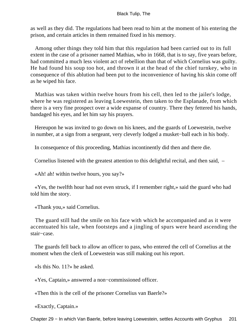as well as they did. The regulations had been read to him at the moment of his entering the prison, and certain articles in them remained fixed in his memory.

 Among other things they told him that this regulation had been carried out to its full extent in the case of a prisoner named Mathias, who in 1668, that is to say, five years before, had committed a much less violent act of rebellion than that of which Cornelius was guilty. He had found his soup too hot, and thrown it at the head of the chief turnkey, who in consequence of this ablution had been put to the inconvenience of having his skin come off as he wiped his face.

 Mathias was taken within twelve hours from his cell, then led to the jailer's lodge, where he was registered as leaving Loewestein, then taken to the Esplanade, from which there is a very fine prospect over a wide expanse of country. There they fettered his hands, bandaged his eyes, and let him say his prayers.

 Hereupon he was invited to go down on his knees, and the guards of Loewestein, twelve in number, at a sign from a sergeant, very cleverly lodged a musket−ball each in his body.

In consequence of this proceeding, Mathias incontinently did then and there die.

Cornelius listened with the greatest attention to this delightful recital, and then said, –

«Ah! ah! within twelve hours, you say?»

 «Yes, the twelfth hour had not even struck, if I remember right,» said the guard who had told him the story.

«Thank you,» said Cornelius.

 The guard still had the smile on his face with which he accompanied and as it were accentuated his tale, when footsteps and a jingling of spurs were heard ascending the stair−case.

 The guards fell back to allow an officer to pass, who entered the cell of Cornelius at the moment when the clerk of Loewestein was still making out his report.

«Is this No. 11?» he asked.

«Yes, Captain,» answered a non−commissioned officer.

«Then this is the cell of the prisoner Cornelius van Baerle?»

«Exactly, Captain.»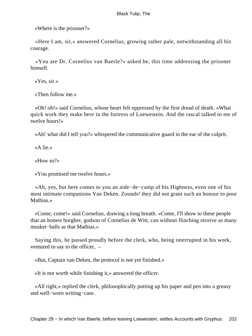«Where is the prisoner?»

 «Here I am, sir,» answered Cornelius, growing rather pale, notwithstanding all his courage.

 «You are Dr. Cornelius van Baerle?» asked he, this time addressing the prisoner himself.

«Yes, sir.»

«Then follow me.»

 «Oh! oh!» said Cornelius, whose heart felt oppressed by the first dread of death. «What quick work they make here in the fortress of Loewestein. And the rascal talked to me of twelve hours!»

«Ah! what did I tell you?» whispered the communicative guard in the ear of the culprit.

«A lie.»

«How so?»

«You promised me twelve hours.»

 «Ah, yes, but here comes to you an aide−de−camp of his Highness, even one of his most intimate companions Van Deken. Zounds! they did not grant such an honour to poor Mathias.»

 «Come, come!» said Cornelius, drawing a long breath. «Come, I'll show to these people that an honest burgher, godson of Cornelius de Witt, can without flinching receive as many musket−balls as that Mathias.»

 Saying this, he passed proudly before the clerk, who, being interrupted in his work, ventured to say to the officer, –

«But, Captain van Deken, the protocol is not yet finished.»

«It is not worth while finishing it,» answered the officer.

 «All right,» replied the clerk, philosophically putting up his paper and pen into a greasy and well−worn writing−case.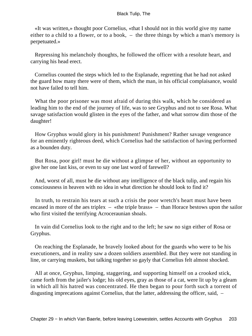«It was written,» thought poor Cornelius, «that I should not in this world give my name either to a child to a flower, or to a book, – the three things by which a man's memory is perpetuated.»

 Repressing his melancholy thoughts, he followed the officer with a resolute heart, and carrying his head erect.

 Cornelius counted the steps which led to the Esplanade, regretting that he had not asked the guard how many there were of them, which the man, in his official complaisance, would not have failed to tell him.

What the poor prisoner was most afraid of during this walk, which he considered as leading him to the end of the journey of life, was to see Gryphus and not to see Rosa. What savage satisfaction would glisten in the eyes of the father, and what sorrow dim those of the daughter!

 How Gryphus would glory in his punishment! Punishment? Rather savage vengeance for an eminently righteous deed, which Cornelius had the satisfaction of having performed as a bounden duty.

 But Rosa, poor girl! must he die without a glimpse of her, without an opportunity to give her one last kiss, or even to say one last word of farewell?

 And, worst of all, must he die without any intelligence of the black tulip, and regain his consciousness in heaven with no idea in what direction he should look to find it?

 In truth, to restrain his tears at such a crisis the poor wretch's heart must have been encased in more of the aes triplex – «the triple brass» – than Horace bestows upon the sailor who first visited the terrifying Acroceraunian shoals.

 In vain did Cornelius look to the right and to the left; he saw no sign either of Rosa or Gryphus.

 On reaching the Esplanade, he bravely looked about for the guards who were to be his executioners, and in reality saw a dozen soldiers assembled. But they were not standing in line, or carrying muskets, but talking together so gayly that Cornelius felt almost shocked.

 All at once, Gryphus, limping, staggering, and supporting himself on a crooked stick, came forth from the jailer's lodge; his old eyes, gray as those of a cat, were lit up by a gleam in which all his hatred was concentrated. He then began to pour forth such a torrent of disgusting imprecations against Cornelius, that the latter, addressing the officer, said, –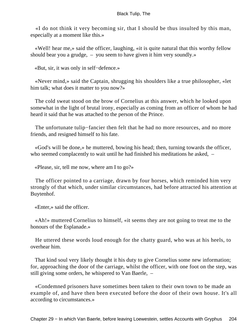«I do not think it very becoming sir, that I should be thus insulted by this man, especially at a moment like this.»

 «Well! hear me,» said the officer, laughing, «it is quite natural that this worthy fellow should bear you a grudge, – you seem to have given it him very soundly.»

«But, sir, it was only in self−defence.»

 «Never mind,» said the Captain, shrugging his shoulders like a true philosopher, «let him talk; what does it matter to you now?»

 The cold sweat stood on the brow of Cornelius at this answer, which he looked upon somewhat in the light of brutal irony, especially as coming from an officer of whom he had heard it said that he was attached to the person of the Prince.

 The unfortunate tulip−fancier then felt that he had no more resources, and no more friends, and resigned himself to his fate.

 «God's will be done,» he muttered, bowing his head; then, turning towards the officer, who seemed complacently to wait until he had finished his meditations he asked,  $-$ 

«Please, sir, tell me now, where am I to go?»

 The officer pointed to a carriage, drawn by four horses, which reminded him very strongly of that which, under similar circumstances, had before attracted his attention at Buytenhof.

«Enter,» said the officer.

 «Ah!» muttered Cornelius to himself, «it seems they are not going to treat me to the honours of the Esplanade.»

 He uttered these words loud enough for the chatty guard, who was at his heels, to overhear him.

 That kind soul very likely thought it his duty to give Cornelius some new information; for, approaching the door of the carriage, whilst the officer, with one foot on the step, was still giving some orders, he whispered to Van Baerle, –

 «Condemned prisoners have sometimes been taken to their own town to be made an example of, and have then been executed before the door of their own house. It's all according to circumstances.»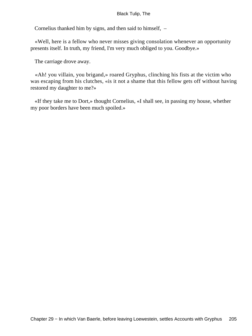Cornelius thanked him by signs, and then said to himself, –

 «Well, here is a fellow who never misses giving consolation whenever an opportunity presents itself. In truth, my friend, I'm very much obliged to you. Goodbye.»

The carriage drove away.

 «Ah! you villain, you brigand,» roared Gryphus, clinching his fists at the victim who was escaping from his clutches, «is it not a shame that this fellow gets off without having restored my daughter to me?»

 «If they take me to Dort,» thought Cornelius, «I shall see, in passing my house, whether my poor borders have been much spoiled.»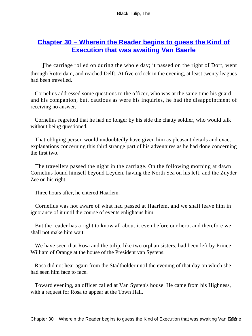## **[Chapter 30 − Wherein the Reader begins to guess the Kind of](#page-227-0) [Execution that was awaiting Van Baerle](#page-227-0)**

**The carriage rolled on during the whole day; it passed on the right of Dort, went** through Rotterdam, and reached Delft. At five o'clock in the evening, at least twenty leagues had been travelled.

 Cornelius addressed some questions to the officer, who was at the same time his guard and his companion; but, cautious as were his inquiries, he had the disappointment of receiving no answer.

 Cornelius regretted that he had no longer by his side the chatty soldier, who would talk without being questioned.

 That obliging person would undoubtedly have given him as pleasant details and exact explanations concerning this third strange part of his adventures as he had done concerning the first two.

 The travellers passed the night in the carriage. On the following morning at dawn Cornelius found himself beyond Leyden, having the North Sea on his left, and the Zuyder Zee on his right.

Three hours after, he entered Haarlem.

 Cornelius was not aware of what had passed at Haarlem, and we shall leave him in ignorance of it until the course of events enlightens him.

 But the reader has a right to know all about it even before our hero, and therefore we shall not make him wait.

 We have seen that Rosa and the tulip, like two orphan sisters, had been left by Prince William of Orange at the house of the President van Systens.

 Rosa did not hear again from the Stadtholder until the evening of that day on which she had seen him face to face.

 Toward evening, an officer called at Van Systen's house. He came from his Highness, with a request for Rosa to appear at the Town Hall.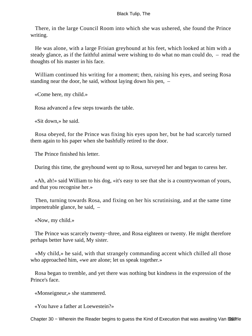There, in the large Council Room into which she was ushered, she found the Prince writing.

 He was alone, with a large Frisian greyhound at his feet, which looked at him with a steady glance, as if the faithful animal were wishing to do what no man could do, – read the thoughts of his master in his face.

 William continued his writing for a moment; then, raising his eyes, and seeing Rosa standing near the door, he said, without laying down his pen, –

«Come here, my child.»

Rosa advanced a few steps towards the table.

«Sit down,» he said.

 Rosa obeyed, for the Prince was fixing his eyes upon her, but he had scarcely turned them again to his paper when she bashfully retired to the door.

The Prince finished his letter.

During this time, the greyhound went up to Rosa, surveyed her and began to caress her.

 «Ah, ah!» said William to his dog, «it's easy to see that she is a countrywoman of yours, and that you recognise her.»

 Then, turning towards Rosa, and fixing on her his scrutinising, and at the same time impenetrable glance, he said, –

«Now, my child.»

 The Prince was scarcely twenty−three, and Rosa eighteen or twenty. He might therefore perhaps better have said, My sister.

 «My child,» he said, with that strangely commanding accent which chilled all those who approached him, «we are alone; let us speak together.»

 Rosa began to tremble, and yet there was nothing but kindness in the expression of the Prince's face.

«Monseigneur,» she stammered.

«You have a father at Loewestein?»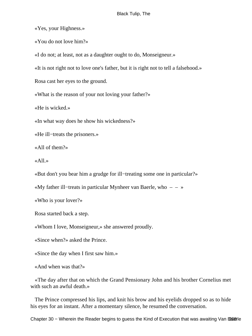«Yes, your Highness.»

«You do not love him?»

«I do not; at least, not as a daughter ought to do, Monseigneur.»

«It is not right not to love one's father, but it is right not to tell a falsehood.»

Rosa cast her eyes to the ground.

«What is the reason of your not loving your father?»

«He is wicked.»

«In what way does he show his wickedness?»

«He ill−treats the prisoners.»

«All of them?»

«All.»

«But don't you bear him a grudge for ill−treating some one in particular?»

«My father ill−treats in particular Mynheer van Baerle, who – – »

«Who is your lover?»

Rosa started back a step.

«Whom I love, Monseigneur,» she answered proudly.

«Since when?» asked the Prince.

«Since the day when I first saw him.»

«And when was that?»

 «The day after that on which the Grand Pensionary John and his brother Cornelius met with such an awful death.»

 The Prince compressed his lips, and knit his brow and his eyelids dropped so as to hide his eyes for an instant. After a momentary silence, he resumed the conversation.

Chapter 30 – Wherein the Reader begins to guess the Kind of Execution that was awaiting Van Banerle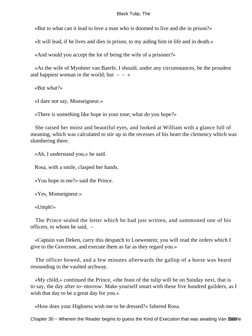«But to what can it lead to love a man who is doomed to live and die in prison?»

«It will lead, if he lives and dies in prison, to my aiding him in life and in death.»

«And would you accept the lot of being the wife of a prisoner?»

 «As the wife of Mynheer van Baerle, I should, under any circumstances, be the proudest and happiest woman in the world; but  $- - \infty$ 

«But what?»

«I dare not say, Monseigneur.»

«There is something like hope in your tone; what do you hope?»

 She raised her moist and beautiful eyes, and looked at William with a glance full of meaning, which was calculated to stir up in the recesses of his heart the clemency which was slumbering there.

«Ah, I understand you,» he said.

Rosa, with a smile, clasped her hands.

«You hope in me?» said the Prince.

«Yes, Monseigneur.»

«Umph!»

 The Prince sealed the letter which he had just written, and summoned one of his officers, to whom he said, –

 «Captain van Deken, carry this despatch to Loewestein; you will read the orders which I give to the Governor, and execute them as far as they regard you.»

 The officer bowed, and a few minutes afterwards the gallop of a horse was heard resounding in the vaulted archway.

 «My child,» continued the Prince, «the feast of the tulip will be on Sunday next, that is to say, the day after to−morrow. Make yourself smart with these five hundred guilders, as I wish that day to be a great day for you.»

«How does your Highness wish me to be dressed?» faltered Rosa.

Chapter 30 – Wherein the Reader begins to guess the Kind of Execution that was awaiting Van Banerle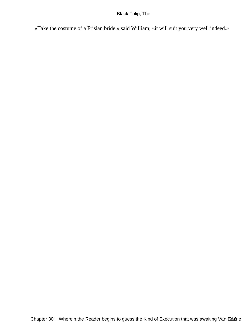«Take the costume of a Frisian bride.» said William; «it will suit you very well indeed.»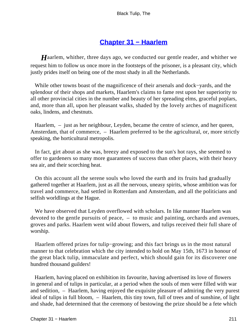## **[Chapter 31 − Haarlem](#page-227-0)**

*H*aarlem, whither, three days ago, we conducted our gentle reader, and whither we request him to follow us once more in the footsteps of the prisoner, is a pleasant city, which justly prides itself on being one of the most shady in all the Netherlands.

 While other towns boast of the magnificence of their arsenals and dock−yards, and the splendour of their shops and markets, Haarlem's claims to fame rest upon her superiority to all other provincial cities in the number and beauty of her spreading elms, graceful poplars, and, more than all, upon her pleasant walks, shaded by the lovely arches of magnificent oaks, lindens, and chestnuts.

Haarlem,  $-$  just as her neighbour, Leyden, became the centre of science, and her queen, Amsterdam, that of commerce, – Haarlem preferred to be the agricultural, or, more strictly speaking, the horticultural metropolis.

 In fact, girt about as she was, breezy and exposed to the sun's hot rays, she seemed to offer to gardeners so many more guarantees of success than other places, with their heavy sea air, and their scorching heat.

 On this account all the serene souls who loved the earth and its fruits had gradually gathered together at Haarlem, just as all the nervous, uneasy spirits, whose ambition was for travel and commerce, had settled in Rotterdam and Amsterdam, and all the politicians and selfish worldlings at the Hague.

 We have observed that Leyden overflowed with scholars. In like manner Haarlem was devoted to the gentle pursuits of peace, – to music and painting, orchards and avenues, groves and parks. Haarlem went wild about flowers, and tulips received their full share of worship.

 Haarlem offered prizes for tulip−growing; and this fact brings us in the most natural manner to that celebration which the city intended to hold on May 15th, 1673 in honour of the great black tulip, immaculate and perfect, which should gain for its discoverer one hundred thousand guilders!

 Haarlem, having placed on exhibition its favourite, having advertised its love of flowers in general and of tulips in particular, at a period when the souls of men were filled with war and sedition, – Haarlem, having enjoyed the exquisite pleasure of admiring the very purest ideal of tulips in full bloom, – Haarlem, this tiny town, full of trees and of sunshine, of light and shade, had determined that the ceremony of bestowing the prize should be a fete which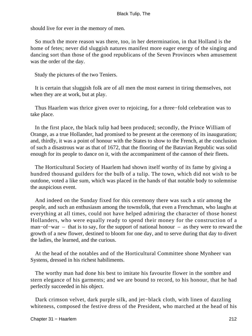should live for ever in the memory of men.

 So much the more reason was there, too, in her determination, in that Holland is the home of fetes; never did sluggish natures manifest more eager energy of the singing and dancing sort than those of the good republicans of the Seven Provinces when amusement was the order of the day.

Study the pictures of the two Teniers.

 It is certain that sluggish folk are of all men the most earnest in tiring themselves, not when they are at work, but at play.

 Thus Haarlem was thrice given over to rejoicing, for a three−fold celebration was to take place.

 In the first place, the black tulip had been produced; secondly, the Prince William of Orange, as a true Hollander, had promised to be present at the ceremony of its inauguration; and, thirdly, it was a point of honour with the States to show to the French, at the conclusion of such a disastrous war as that of 1672, that the flooring of the Batavian Republic was solid enough for its people to dance on it, with the accompaniment of the cannon of their fleets.

 The Horticultural Society of Haarlem had shown itself worthy of its fame by giving a hundred thousand guilders for the bulb of a tulip. The town, which did not wish to be outdone, voted a like sum, which was placed in the hands of that notable body to solemnise the auspicious event.

 And indeed on the Sunday fixed for this ceremony there was such a stir among the people, and such an enthusiasm among the townsfolk, that even a Frenchman, who laughs at everything at all times, could not have helped admiring the character of those honest Hollanders, who were equally ready to spend their money for the construction of a man−of−war – that is to say, for the support of national honour – as they were to reward the growth of a new flower, destined to bloom for one day, and to serve during that day to divert the ladies, the learned, and the curious.

 At the head of the notables and of the Horticultural Committee shone Mynheer van Systens, dressed in his richest habiliments.

 The worthy man had done his best to imitate his favourite flower in the sombre and stern elegance of his garments; and we are bound to record, to his honour, that he had perfectly succeeded in his object.

 Dark crimson velvet, dark purple silk, and jet−black cloth, with linen of dazzling whiteness, composed the festive dress of the President, who marched at the head of his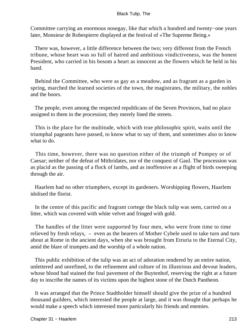Committee carrying an enormous nosegay, like that which a hundred and twenty−one years later, Monsieur de Robespierre displayed at the festival of «The Supreme Being.»

 There was, however, a little difference between the two; very different from the French tribune, whose heart was so full of hatred and ambitious vindictiveness, was the honest President, who carried in his bosom a heart as innocent as the flowers which he held in his hand.

 Behind the Committee, who were as gay as a meadow, and as fragrant as a garden in spring, marched the learned societies of the town, the magistrates, the military, the nobles and the boors.

 The people, even among the respected republicans of the Seven Provinces, had no place assigned to them in the procession; they merely lined the streets.

 This is the place for the multitude, which with true philosophic spirit, waits until the triumphal pageants have passed, to know what to say of them, and sometimes also to know what to do.

 This time, however, there was no question either of the triumph of Pompey or of Caesar; neither of the defeat of Mithridates, nor of the conquest of Gaul. The procession was as placid as the passing of a flock of lambs, and as inoffensive as a flight of birds sweeping through the air.

 Haarlem had no other triumphers, except its gardeners. Worshipping flowers, Haarlem idolised the florist.

 In the centre of this pacific and fragrant cortege the black tulip was seen, carried on a litter, which was covered with white velvet and fringed with gold.

 The handles of the litter were supported by four men, who were from time to time relieved by fresh relays, – even as the bearers of Mother Cybele used to take turn and turn about at Rome in the ancient days, when she was brought from Etruria to the Eternal City, amid the blare of trumpets and the worship of a whole nation.

 This public exhibition of the tulip was an act of adoration rendered by an entire nation, unlettered and unrefined, to the refinement and culture of its illustrious and devout leaders, whose blood had stained the foul pavement of the Buytenhof, reserving the right at a future day to inscribe the names of its victims upon the highest stone of the Dutch Pantheon.

 It was arranged that the Prince Stadtholder himself should give the prize of a hundred thousand guilders, which interested the people at large, and it was thought that perhaps he would make a speech which interested more particularly his friends and enemies.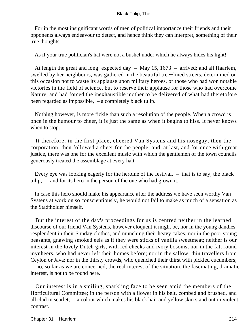For in the most insignificant words of men of political importance their friends and their opponents always endeavour to detect, and hence think they can interpret, something of their true thoughts.

As if your true politician's hat were not a bushel under which he always hides his light!

 At length the great and long−expected day – May 15, 1673 – arrived; and all Haarlem, swelled by her neighbours, was gathered in the beautiful tree−lined streets, determined on this occasion not to waste its applause upon military heroes, or those who had won notable victories in the field of science, but to reserve their applause for those who had overcome Nature, and had forced the inexhaustible mother to be delivered of what had theretofore been regarded as impossible, – a completely black tulip.

 Nothing however, is more fickle than such a resolution of the people. When a crowd is once in the humour to cheer, it is just the same as when it begins to hiss. It never knows when to stop.

 It therefore, in the first place, cheered Van Systens and his nosegay, then the corporation, then followed a cheer for the people; and, at last, and for once with great justice, there was one for the excellent music with which the gentlemen of the town councils generously treated the assemblage at every halt.

 Every eye was looking eagerly for the heroine of the festival, – that is to say, the black tulip, – and for its hero in the person of the one who had grown it.

 In case this hero should make his appearance after the address we have seen worthy Van Systens at work on so conscientiously, he would not fail to make as much of a sensation as the Stadtholder himself.

 But the interest of the day's proceedings for us is centred neither in the learned discourse of our friend Van Systens, however eloquent it might be, nor in the young dandies, resplendent in their Sunday clothes, and munching their heavy cakes; nor in the poor young peasants, gnawing smoked eels as if they were sticks of vanilla sweetmeat; neither is our interest in the lovely Dutch girls, with red cheeks and ivory bosoms; nor in the fat, round mynheers, who had never left their homes before; nor in the sallow, thin travellers from Ceylon or Java; nor in the thirsty crowds, who quenched their thirst with pickled cucumbers; – no, so far as we are concerned, the real interest of the situation, the fascinating, dramatic interest, is not to be found here.

 Our interest is in a smiling, sparkling face to be seen amid the members of the Horticultural Committee; in the person with a flower in his belt, combed and brushed, and all clad in scarlet, – a colour which makes his black hair and yellow skin stand out in violent contrast.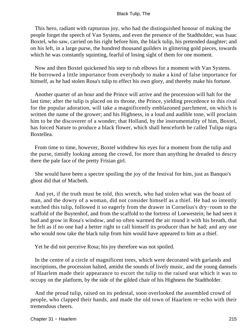This hero, radiant with rapturous joy, who had the distinguished honour of making the people forget the speech of Van Systens, and even the presence of the Stadtholder, was Isaac Boxtel, who saw, carried on his right before him, the black tulip, his pretended daughter; and on his left, in a large purse, the hundred thousand guilders in glittering gold pieces, towards which he was constantly squinting, fearful of losing sight of them for one moment.

 Now and then Boxtel quickened his step to rub elbows for a moment with Van Systens. He borrowed a little importance from everybody to make a kind of false importance for himself, as he had stolen Rosa's tulip to effect his own glory, and thereby make his fortune.

 Another quarter of an hour and the Prince will arrive and the procession will halt for the last time; after the tulip is placed on its throne, the Prince, yielding precedence to this rival for the popular adoration, will take a magnificently emblazoned parchment, on which is written the name of the grower; and his Highness, in a loud and audible tone, will proclaim him to be the discoverer of a wonder; that Holland, by the instrumentality of him, Boxtel, has forced Nature to produce a black flower, which shall henceforth be called Tulipa nigra Boxtellea.

 From time to time, however, Boxtel withdrew his eyes for a moment from the tulip and the purse, timidly looking among the crowd, for more than anything he dreaded to descry there the pale face of the pretty Frisian girl.

 She would have been a spectre spoiling the joy of the festival for him, just as Banquo's ghost did that of Macbeth.

 And yet, if the truth must be told, this wretch, who had stolen what was the boast of man, and the dowry of a woman, did not consider himself as a thief. He had so intently watched this tulip, followed it so eagerly from the drawer in Cornelius's dry−room to the scaffold of the Buytenhof, and from the scaffold to the fortress of Loewestein; he had seen it bud and grow in Rosa's window, and so often warmed the air round it with his breath, that he felt as if no one had a better right to call himself its producer than he had; and any one who would now take the black tulip from him would have appeared to him as a thief.

Yet he did not perceive Rosa; his joy therefore was not spoiled.

 In the centre of a circle of magnificent trees, which were decorated with garlands and inscriptions, the procession halted, amidst the sounds of lively music, and the young damsels of Haarlem made their appearance to escort the tulip to the raised seat which it was to occupy on the platform, by the side of the gilded chair of his Highness the Stadtholder.

 And the proud tulip, raised on its pedestal, soon overlooked the assembled crowd of people, who clapped their hands, and made the old town of Haarlem re−echo with their tremendous cheers.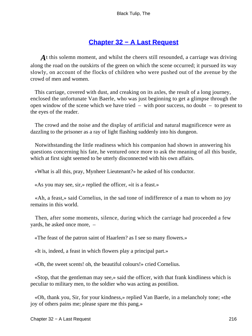### **[Chapter 32 − A Last Request](#page-227-0)**

<span id="page-216-0"></span>At this solemn moment, and whilst the cheers still resounded, a carriage was driving along the road on the outskirts of the green on which the scene occurred; it pursued its way slowly, on account of the flocks of children who were pushed out of the avenue by the crowd of men and women.

 This carriage, covered with dust, and creaking on its axles, the result of a long journey, enclosed the unfortunate Van Baerle, who was just beginning to get a glimpse through the open window of the scene which we have tried – with poor success, no doubt – to present to the eyes of the reader.

 The crowd and the noise and the display of artificial and natural magnificence were as dazzling to the prisoner as a ray of light flashing suddenly into his dungeon.

 Notwithstanding the little readiness which his companion had shown in answering his questions concerning his fate, he ventured once more to ask the meaning of all this bustle, which at first sight seemed to be utterly disconnected with his own affairs.

«What is all this, pray, Mynheer Lieutenant?» he asked of his conductor.

«As you may see, sir,» replied the officer, «it is a feast.»

 «Ah, a feast,» said Cornelius, in the sad tone of indifference of a man to whom no joy remains in this world.

 Then, after some moments, silence, during which the carriage had proceeded a few yards, he asked once more, –

«The feast of the patron saint of Haarlem? as I see so many flowers.»

«It is, indeed, a feast in which flowers play a principal part.»

«Oh, the sweet scents! oh, the beautiful colours!» cried Cornelius.

 «Stop, that the gentleman may see,» said the officer, with that frank kindliness which is peculiar to military men, to the soldier who was acting as postilion.

 «Oh, thank you, Sir, for your kindness,» replied Van Baerle, in a melancholy tone; «the joy of others pains me; please spare me this pang.»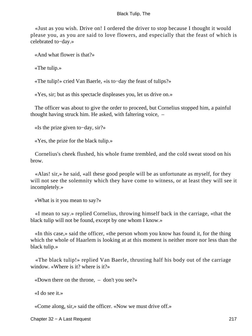«Just as you wish. Drive on! I ordered the driver to stop because I thought it would please you, as you are said to love flowers, and especially that the feast of which is celebrated to−day.»

«And what flower is that?»

«The tulip.»

«The tulip!» cried Van Baerle, «is to−day the feast of tulips?»

«Yes, sir; but as this spectacle displeases you, let us drive on.»

 The officer was about to give the order to proceed, but Cornelius stopped him, a painful thought having struck him. He asked, with faltering voice, –

«Is the prize given to−day, sir?»

«Yes, the prize for the black tulip.»

 Cornelius's cheek flushed, his whole frame trembled, and the cold sweat stood on his brow.

 «Alas! sir,» he said, «all these good people will be as unfortunate as myself, for they will not see the solemnity which they have come to witness, or at least they will see it incompletely.»

«What is it you mean to say?»

 «I mean to say.» replied Cornelius, throwing himself back in the carriage, «that the black tulip will not be found, except by one whom I know.»

 «In this case,» said the officer, «the person whom you know has found it, for the thing which the whole of Haarlem is looking at at this moment is neither more nor less than the black tulip.»

 «The black tulip!» replied Van Baerle, thrusting half his body out of the carriage window. «Where is it? where is it?»

«Down there on the throne, – don't you see?»

«I do see it.»

«Come along, sir,» said the officer. «Now we must drive off.»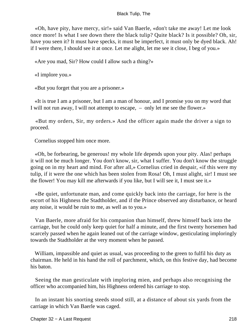«Oh, have pity, have mercy, sir!» said Van Baerle, «don't take me away! Let me look once more! Is what I see down there the black tulip? Quite black? Is it possible? Oh, sir, have you seen it? It must have specks, it must be imperfect, it must only be dyed black. Ah! if I were there, I should see it at once. Let me alight, let me see it close, I beg of you.»

«Are you mad, Sir? How could I allow such a thing?»

«I implore you.»

«But you forget that you are a prisoner.»

 «It is true I am a prisoner, but I am a man of honour, and I promise you on my word that I will not run away, I will not attempt to escape, – only let me see the flower.»

 «But my orders, Sir, my orders.» And the officer again made the driver a sign to proceed.

Cornelius stopped him once more.

 «Oh, be forbearing, be generous! my whole life depends upon your pity. Alas! perhaps it will not be much longer. You don't know, sir, what I suffer. You don't know the struggle going on in my heart and mind. For after all,» Cornelius cried in despair, «if this were my tulip, if it were the one which has been stolen from Rosa! Oh, I must alight, sir! I must see the flower! You may kill me afterwards if you like, but I will see it, I must see it.»

 «Be quiet, unfortunate man, and come quickly back into the carriage, for here is the escort of his Highness the Stadtholder, and if the Prince observed any disturbance, or heard any noise, it would be ruin to me, as well as to you.»

 Van Baerle, more afraid for his companion than himself, threw himself back into the carriage, but he could only keep quiet for half a minute, and the first twenty horsemen had scarcely passed when he again leaned out of the carriage window, gesticulating imploringly towards the Stadtholder at the very moment when he passed.

 William, impassible and quiet as usual, was proceeding to the green to fulfil his duty as chairman. He held in his hand the roll of parchment, which, on this festive day, had become his baton.

 Seeing the man gesticulate with imploring mien, and perhaps also recognising the officer who accompanied him, his Highness ordered his carriage to stop.

 In an instant his snorting steeds stood still, at a distance of about six yards from the carriage in which Van Baerle was caged.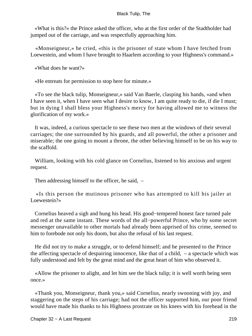«What is this?» the Prince asked the officer, who at the first order of the Stadtholder had jumped out of the carriage, and was respectfully approaching him.

 «Monseigneur,» he cried, «this is the prisoner of state whom I have fetched from Loewestein, and whom I have brought to Haarlem according to your Highness's command.»

«What does he want?»

«He entreats for permission to stop here for minute.»

 «To see the black tulip, Monseigneur,» said Van Baerle, clasping his hands, «and when I have seen it, when I have seen what I desire to know, I am quite ready to die, if die I must; but in dying I shall bless your Highness's mercy for having allowed me to witness the glorification of my work.»

 It was, indeed, a curious spectacle to see these two men at the windows of their several carriages; the one surrounded by his guards, and all powerful, the other a prisoner and miserable; the one going to mount a throne, the other believing himself to be on his way to the scaffold.

 William, looking with his cold glance on Cornelius, listened to his anxious and urgent request.

Then addressing himself to the officer, he said, –

 «Is this person the mutinous prisoner who has attempted to kill his jailer at Loewestein?»

 Cornelius heaved a sigh and hung his head. His good−tempered honest face turned pale and red at the same instant. These words of the all−powerful Prince, who by some secret messenger unavailable to other mortals had already been apprised of his crime, seemed to him to forebode not only his doom, but also the refusal of his last request.

 He did not try to make a struggle, or to defend himself; and he presented to the Prince the affecting spectacle of despairing innocence, like that of a child, – a spectacle which was fully understood and felt by the great mind and the great heart of him who observed it.

 «Allow the prisoner to alight, and let him see the black tulip; it is well worth being seen once.»

 «Thank you, Monseigneur, thank you,» said Cornelius, nearly swooning with joy, and staggering on the steps of his carriage; had not the officer supported him, our poor friend would have made his thanks to his Highness prostrate on his knees with his forehead in the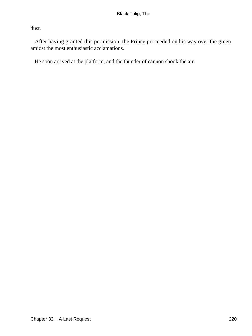dust.

 After having granted this permission, the Prince proceeded on his way over the green amidst the most enthusiastic acclamations.

He soon arrived at the platform, and the thunder of cannon shook the air.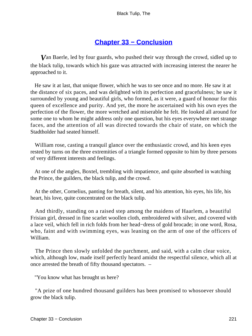### **[Chapter 33 − Conclusion](#page-227-0)**

<span id="page-221-0"></span>*V*an Baerle, led by four guards, who pushed their way through the crowd, sidled up to the black tulip, towards which his gaze was attracted with increasing interest the nearer he approached to it.

 He saw it at last, that unique flower, which he was to see once and no more. He saw it at the distance of six paces, and was delighted with its perfection and gracefulness; he saw it surrounded by young and beautiful girls, who formed, as it were, a guard of honour for this queen of excellence and purity. And yet, the more he ascertained with his own eyes the perfection of the flower, the more wretched and miserable he felt. He looked all around for some one to whom he might address only one question, but his eyes everywhere met strange faces, and the attention of all was directed towards the chair of state, on which the Stadtholder had seated himself.

 William rose, casting a tranquil glance over the enthusiastic crowd, and his keen eyes rested by turns on the three extremities of a triangle formed opposite to him by three persons of very different interests and feelings.

 At one of the angles, Boxtel, trembling with impatience, and quite absorbed in watching the Prince, the guilders, the black tulip, and the crowd.

 At the other, Cornelius, panting for breath, silent, and his attention, his eyes, his life, his heart, his love, quite concentrated on the black tulip.

 And thirdly, standing on a raised step among the maidens of Haarlem, a beautiful Frisian girl, dressed in fine scarlet woollen cloth, embroidered with silver, and covered with a lace veil, which fell in rich folds from her head−dress of gold brocade; in one word, Rosa, who, faint and with swimming eyes, was leaning on the arm of one of the officers of William.

 The Prince then slowly unfolded the parchment, and said, with a calm clear voice, which, although low, made itself perfectly heard amidst the respectful silence, which all at once arrested the breath of fifty thousand spectators. –

"You know what has brought us here?

 "A prize of one hundred thousand guilders has been promised to whosoever should grow the black tulip.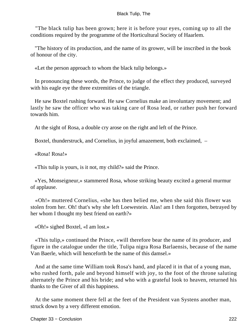"The black tulip has been grown; here it is before your eyes, coming up to all the conditions required by the programme of the Horticultural Society of Haarlem.

 "The history of its production, and the name of its grower, will be inscribed in the book of honour of the city.

«Let the person approach to whom the black tulip belongs.»

 In pronouncing these words, the Prince, to judge of the effect they produced, surveyed with his eagle eye the three extremities of the triangle.

 He saw Boxtel rushing forward. He saw Cornelius make an involuntary movement; and lastly he saw the officer who was taking care of Rosa lead, or rather push her forward towards him.

At the sight of Rosa, a double cry arose on the right and left of the Prince.

Boxtel, thunderstruck, and Cornelius, in joyful amazement, both exclaimed, –

«Rosa! Rosa!»

«This tulip is yours, is it not, my child?» said the Prince.

 «Yes, Monseigneur,» stammered Rosa, whose striking beauty excited a general murmur of applause.

 «Oh!» muttered Cornelius, «she has then belied me, when she said this flower was stolen from her. Oh! that's why she left Loewestein. Alas! am I then forgotten, betrayed by her whom I thought my best friend on earth?»

«Oh!» sighed Boxtel, «I am lost.»

 «This tulip,» continued the Prince, «will therefore bear the name of its producer, and figure in the catalogue under the title, Tulipa nigra Rosa Barlaensis, because of the name Van Baerle, which will henceforth be the name of this damsel.»

 And at the same time William took Rosa's hand, and placed it in that of a young man, who rushed forth, pale and beyond himself with joy, to the foot of the throne saluting alternately the Prince and his bride; and who with a grateful look to heaven, returned his thanks to the Giver of all this happiness.

 At the same moment there fell at the feet of the President van Systens another man, struck down by a very different emotion.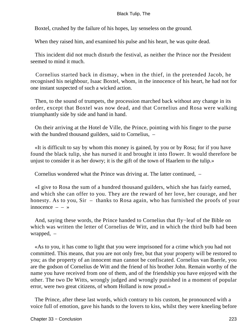Boxtel, crushed by the failure of his hopes, lay senseless on the ground.

When they raised him, and examined his pulse and his heart, he was quite dead.

 This incident did not much disturb the festival, as neither the Prince nor the President seemed to mind it much.

 Cornelius started back in dismay, when in the thief, in the pretended Jacob, he recognised his neighbour, Isaac Boxtel, whom, in the innocence of his heart, he had not for one instant suspected of such a wicked action.

 Then, to the sound of trumpets, the procession marched back without any change in its order, except that Boxtel was now dead, and that Cornelius and Rosa were walking triumphantly side by side and hand in hand.

 On their arriving at the Hotel de Ville, the Prince, pointing with his finger to the purse with the hundred thousand guilders, said to Cornelius, –

 «It is difficult to say by whom this money is gained, by you or by Rosa; for if you have found the black tulip, she has nursed it and brought it into flower. It would therefore be unjust to consider it as her dowry; it is the gift of the town of Haarlem to the tulip.»

Cornelius wondered what the Prince was driving at. The latter continued, –

 «I give to Rosa the sum of a hundred thousand guilders, which she has fairly earned, and which she can offer to you. They are the reward of her love, her courage, and her honesty. As to you, Sir – thanks to Rosa again, who has furnished the proofs of your innocence  $- - \infty$ 

 And, saying these words, the Prince handed to Cornelius that fly−leaf of the Bible on which was written the letter of Cornelius de Witt, and in which the third bulb had been wrapped, –

 «As to you, it has come to light that you were imprisoned for a crime which you had not committed. This means, that you are not only free, but that your property will be restored to you; as the property of an innocent man cannot be confiscated. Cornelius van Baerle, you are the godson of Cornelius de Witt and the friend of his brother John. Remain worthy of the name you have received from one of them, and of the friendship you have enjoyed with the other. The two De Witts, wrongly judged and wrongly punished in a moment of popular error, were two great citizens, of whom Holland is now proud.»

 The Prince, after these last words, which contrary to his custom, he pronounced with a voice full of emotion, gave his hands to the lovers to kiss, whilst they were kneeling before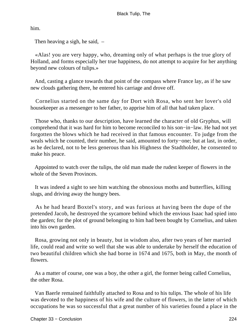him.

Then heaving a sigh, he said, –

 «Alas! you are very happy, who, dreaming only of what perhaps is the true glory of Holland, and forms especially her true happiness, do not attempt to acquire for her anything beyond new colours of tulips.»

 And, casting a glance towards that point of the compass where France lay, as if he saw new clouds gathering there, he entered his carriage and drove off.

 Cornelius started on the same day for Dort with Rosa, who sent her lover's old housekeeper as a messenger to her father, to apprise him of all that had taken place.

 Those who, thanks to our description, have learned the character of old Gryphus, will comprehend that it was hard for him to become reconciled to his son−in−law. He had not yet forgotten the blows which he had received in that famous encounter. To judge from the weals which he counted, their number, he said, amounted to forty−one; but at last, in order, as he declared, not to be less generous than his Highness the Stadtholder, he consented to make his peace.

 Appointed to watch over the tulips, the old man made the rudest keeper of flowers in the whole of the Seven Provinces.

 It was indeed a sight to see him watching the obnoxious moths and butterflies, killing slugs, and driving away the hungry bees.

 As he had heard Boxtel's story, and was furious at having been the dupe of the pretended Jacob, he destroyed the sycamore behind which the envious Isaac had spied into the garden; for the plot of ground belonging to him had been bought by Cornelius, and taken into his own garden.

 Rosa, growing not only in beauty, but in wisdom also, after two years of her married life, could read and write so well that she was able to undertake by herself the education of two beautiful children which she had borne in 1674 and 1675, both in May, the month of flowers.

 As a matter of course, one was a boy, the other a girl, the former being called Cornelius, the other Rosa.

 Van Baerle remained faithfully attached to Rosa and to his tulips. The whole of his life was devoted to the happiness of his wife and the culture of flowers, in the latter of which occupations he was so successful that a great number of his varieties found a place in the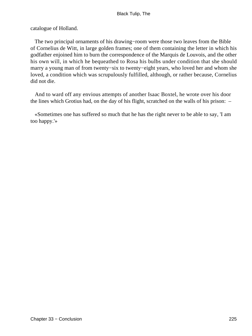catalogue of Holland.

 The two principal ornaments of his drawing−room were those two leaves from the Bible of Cornelius de Witt, in large golden frames; one of them containing the letter in which his godfather enjoined him to burn the correspondence of the Marquis de Louvois, and the other his own will, in which he bequeathed to Rosa his bulbs under condition that she should marry a young man of from twenty−six to twenty−eight years, who loved her and whom she loved, a condition which was scrupulously fulfilled, although, or rather because, Cornelius did not die.

 And to ward off any envious attempts of another Isaac Boxtel, he wrote over his door the lines which Grotius had, on the day of his flight, scratched on the walls of his prison: –

 «Sometimes one has suffered so much that he has the right never to be able to say, 'I am too happy.'»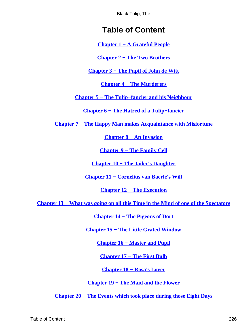# **Table of Content**

**[Chapter 1 − A Grateful People](#page-3-0)**

**[Chapter 2 − The Two Brothers](#page-11-0)**

**[Chapter 3 − The Pupil of John de Witt](#page-20-0)**

**[Chapter 4 − The Murderers](#page-30-0)**

**[Chapter 5 − The Tulip−fancier and his Neighbour](#page-40-0)**

**[Chapter 6 − The Hatred of a Tulip−fancier](#page-46-0)**

**[Chapter 7 − The Happy Man makes Acquaintance with Misfortune](#page-52-0)**

**[Chapter 8 − An Invasion](#page-62-0)**

**[Chapter 9 − The Family Cell](#page-69-0)**

**[Chapter 10 − The Jailer's Daughter](#page-74-0)**

**[Chapter 11 − Cornelius van Baerle's Will](#page-79-0)**

**[Chapter 12 − The Execution](#page-89-0)**

**[Chapter 13 − What was going on all this Time in the Mind of one of the Spectators](#page-92-0)**

**[Chapter 14 − The Pigeons of Dort](#page-96-0)**

**[Chapter 15 − The Little Grated Window](#page-101-0)**

**[Chapter 16 − Master and Pupil](#page-108-0)**

**[Chapter 17 − The First Bulb](#page-114-0)**

**[Chapter 18 − Rosa's Lover](#page-122-0)**

**[Chapter 19 − The Maid and the Flower](#page-129-0)**

**[Chapter 20 − The Events which took place during those Eight Days](#page-135-0)**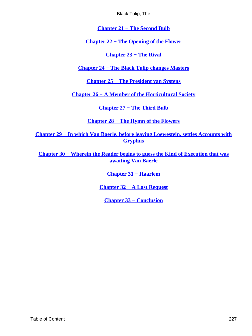**[Chapter 21 − The Second Bulb](#page-143-0)**

<span id="page-227-0"></span>**[Chapter 22 − The Opening of the Flower](#page-151-0)**

**[Chapter 23 − The Rival](#page-157-0)**

**[Chapter 24 − The Black Tulip changes Masters](#page-163-0)**

**[Chapter 25 − The President van Systens](#page-168-0)**

**[Chapter 26 − A Member of the Horticultural Society](#page-175-0)**

**[Chapter 27 − The Third Bulb](#page-184-0)**

**[Chapter 28 − The Hymn of the Flowers](#page-192-0)**

**[Chapter 29 − In which Van Baerle, before leaving Loewestein, settles Accounts with](#page-199-0) [Gryphus](#page-199-0)**

**[Chapter 30 − Wherein the Reader begins to guess the Kind of Execution that was](#page-206-0) [awaiting Van Baerle](#page-206-0)**

**[Chapter 31 − Haarlem](#page-211-0)**

**[Chapter 32 − A Last Request](#page-216-0)**

**[Chapter 33 − Conclusion](#page-221-0)**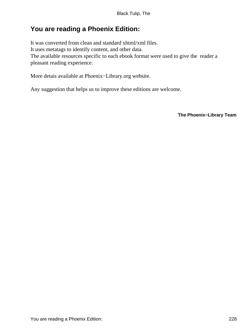## **You are reading a Phoenix Edition:**

It was converted from clean and standard xhtml/xml files. It uses metatags to identify content, and other data. The available resources specific to each ebook format were used to give the reader a pleasant reading experience.

More detais available at Phoenix−Library.org website.

Any suggestion that helps us to improve these editions are welcome.

**The Phoenix−Library Team**